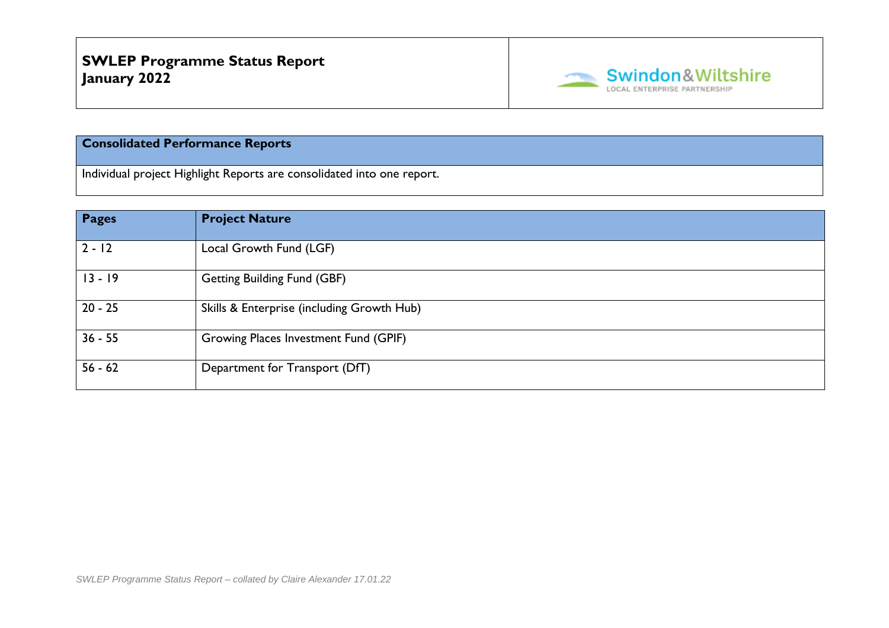

## **Consolidated Performance Reports**

Individual project Highlight Reports are consolidated into one report.

| <b>Pages</b> | <b>Project Nature</b>                      |
|--------------|--------------------------------------------|
| $2 - 12$     | Local Growth Fund (LGF)                    |
| $13 - 19$    | <b>Getting Building Fund (GBF)</b>         |
| $20 - 25$    | Skills & Enterprise (including Growth Hub) |
| $36 - 55$    | Growing Places Investment Fund (GPIF)      |
| $56 - 62$    | Department for Transport (DfT)             |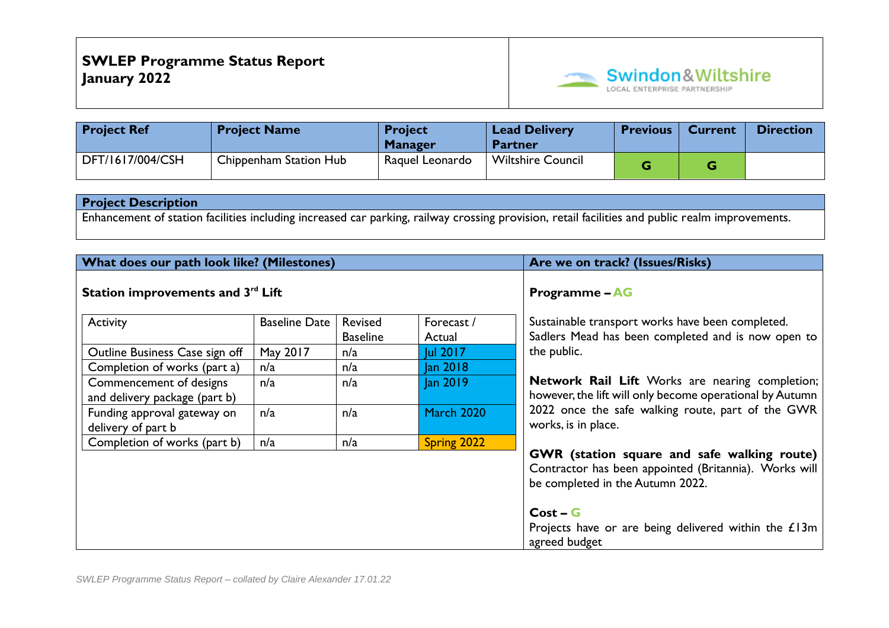

| <b>Project Ref</b> | <b>Project Name</b>    | <b>Project</b><br><b>Manager</b> | <b>Lead Delivery</b><br><b>Partner</b> | <b>Previous</b> | <b>Current</b> | <b>Direction</b> |
|--------------------|------------------------|----------------------------------|----------------------------------------|-----------------|----------------|------------------|
| DFT/1617/004/CSH   | Chippenham Station Hub | Raguel Leonardo                  | <b>Wiltshire Council</b>               |                 |                |                  |

Enhancement of station facilities including increased car parking, railway crossing provision, retail facilities and public realm improvements.

| What does our path look like? (Milestones)               |                      |                            |                      | Are we on track? (Issues/Risks)                                                                                                          |
|----------------------------------------------------------|----------------------|----------------------------|----------------------|------------------------------------------------------------------------------------------------------------------------------------------|
| Station improvements and 3rd Lift                        |                      | <b>Programme - AG</b>      |                      |                                                                                                                                          |
| Activity                                                 | <b>Baseline Date</b> | Revised<br><b>Baseline</b> | Forecast /<br>Actual | Sustainable transport works have been completed.<br>Sadlers Mead has been completed and is now open to                                   |
| Outline Business Case sign off                           | May 2017             | n/a                        | Jul 2017             | the public.                                                                                                                              |
| Completion of works (part a)                             | n/a                  | n/a                        | Jan 2018             |                                                                                                                                          |
| Commencement of designs<br>and delivery package (part b) | n/a                  | n/a                        | Jan 2019             | Network Rail Lift Works are nearing completion;<br>however, the lift will only become operational by Autumn                              |
| Funding approval gateway on<br>delivery of part b        | n/a<br>n/a           |                            | <b>March 2020</b>    | 2022 once the safe walking route, part of the GWR<br>works, is in place.                                                                 |
| Completion of works (part b)                             | n/a                  | n/a                        | Spring 2022          |                                                                                                                                          |
|                                                          |                      |                            |                      | GWR (station square and safe walking route)<br>Contractor has been appointed (Britannia). Works will<br>be completed in the Autumn 2022. |
|                                                          |                      |                            |                      | $Cost - G$<br>Projects have or are being delivered within the £13m<br>agreed budget                                                      |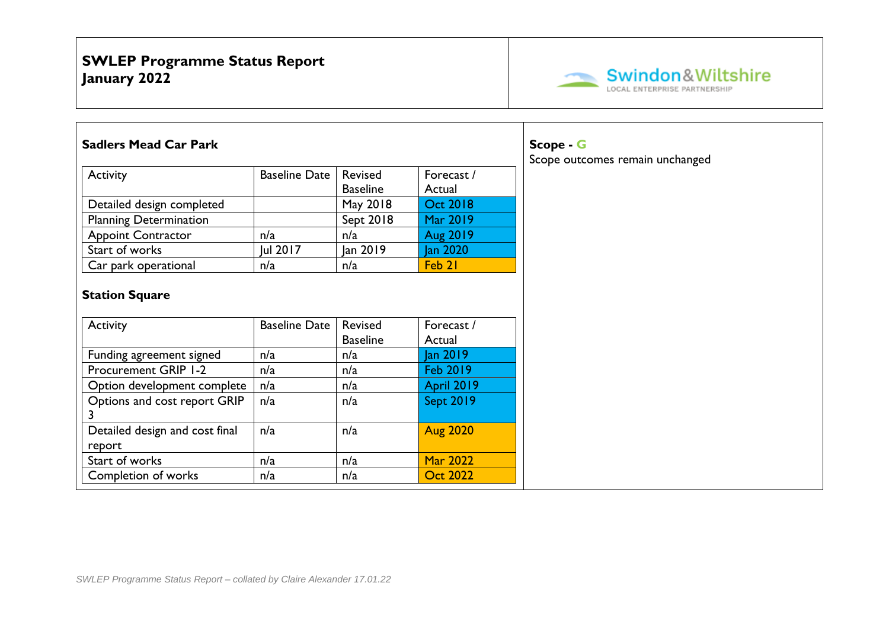

| <b>Sadlers Mead Car Park</b>             |                      |                            | Scope - G            |                                 |
|------------------------------------------|----------------------|----------------------------|----------------------|---------------------------------|
| Activity                                 | <b>Baseline Date</b> | Revised                    | Forecast /           | Scope outcomes remain unchanged |
|                                          |                      | <b>Baseline</b>            | Actual               |                                 |
| Detailed design completed                |                      | May 2018                   | <b>Oct 2018</b>      |                                 |
| <b>Planning Determination</b>            |                      | Sept 2018                  | Mar 2019             |                                 |
| <b>Appoint Contractor</b>                | n/a                  | n/a                        | Aug 2019             |                                 |
| Start of works                           | Jul 2017             | Jan 2019                   | Jan 2020             |                                 |
| Car park operational                     | n/a                  | n/a                        | Feb 21               |                                 |
| Activity                                 | <b>Baseline Date</b> | Revised<br><b>Baseline</b> | Forecast /<br>Actual |                                 |
| Funding agreement signed                 | n/a                  | n/a                        | Jan 2019             |                                 |
| Procurement GRIP 1-2                     | n/a                  | n/a                        | <b>Feb 2019</b>      |                                 |
| Option development complete              | n/a                  | n/a                        | <b>April 2019</b>    |                                 |
| Options and cost report GRIP             | n/a                  | n/a                        | <b>Sept 2019</b>     |                                 |
| Detailed design and cost final<br>report | n/a                  | n/a                        | <b>Aug 2020</b>      |                                 |
| Start of works                           | n/a                  | n/a                        | <b>Mar 2022</b>      |                                 |
| Completion of works                      | n/a                  | n/a                        | <b>Oct 2022</b>      |                                 |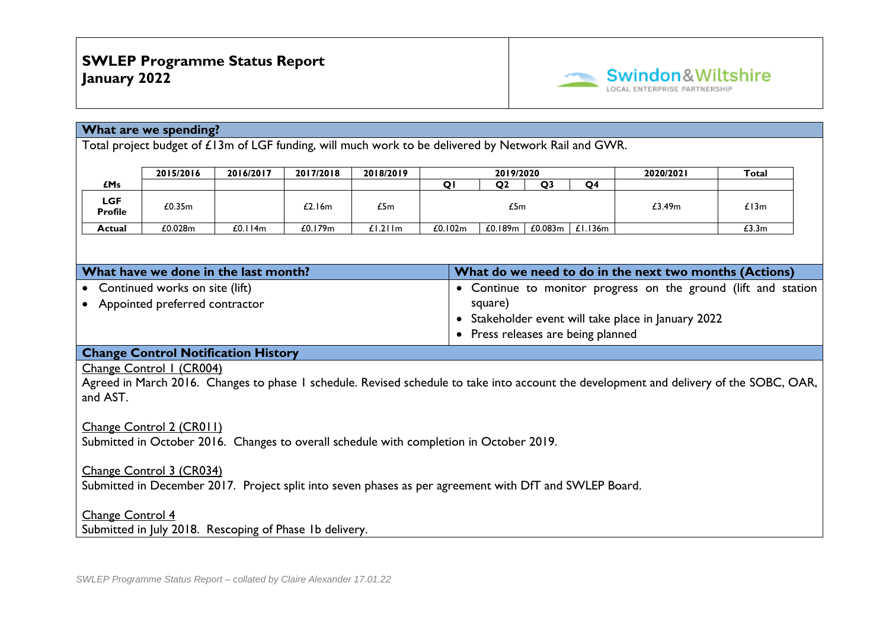

#### **What are we spending?**

Total project budget of £13m of LGF funding, will much work to be delivered by Network Rail and GWR.

|                              | 2015/2016 | 2016/2017 | 2017/2018 | 2018/2019 |                               | 2019/2020      |                | 2020/2021      | Total  |       |
|------------------------------|-----------|-----------|-----------|-----------|-------------------------------|----------------|----------------|----------------|--------|-------|
| £Ms                          |           |           |           |           |                               | O <sub>2</sub> | O <sub>3</sub> | O <sub>4</sub> |        |       |
| <b>LGF</b><br><b>Profile</b> | £0.35m    |           | £2.16m    | £5m       | £5m                           |                |                |                | £3.49m | £13m  |
| Actual                       | £0.028m   | £0.114m   | £0.179m   | £1.211m   | £0.189m<br>£0.083m<br>£0.102m |                |                | £1.136m        |        | £3.3m |

| What have we done in the last month? | What do we need to do in the next two months (Actions)         |
|--------------------------------------|----------------------------------------------------------------|
| • Continued works on site (lift)     | • Continue to monitor progress on the ground (lift and station |
| Appointed preferred contractor       | square)                                                        |
|                                      | • Stakeholder event will take place in January 2022            |
|                                      | • Press releases are being planned                             |

#### **Change Control Notification History**

Change Control 1 (CR004)

Agreed in March 2016. Changes to phase 1 schedule. Revised schedule to take into account the development and delivery of the SOBC, OAR, and AST.

### Change Control 2 (CR011)

Submitted in October 2016. Changes to overall schedule with completion in October 2019.

#### Change Control 3 (CR034)

Submitted in December 2017. Project split into seven phases as per agreement with DfT and SWLEP Board.

#### Change Control 4

Submitted in July 2018. Rescoping of Phase 1b delivery.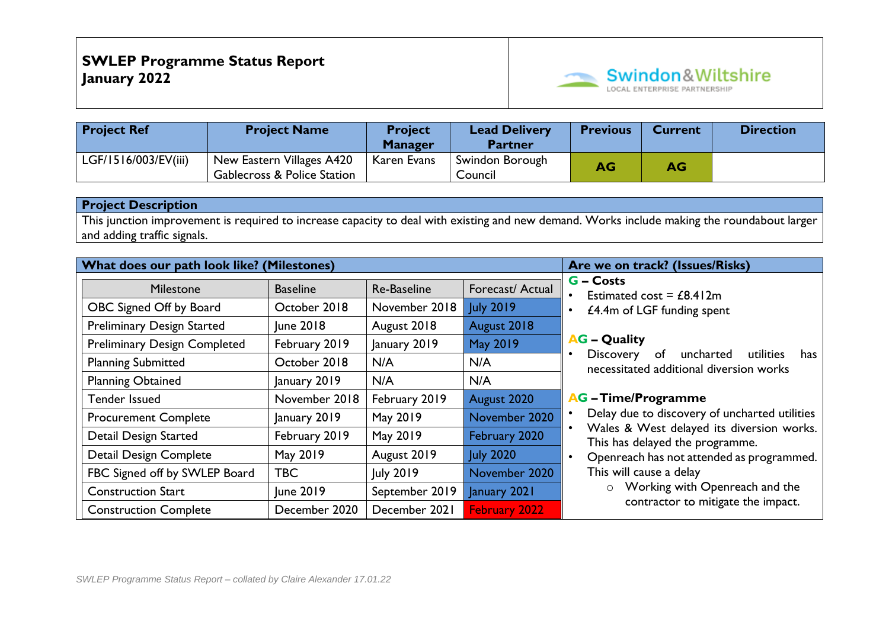

| <b>Project Ref</b>   | <b>Project Name</b>                                                 | <b>Project</b><br><b>Manager</b> | <b>Lead Delivery</b><br><b>Partner</b> | <b>Previous</b> | <b>Current</b> | <b>Direction</b> |
|----------------------|---------------------------------------------------------------------|----------------------------------|----------------------------------------|-----------------|----------------|------------------|
| LGF/1516/003/EV(iii) | New Eastern Villages A420<br><b>Gablecross &amp; Police Station</b> | Karen Evans                      | Swindon Borough<br>Council             | AG              | AG             |                  |

This junction improvement is required to increase capacity to deal with existing and new demand. Works include making the roundabout larger and adding traffic signals.

| What does our path look like? (Milestones) |                                |                |                      | Are we on track? (Issues/Risks)                                                             |  |  |  |  |  |
|--------------------------------------------|--------------------------------|----------------|----------------------|---------------------------------------------------------------------------------------------|--|--|--|--|--|
| Milestone                                  | <b>Baseline</b><br>Re-Baseline |                |                      | <b>G</b> – Costs<br>Estimated cost = $£8.412m$                                              |  |  |  |  |  |
| OBC Signed Off by Board                    | October 2018                   | November 2018  | <b>July 2019</b>     | £4.4m of LGF funding spent<br>$\bullet$                                                     |  |  |  |  |  |
| <b>Preliminary Design Started</b>          | June 2018                      | August 2018    | August 2018          |                                                                                             |  |  |  |  |  |
| <b>Preliminary Design Completed</b>        | February 2019                  | January 2019   | <b>May 2019</b>      | <b>AG</b> – Quality                                                                         |  |  |  |  |  |
| <b>Planning Submitted</b>                  | October 2018                   | N/A            | N/A                  | Discovery<br>uncharted<br>utilities<br>of<br>has<br>necessitated additional diversion works |  |  |  |  |  |
| <b>Planning Obtained</b><br>January 2019   |                                | N/A            | N/A                  |                                                                                             |  |  |  |  |  |
| <b>Tender Issued</b>                       | November 2018                  | February 2019  | August 2020          | <b>AG</b> - Time/Programme                                                                  |  |  |  |  |  |
| <b>Procurement Complete</b>                | January 2019                   | May 2019       | November 2020        | Delay due to discovery of uncharted utilities                                               |  |  |  |  |  |
| Detail Design Started                      | February 2019                  | May 2019       | February 2020        | Wales & West delayed its diversion works.<br>This has delayed the programme.                |  |  |  |  |  |
| <b>Detail Design Complete</b>              | May 2019                       | August 2019    | <b>July 2020</b>     | Openreach has not attended as programmed.                                                   |  |  |  |  |  |
| FBC Signed off by SWLEP Board              | <b>TBC</b>                     | July 2019      | November 2020        | This will cause a delay                                                                     |  |  |  |  |  |
| June 2019<br><b>Construction Start</b>     |                                | September 2019 | January 2021         | Working with Openreach and the<br>$\circ$                                                   |  |  |  |  |  |
| <b>Construction Complete</b>               | December 2020                  | December 2021  | <b>February 2022</b> | contractor to mitigate the impact.                                                          |  |  |  |  |  |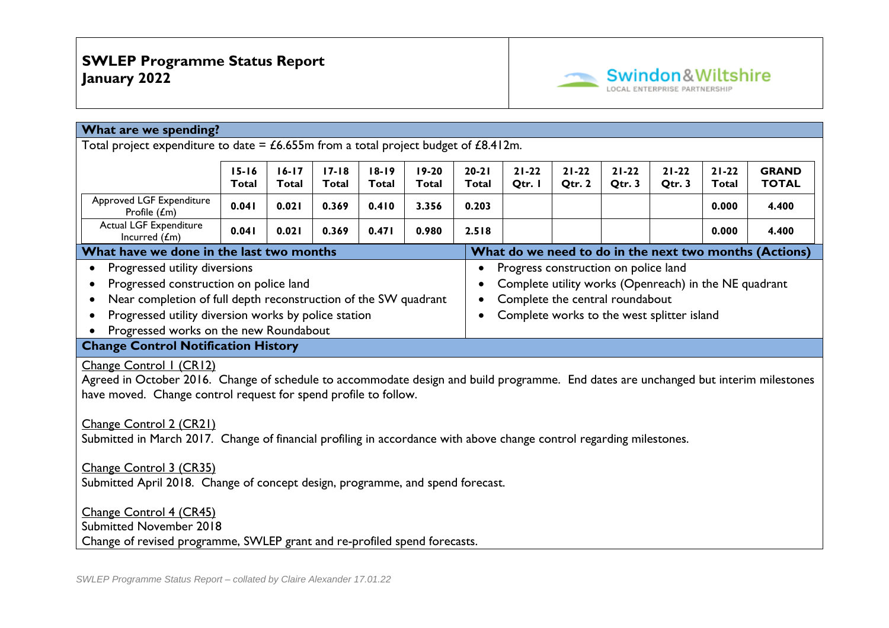

| What are we spending?                                                                                                                                                                                                                                                                                                                                                                                                                                                              |                           |                           |                     |                     |                     |                     |                           |                              |  |  |       |                                                        |
|------------------------------------------------------------------------------------------------------------------------------------------------------------------------------------------------------------------------------------------------------------------------------------------------------------------------------------------------------------------------------------------------------------------------------------------------------------------------------------|---------------------------|---------------------------|---------------------|---------------------|---------------------|---------------------|---------------------------|------------------------------|--|--|-------|--------------------------------------------------------|
| Total project expenditure to date = $£6.655m$ from a total project budget of $£8.412m$ .                                                                                                                                                                                                                                                                                                                                                                                           |                           |                           |                     |                     |                     |                     |                           |                              |  |  |       |                                                        |
|                                                                                                                                                                                                                                                                                                                                                                                                                                                                                    | $18 - 19$<br><b>Total</b> | $20 - 21$<br><b>Total</b> | $21 - 22$<br>Qtr. I | $21 - 22$<br>Qtr. 2 | $21 - 22$<br>Qtr. 3 | $21 - 22$<br>Qtr. 3 | $21 - 22$<br><b>Total</b> | <b>GRAND</b><br><b>TOTAL</b> |  |  |       |                                                        |
| Approved LGF Expenditure<br>Profile (£m)                                                                                                                                                                                                                                                                                                                                                                                                                                           | 0.041                     | 0.021                     | 0.369               | 0.410               | 3.356               | 0.203               |                           |                              |  |  | 0.000 | 4.400                                                  |
| Actual LGF Expenditure<br>Incurred $(fm)$                                                                                                                                                                                                                                                                                                                                                                                                                                          | 0.041                     | 0.021                     | 0.369               | 0.471               | 0.980               | 2.518               |                           |                              |  |  | 0.000 | 4.400                                                  |
| What have we done in the last two months                                                                                                                                                                                                                                                                                                                                                                                                                                           |                           |                           |                     |                     |                     |                     |                           |                              |  |  |       | What do we need to do in the next two months (Actions) |
| Progressed utility diversions<br>Progress construction on police land<br>$\bullet$<br>Progressed construction on police land<br>Complete utility works (Openreach) in the NE quadrant<br>$\bullet$<br>Near completion of full depth reconstruction of the SW quadrant<br>Complete the central roundabout<br>$\bullet$<br>Progressed utility diversion works by police station<br>Complete works to the west splitter island<br>$\bullet$<br>Progressed works on the new Roundabout |                           |                           |                     |                     |                     |                     |                           |                              |  |  |       |                                                        |
| <b>Change Control Notification History</b>                                                                                                                                                                                                                                                                                                                                                                                                                                         |                           |                           |                     |                     |                     |                     |                           |                              |  |  |       |                                                        |
| Change Control I (CRI2)<br>Agreed in October 2016. Change of schedule to accommodate design and build programme. End dates are unchanged but interim milestones<br>have moved. Change control request for spend profile to follow.                                                                                                                                                                                                                                                 |                           |                           |                     |                     |                     |                     |                           |                              |  |  |       |                                                        |
| Change Control 2 (CR21)<br>Submitted in March 2017. Change of financial profiling in accordance with above change control regarding milestones.                                                                                                                                                                                                                                                                                                                                    |                           |                           |                     |                     |                     |                     |                           |                              |  |  |       |                                                        |
| Change Control 3 (CR35)<br>Submitted April 2018. Change of concept design, programme, and spend forecast.                                                                                                                                                                                                                                                                                                                                                                          |                           |                           |                     |                     |                     |                     |                           |                              |  |  |       |                                                        |
| Change Control 4 (CR45)<br><b>Submitted November 2018</b>                                                                                                                                                                                                                                                                                                                                                                                                                          |                           |                           |                     |                     |                     |                     |                           |                              |  |  |       |                                                        |
| Change of revised programme, SWLEP grant and re-profiled spend forecasts.                                                                                                                                                                                                                                                                                                                                                                                                          |                           |                           |                     |                     |                     |                     |                           |                              |  |  |       |                                                        |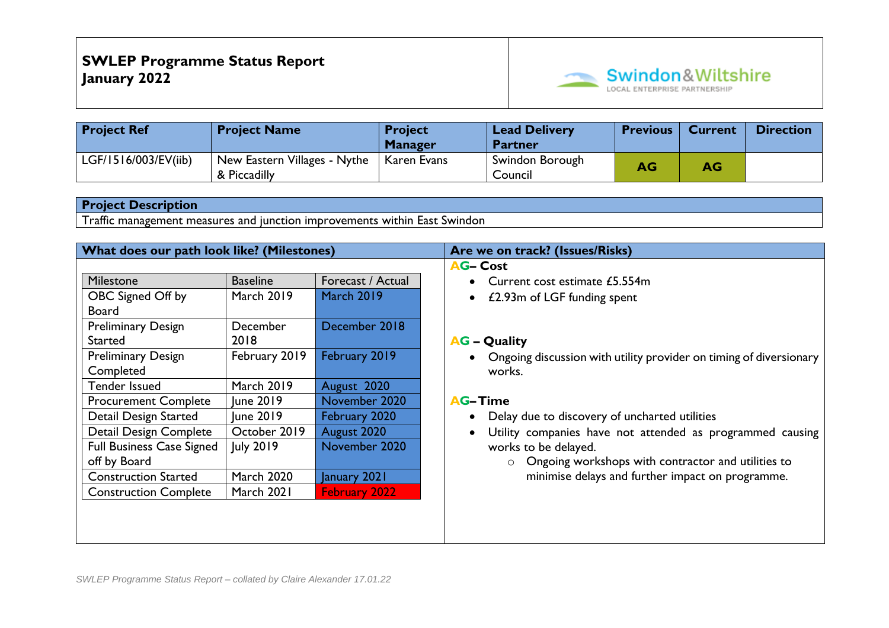

| <b>Project Ref</b>   | <b>Project Name</b>                          | <b>Project</b><br><b>Manager</b> | <b>Lead Delivery</b><br><b>Partner</b> | <b>Previous</b> | <b>Current</b> | <b>Direction</b> |
|----------------------|----------------------------------------------|----------------------------------|----------------------------------------|-----------------|----------------|------------------|
| LGF/1516/003/EV(iib) | New Eastern Villages - Nythe<br>& Piccadilly | Karen Evans                      | Swindon Borough<br>Council             | AG/             | AG             |                  |

Traffic management measures and junction improvements within East Swindon

| What does our path look like? (Milestones) |                   |                   | Are we on track? (Issues/Risks)                                        |
|--------------------------------------------|-------------------|-------------------|------------------------------------------------------------------------|
|                                            |                   |                   | <b>AG-Cost</b>                                                         |
| <b>Milestone</b>                           | <b>Baseline</b>   | Forecast / Actual | Current cost estimate £5.554m<br>$\bullet$                             |
| OBC Signed Off by                          | <b>March 2019</b> | <b>March 2019</b> | £2.93m of LGF funding spent<br>$\bullet$                               |
| <b>Board</b>                               |                   |                   |                                                                        |
| <b>Preliminary Design</b>                  | December          | December 2018     |                                                                        |
| <b>Started</b>                             | 2018              |                   | <b>AG – Quality</b>                                                    |
| <b>Preliminary Design</b>                  | February 2019     | February 2019     | Ongoing discussion with utility provider on timing of diversionary     |
| Completed                                  |                   |                   | works.                                                                 |
| Tender Issued                              | <b>March 2019</b> | August 2020       |                                                                        |
| <b>Procurement Complete</b>                | June 2019         | November 2020     | <b>AG-Time</b>                                                         |
| Detail Design Started                      | June 2019         | February 2020     | Delay due to discovery of uncharted utilities<br>$\bullet$             |
| Detail Design Complete                     | October 2019      | August 2020       | Utility companies have not attended as programmed causing<br>$\bullet$ |
| <b>Full Business Case Signed</b>           | July 2019         | November 2020     | works to be delayed.                                                   |
| off by Board                               |                   |                   | Ongoing workshops with contractor and utilities to<br>$\circ$          |
| <b>Construction Started</b>                | <b>March 2020</b> | January 2021      | minimise delays and further impact on programme.                       |
| <b>Construction Complete</b>               | March 2021        | February 2022     |                                                                        |
|                                            |                   |                   |                                                                        |
|                                            |                   |                   |                                                                        |
|                                            |                   |                   |                                                                        |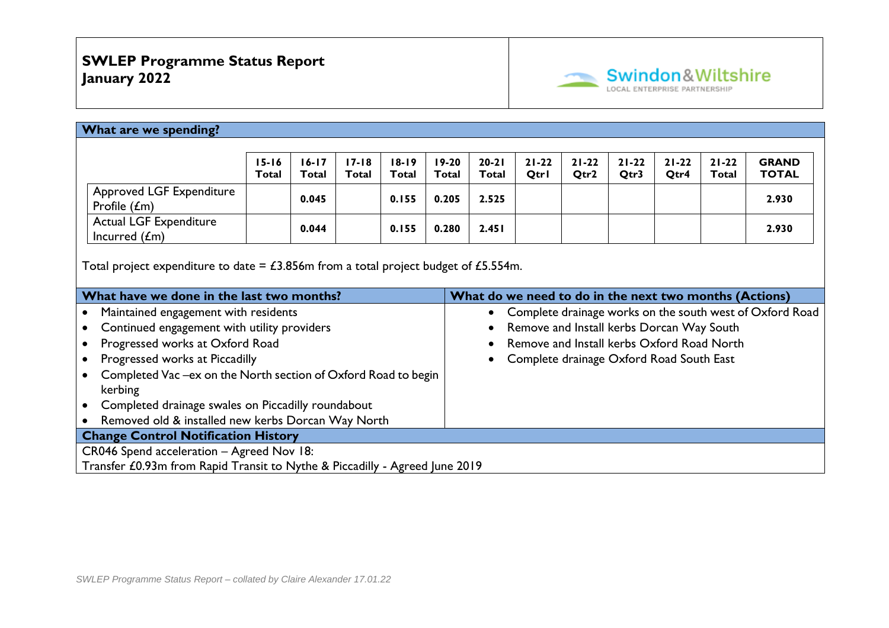

| What are we spending?                                                                                              |           |           |           |           |         |                                                                       |           |           |           |           |           |              |
|--------------------------------------------------------------------------------------------------------------------|-----------|-----------|-----------|-----------|---------|-----------------------------------------------------------------------|-----------|-----------|-----------|-----------|-----------|--------------|
|                                                                                                                    |           |           |           |           |         |                                                                       |           |           |           |           |           |              |
|                                                                                                                    | $15 - 16$ | $16 - 17$ | $17 - 18$ | $18 - 19$ | $19-20$ | $20 - 21$                                                             | $21 - 22$ | $21 - 22$ | $21 - 22$ | $21 - 22$ | $21 - 22$ | <b>GRAND</b> |
|                                                                                                                    | Total     | Total     | Total     | Total     | Total   | Total                                                                 | Otrl      | Qtr2      | Otr3      | Otr4      | Total     | <b>TOTAL</b> |
| Approved LGF Expenditure<br>Profile $(fm)$                                                                         |           | 0.045     |           | 0.155     | 0.205   | 2.525                                                                 |           |           |           |           |           | 2.930        |
| <b>Actual LGF Expenditure</b><br>Incurred $(fm)$                                                                   |           | 0.044     |           | 0.155     | 0.280   | 2.451                                                                 |           |           |           |           |           | 2.930        |
| Total project expenditure to date = $\text{\pounds}3.856m$ from a total project budget of $\text{\pounds}5.554m$ . |           |           |           |           |         |                                                                       |           |           |           |           |           |              |
| What have we done in the last two months?                                                                          |           |           |           |           |         | What do we need to do in the next two months (Actions)                |           |           |           |           |           |              |
| Maintained engagement with residents<br>$\bullet$                                                                  |           |           |           |           |         | Complete drainage works on the south west of Oxford Road<br>$\bullet$ |           |           |           |           |           |              |
| Continued engagement with utility providers<br>$\bullet$                                                           |           |           |           |           |         | Remove and Install kerbs Dorcan Way South<br>$\bullet$                |           |           |           |           |           |              |
| Progressed works at Oxford Road<br>٠                                                                               |           |           |           |           |         | Remove and Install kerbs Oxford Road North                            |           |           |           |           |           |              |
| Progressed works at Piccadilly<br>$\bullet$                                                                        |           |           |           |           |         | Complete drainage Oxford Road South East<br>$\bullet$                 |           |           |           |           |           |              |
| Completed Vac -ex on the North section of Oxford Road to begin<br>$\bullet$<br>kerbing                             |           |           |           |           |         |                                                                       |           |           |           |           |           |              |
| Completed drainage swales on Piccadilly roundabout<br>$\bullet$                                                    |           |           |           |           |         |                                                                       |           |           |           |           |           |              |
| Removed old & installed new kerbs Dorcan Way North                                                                 |           |           |           |           |         |                                                                       |           |           |           |           |           |              |
| <b>Change Control Notification History</b>                                                                         |           |           |           |           |         |                                                                       |           |           |           |           |           |              |
| CR046 Spend acceleration - Agreed Nov 18:                                                                          |           |           |           |           |         |                                                                       |           |           |           |           |           |              |
| Transfer £0.93m from Rapid Transit to Nythe & Piccadilly - Agreed June 2019                                        |           |           |           |           |         |                                                                       |           |           |           |           |           |              |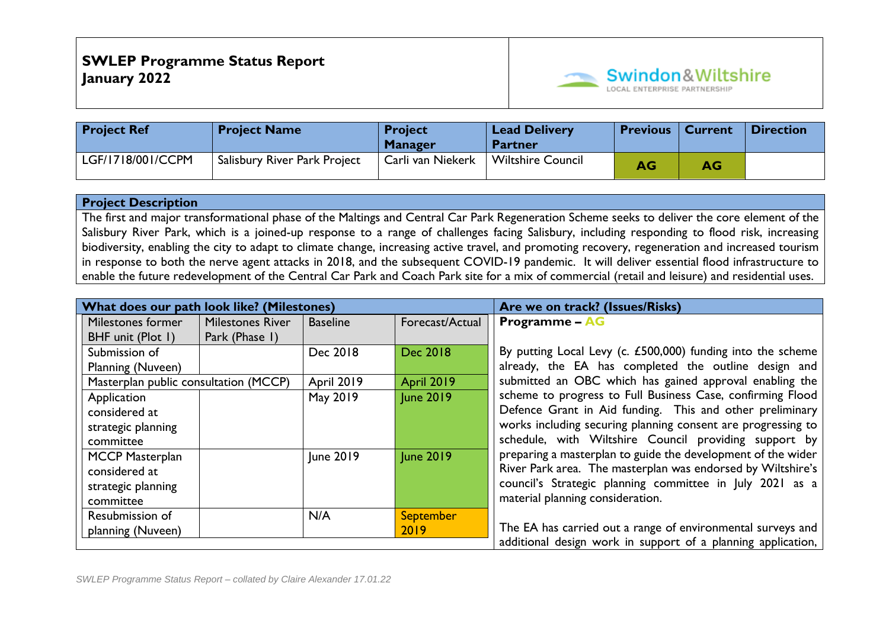

| <b>Project Ref</b> | <b>Project Name</b>          | <b>Project</b><br><b>Manager</b> | <b>Lead Delivery</b><br><b>Partner</b> | Previous   Current |    | ∣ Direction |
|--------------------|------------------------------|----------------------------------|----------------------------------------|--------------------|----|-------------|
| LGF/1718/001/CCPM  | Salisbury River Park Project | Carli van Niekerk                | <b>Wiltshire Council</b>               | AG                 | AG |             |

The first and major transformational phase of the Maltings and Central Car Park Regeneration Scheme seeks to deliver the core element of the Salisbury River Park, which is a joined-up response to a range of challenges facing Salisbury, including responding to flood risk, increasing biodiversity, enabling the city to adapt to climate change, increasing active travel, and promoting recovery, regeneration and increased tourism in response to both the nerve agent attacks in 2018, and the subsequent COVID-19 pandemic. It will deliver essential flood infrastructure to enable the future redevelopment of the Central Car Park and Coach Park site for a mix of commercial (retail and leisure) and residential uses.

| What does our path look like? (Milestones) |                         |                   | Are we on track? (Issues/Risks) |                                                              |
|--------------------------------------------|-------------------------|-------------------|---------------------------------|--------------------------------------------------------------|
| Milestones former                          | <b>Milestones River</b> | <b>Baseline</b>   | Forecast/Actual                 | <b>Programme – AG</b>                                        |
| BHF unit (Plot 1)                          | Park (Phase I)          |                   |                                 |                                                              |
| Submission of                              |                         | Dec 2018          | Dec 2018                        | By putting Local Levy (c. £500,000) funding into the scheme  |
| Planning (Nuveen)                          |                         |                   |                                 | already, the EA has completed the outline design and         |
| Masterplan public consultation (MCCP)      |                         | <b>April 2019</b> | <b>April 2019</b>               | submitted an OBC which has gained approval enabling the      |
| Application                                |                         | May 2019          | <b>June 2019</b>                | scheme to progress to Full Business Case, confirming Flood   |
| considered at                              |                         |                   |                                 | Defence Grant in Aid funding. This and other preliminary     |
| strategic planning                         |                         |                   |                                 | works including securing planning consent are progressing to |
| committee                                  |                         |                   |                                 | schedule, with Wiltshire Council providing support by        |
| <b>MCCP Masterplan</b>                     |                         | June 2019         | <b>June 2019</b>                | preparing a masterplan to guide the development of the wider |
| considered at                              |                         |                   |                                 | River Park area. The masterplan was endorsed by Wiltshire's  |
| strategic planning                         |                         |                   |                                 | council's Strategic planning committee in July 2021 as a     |
| committee                                  |                         |                   |                                 | material planning consideration.                             |
| Resubmission of                            |                         | N/A               | <b>September</b>                |                                                              |
| planning (Nuveen)                          |                         |                   | 2019                            | The EA has carried out a range of environmental surveys and  |
|                                            |                         |                   |                                 | additional design work in support of a planning application, |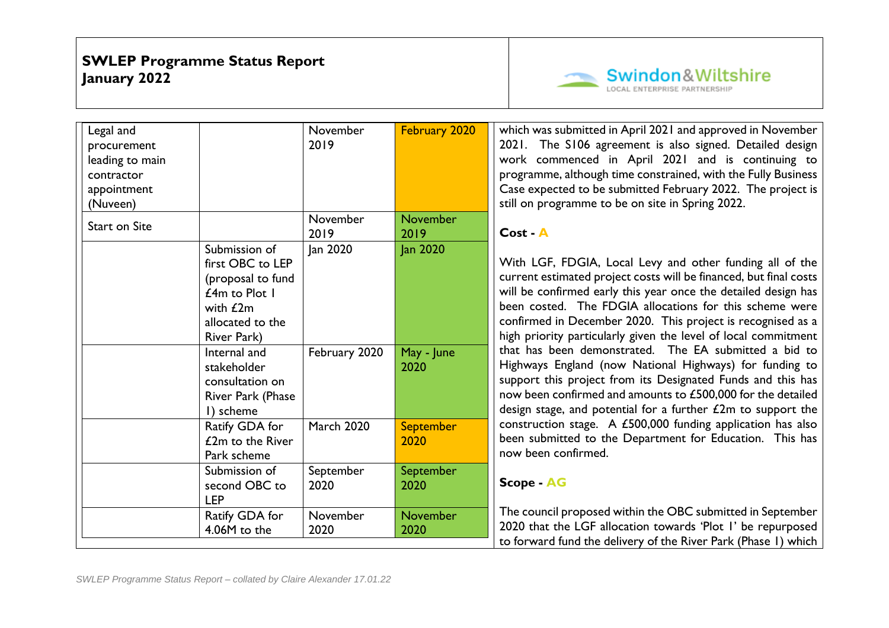

| Legal and<br>procurement<br>leading to main<br>contractor<br>appointment<br>(Nuveen) |                                                                                                                                                                                                                | November<br>2019          | February 2020                  | which was submitted in April 2021 and approved in November<br>2021. The S106 agreement is also signed. Detailed design<br>work commenced in April 2021 and is continuing to<br>programme, although time constrained, with the Fully Business<br>Case expected to be submitted February 2022. The project is<br>still on programme to be on site in Spring 2022.                                                                                                                                                                                                                                                                                                                                                 |
|--------------------------------------------------------------------------------------|----------------------------------------------------------------------------------------------------------------------------------------------------------------------------------------------------------------|---------------------------|--------------------------------|-----------------------------------------------------------------------------------------------------------------------------------------------------------------------------------------------------------------------------------------------------------------------------------------------------------------------------------------------------------------------------------------------------------------------------------------------------------------------------------------------------------------------------------------------------------------------------------------------------------------------------------------------------------------------------------------------------------------|
| <b>Start on Site</b>                                                                 |                                                                                                                                                                                                                | November<br>2019          | <b>November</b><br>2019        | Cost - A                                                                                                                                                                                                                                                                                                                                                                                                                                                                                                                                                                                                                                                                                                        |
|                                                                                      | Submission of<br>first OBC to LEP<br>(proposal to fund<br>$£4m$ to Plot I<br>with $E2m$<br>allocated to the<br>River Park)<br>Internal and<br>stakeholder<br>consultation on<br>River Park (Phase<br>I) scheme | Jan 2020<br>February 2020 | Jan 2020<br>May - June<br>2020 | With LGF, FDGIA, Local Levy and other funding all of the<br>current estimated project costs will be financed, but final costs<br>will be confirmed early this year once the detailed design has<br>been costed. The FDGIA allocations for this scheme were<br>confirmed in December 2020. This project is recognised as a<br>high priority particularly given the level of local commitment<br>that has been demonstrated. The EA submitted a bid to<br>Highways England (now National Highways) for funding to<br>support this project from its Designated Funds and this has<br>now been confirmed and amounts to £500,000 for the detailed<br>design stage, and potential for a further $£2m$ to support the |
|                                                                                      | Ratify GDA for<br>£2m to the River<br>Park scheme                                                                                                                                                              | <b>March 2020</b>         | <b>September</b><br>2020       | construction stage. A £500,000 funding application has also<br>been submitted to the Department for Education. This has<br>now been confirmed.                                                                                                                                                                                                                                                                                                                                                                                                                                                                                                                                                                  |
|                                                                                      | Submission of<br>second OBC to<br><b>LEP</b>                                                                                                                                                                   | September<br>2020         | September<br>2020              | <b>Scope - AG</b>                                                                                                                                                                                                                                                                                                                                                                                                                                                                                                                                                                                                                                                                                               |
|                                                                                      | Ratify GDA for<br>4.06M to the                                                                                                                                                                                 | November<br>2020          | <b>November</b><br>2020        | The council proposed within the OBC submitted in September<br>2020 that the LGF allocation towards 'Plot I' be repurposed<br>to forward fund the delivery of the River Park (Phase I) which                                                                                                                                                                                                                                                                                                                                                                                                                                                                                                                     |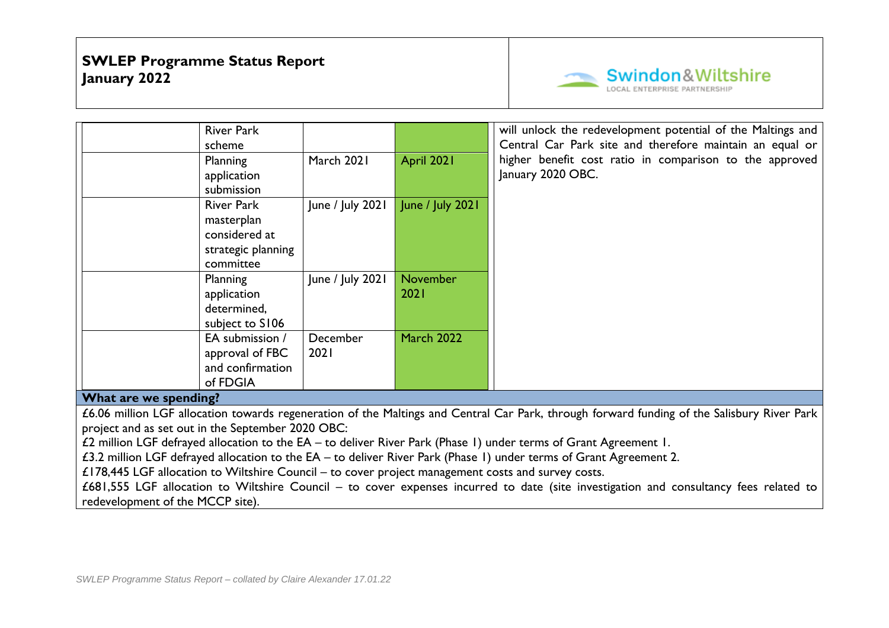

| <b>River Park</b><br>scheme                                        |                  |                   | will unlock the redevelopment potential of the Maltings and<br>Central Car Park site and therefore maintain an equal or |
|--------------------------------------------------------------------|------------------|-------------------|-------------------------------------------------------------------------------------------------------------------------|
| Planning<br>application<br>submission                              | March 2021       | April 2021        | higher benefit cost ratio in comparison to the approved<br>January 2020 OBC.                                            |
| <b>River Park</b><br>masterplan<br>considered at                   | June / July 2021 | June / July 2021  |                                                                                                                         |
| strategic planning<br>committee                                    |                  |                   |                                                                                                                         |
| Planning<br>application<br>determined,<br>subject to S106          | June / July 2021 | November<br>2021  |                                                                                                                         |
| EA submission /<br>approval of FBC<br>and confirmation<br>of FDGIA | December<br>2021 | <b>March 2022</b> |                                                                                                                         |

#### **What are we spending?**

£6.06 million LGF allocation towards regeneration of the Maltings and Central Car Park, through forward funding of the Salisbury River Park project and as set out in the September 2020 OBC:

£2 million LGF defrayed allocation to the EA – to deliver River Park (Phase 1) under terms of Grant Agreement 1.

£3.2 million LGF defrayed allocation to the EA – to deliver River Park (Phase 1) under terms of Grant Agreement 2.

£178,445 LGF allocation to Wiltshire Council – to cover project management costs and survey costs.

£681,555 LGF allocation to Wiltshire Council – to cover expenses incurred to date (site investigation and consultancy fees related to redevelopment of the MCCP site).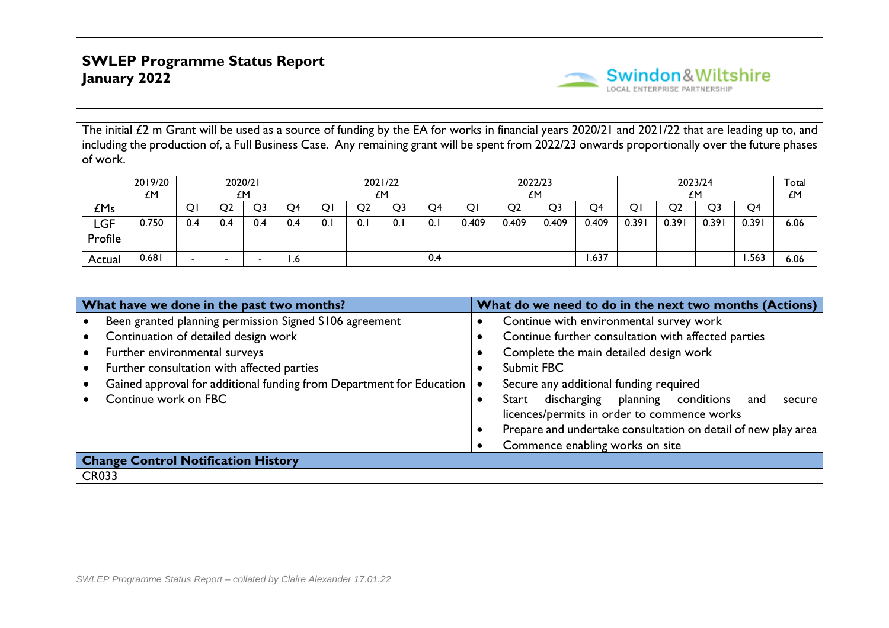

The initial £2 m Grant will be used as a source of funding by the EA for works in financial years 2020/21 and 2021/22 that are leading up to, and including the production of, a Full Business Case. Any remaining grant will be spent from 2022/23 onwards proportionally over the future phases of work.

|                | 2019/20<br><b>LM</b> |     | 2020/21<br>£Μ |                |     |     | £Μ             | 2021/22 |     |       |                | 2022/23<br>£Μ |       |      | £M             | 2023/24 |                | Total<br>£M |
|----------------|----------------------|-----|---------------|----------------|-----|-----|----------------|---------|-----|-------|----------------|---------------|-------|------|----------------|---------|----------------|-------------|
| £Ms            |                      | Q.  | O2            | Q <sub>3</sub> | O4  |     | Q <sub>2</sub> | Q3      | Q4  | Q۱    | Q <sub>2</sub> | Q3            | Q4    | Q۱   | Q <sub>2</sub> | Q3      | Q <sub>4</sub> |             |
| LGF<br>Profile | 0.750                | 0.4 | 4.0           | 0.4            | 0.4 | v.ı | 0.             | 0.1     | 0.1 | 0.409 | 0.409          | 0.409         | 0.409 | 0.39 | 0.391          | 0.391   | 0.391          | 6.06        |
| Actual         | 0.681                | -   |               |                | 1.6 |     |                |         | 0.4 |       |                |               | .637  |      |                |         | .563           | 6.06        |

| What have we done in the past two months?                            | What do we need to do in the next two months (Actions)        |
|----------------------------------------------------------------------|---------------------------------------------------------------|
| Been granted planning permission Signed S106 agreement               | Continue with environmental survey work                       |
| Continuation of detailed design work                                 | Continue further consultation with affected parties           |
| Further environmental surveys                                        | Complete the main detailed design work                        |
| Further consultation with affected parties                           | Submit FBC                                                    |
| Gained approval for additional funding from Department for Education | Secure any additional funding required                        |
| Continue work on FBC                                                 | discharging planning conditions and<br>Start<br>secure        |
|                                                                      | licences/permits in order to commence works                   |
|                                                                      | Prepare and undertake consultation on detail of new play area |
|                                                                      | Commence enabling works on site                               |
| <b>Change Control Notification History</b>                           |                                                               |
| <b>CR033</b>                                                         |                                                               |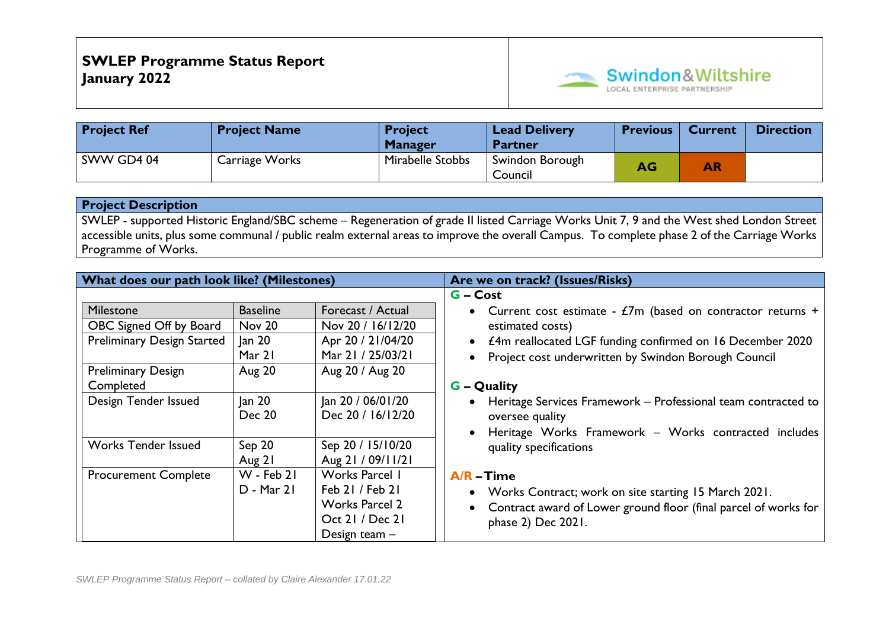

| <b>Project Ref</b> | <b>Project Name</b> | <b>Project</b><br><b>Manager</b> | <b>Lead Delivery</b><br><b>Partner</b> | <b>Previous</b> | <b>Current</b> | <b>Direction</b> |
|--------------------|---------------------|----------------------------------|----------------------------------------|-----------------|----------------|------------------|
| SWW GD4 04         | Carriage Works      | Mirabelle Stobbs                 | Swindon Borough<br>Council             | AG/             | AR             |                  |

SWLEP - supported Historic England/SBC scheme – Regeneration of grade II listed Carriage Works Unit 7, 9 and the West shed London Street accessible units, plus some communal / public realm external areas to improve the overall Campus. To complete phase 2 of the Carriage Works Programme of Works.

| What does our path look like? (Milestones) |                   |                       | Are we on track? (Issues/Risks)                                              |
|--------------------------------------------|-------------------|-----------------------|------------------------------------------------------------------------------|
|                                            |                   |                       | $G - Cost$                                                                   |
| Milestone                                  | <b>Baseline</b>   | Forecast / Actual     | • Current cost estimate - $\pounds 7m$ (based on contractor returns +        |
| OBC Signed Off by Board                    | Nov 20            | Nov 20 / 16/12/20     | estimated costs)                                                             |
| <b>Preliminary Design Started</b>          | an 20             | Apr 20 / 21/04/20     | • £4m reallocated LGF funding confirmed on 16 December 2020                  |
|                                            | Mar 21            | Mar 21 / 25/03/21     | Project cost underwritten by Swindon Borough Council                         |
| <b>Preliminary Design</b>                  | <b>Aug 20</b>     | Aug 20 / Aug 20       |                                                                              |
| Completed                                  |                   |                       | <b>G</b> – Quality                                                           |
| Design Tender Issued                       | an 20             | Jan 20 / 06/01/20     | Heritage Services Framework - Professional team contracted to<br>$\bullet$   |
|                                            | <b>Dec 20</b>     | Dec 20 / 16/12/20     | oversee quality                                                              |
|                                            |                   |                       | Heritage Works Framework - Works contracted includes                         |
| <b>Works Tender Issued</b>                 | Sep 20            | Sep 20 / 15/10/20     | quality specifications                                                       |
|                                            | Aug 21            | Aug 21 / 09/11/21     |                                                                              |
| <b>Procurement Complete</b>                | $W - Feb 21$      | Works Parcel 1        | $A/R - Time$                                                                 |
|                                            | <b>D</b> - Mar 21 | Feb 21 / Feb 21       | • Works Contract; work on site starting 15 March 2021.                       |
|                                            |                   | <b>Works Parcel 2</b> | Contract award of Lower ground floor (final parcel of works for<br>$\bullet$ |
|                                            |                   | Oct 21 / Dec 21       | phase 2) Dec 2021.                                                           |
|                                            |                   | Design team $-$       |                                                                              |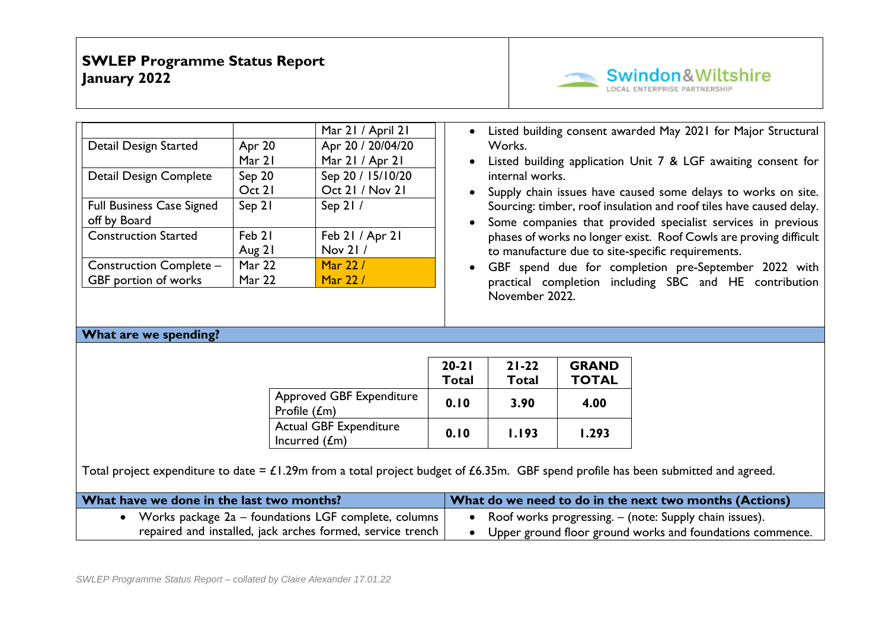

|                                                  |               | Mar 21 / April 21 |
|--------------------------------------------------|---------------|-------------------|
| Detail Design Started                            | Apr 20        | Apr 20 / 20/04/20 |
|                                                  | Mar 21        | Mar 21 / Apr 21   |
| Detail Design Complete                           | Sep 20        | Sep 20 / 15/10/20 |
|                                                  | Oct 21        | Oct 21 / Nov 21   |
| <b>Full Business Case Signed</b><br>off by Board | Sep 21        | Sep 21 /          |
| <b>Construction Started</b>                      | Feb 21        | Feb 21 / Apr 21   |
|                                                  | Aug 21        | Nov 21/           |
| <b>Construction Complete -</b>                   | Mar 22        | Mar 22/           |
| GBF portion of works                             | <b>Mar 22</b> | Mar 22/           |

- Listed building consent awarded May 2021 for Major Structural Works.
- Listed building application Unit 7 & LGF awaiting consent for internal works.
- Supply chain issues have caused some delays to works on site. Sourcing: timber, roof insulation and roof tiles have caused delay.
- Some companies that provided specialist services in previous phases of works no longer exist. Roof Cowls are proving difficult to manufacture due to site-specific requirements.
- GBF spend due for completion pre-September 2022 with practical completion including SBC and HE contribution November 2022.

### **What are we spending?**

|                                                  | $20 - 21$<br><b>Total</b> | $21 - 22$<br><b>Total</b> | <b>GRAND</b><br><b>TOTAL</b> |
|--------------------------------------------------|---------------------------|---------------------------|------------------------------|
| <b>Approved GBF Expenditure</b><br>Profile (£m)  | 0.10                      | 3.90                      | 4.00                         |
| <b>Actual GBF Expenditure</b><br>Incurred $(fm)$ | 0.10                      | 1.193                     | 1.293                        |

Total project expenditure to date =  $£1.29$ m from a total project budget of £6.35m. GBF spend profile has been submitted and agreed.

| What have we done in the last two months?                  | What do we need to do in the next two months (Actions)    |  |  |  |  |  |
|------------------------------------------------------------|-----------------------------------------------------------|--|--|--|--|--|
| Works package 2a – foundations LGF complete, columns       | Roof works progressing. – (note: Supply chain issues).    |  |  |  |  |  |
| repaired and installed, jack arches formed, service trench | Upper ground floor ground works and foundations commence. |  |  |  |  |  |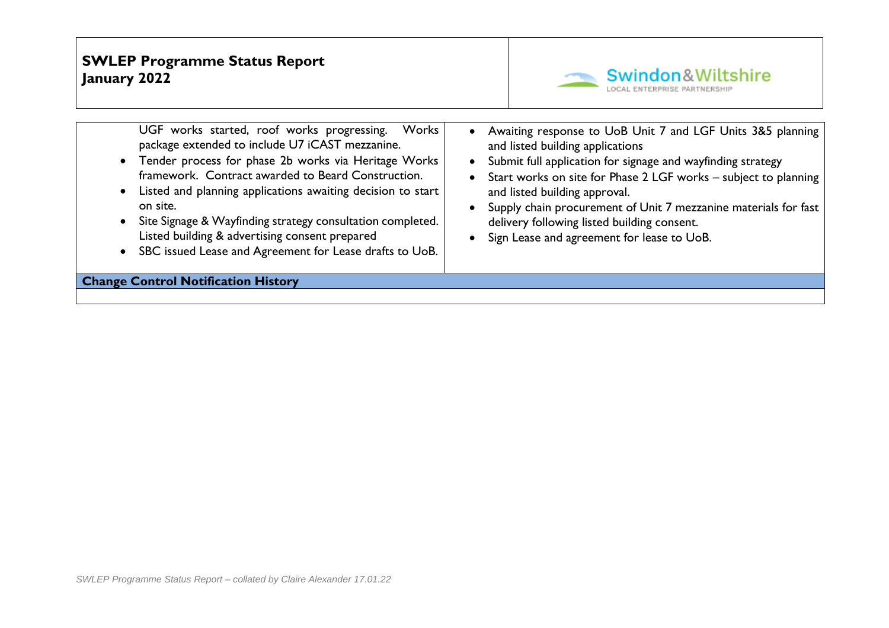

| UGF works started, roof works progressing.<br>Works<br>package extended to include U7 iCAST mezzanine.<br>• Tender process for phase 2b works via Heritage Works<br>framework. Contract awarded to Beard Construction.<br>Listed and planning applications awaiting decision to start<br>on site.<br>Site Signage & Wayfinding strategy consultation completed.<br>Listed building & advertising consent prepared<br>SBC issued Lease and Agreement for Lease drafts to UoB. | Awaiting response to UoB Unit 7 and LGF Units 3&5 planning<br>and listed building applications<br>Submit full application for signage and wayfinding strategy<br>Start works on site for Phase 2 LGF works - subject to planning<br>and listed building approval.<br>Supply chain procurement of Unit 7 mezzanine materials for fast<br>delivery following listed building consent.<br>Sign Lease and agreement for lease to UoB. |
|------------------------------------------------------------------------------------------------------------------------------------------------------------------------------------------------------------------------------------------------------------------------------------------------------------------------------------------------------------------------------------------------------------------------------------------------------------------------------|-----------------------------------------------------------------------------------------------------------------------------------------------------------------------------------------------------------------------------------------------------------------------------------------------------------------------------------------------------------------------------------------------------------------------------------|
| <b>Change Control Notification History</b>                                                                                                                                                                                                                                                                                                                                                                                                                                   |                                                                                                                                                                                                                                                                                                                                                                                                                                   |
|                                                                                                                                                                                                                                                                                                                                                                                                                                                                              |                                                                                                                                                                                                                                                                                                                                                                                                                                   |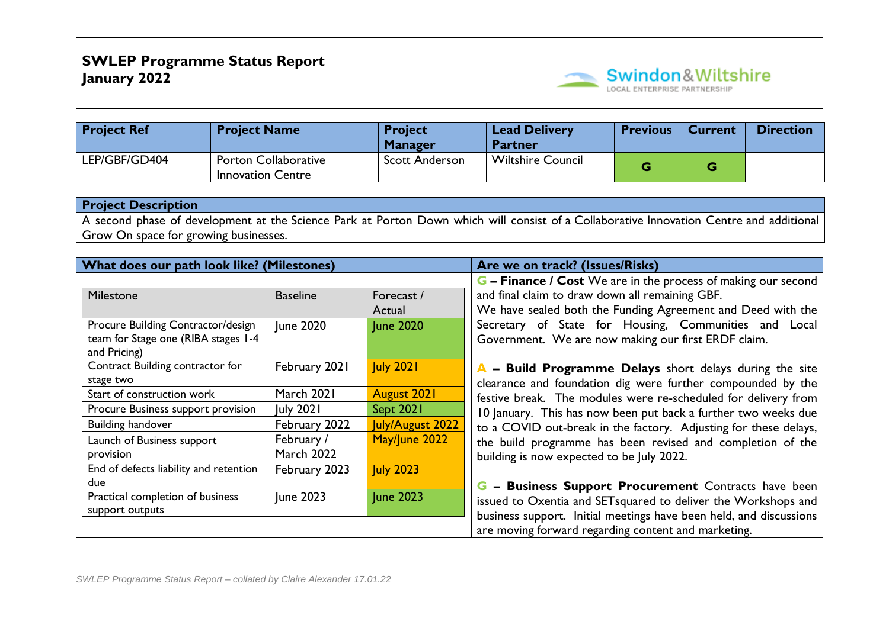

| <b>Project Ref</b> | <b>Project Name</b>                                     | <b>Project</b><br><b>Manager</b> | Lead Delivery<br><b>Partner</b> | <b>Previous</b> | <b>Current</b> | <b>Direction</b> |
|--------------------|---------------------------------------------------------|----------------------------------|---------------------------------|-----------------|----------------|------------------|
| LEP/GBF/GD404      | <b>Porton Collaborative</b><br><b>Innovation Centre</b> | <b>Scott Anderson</b>            | <b>Wiltshire Council</b>        |                 |                |                  |

A second phase of development at the Science Park at Porton Down which will consist of a Collaborative Innovation Centre and additional Grow On space for growing businesses.

| What does our path look like? (Milestones)                                                |                                 |                      | Are we on track? (Issues/Risks)                                                                                                     |
|-------------------------------------------------------------------------------------------|---------------------------------|----------------------|-------------------------------------------------------------------------------------------------------------------------------------|
|                                                                                           |                                 |                      | G - Finance / Cost We are in the process of making our second                                                                       |
| Milestone                                                                                 | <b>Baseline</b>                 | Forecast /<br>Actual | and final claim to draw down all remaining GBF.<br>We have sealed both the Funding Agreement and Deed with the                      |
| Procure Building Contractor/design<br>team for Stage one (RIBA stages 1-4<br>and Pricing) | June 2020                       | <b>June 2020</b>     | Secretary of State for Housing, Communities and Local<br>Government. We are now making our first ERDF claim.                        |
| Contract Building contractor for<br>stage two                                             | February 2021                   | <b>July 2021</b>     | A - Build Programme Delays short delays during the site<br>clearance and foundation dig were further compounded by the              |
| Start of construction work                                                                | March 2021                      | <b>August 2021</b>   | festive break. The modules were re-scheduled for delivery from                                                                      |
| Procure Business support provision                                                        | <b>July 2021</b>                | <b>Sept 2021</b>     | 10 January. This has now been put back a further two weeks due                                                                      |
| <b>Building handover</b>                                                                  | February 2022                   | July/August 2022     | to a COVID out-break in the factory. Adjusting for these delays,                                                                    |
| Launch of Business support<br>provision                                                   | February /<br><b>March 2022</b> | May/June 2022        | the build programme has been revised and completion of the<br>building is now expected to be July 2022.                             |
| End of defects liability and retention<br>due                                             | February 2023                   | <b>July 2023</b>     | G - Business Support Procurement Contracts have been                                                                                |
| Practical completion of business<br>support outputs                                       | June 2023                       | June 2023            | issued to Oxentia and SETsquared to deliver the Workshops and<br>business support. Initial meetings have been held, and discussions |
|                                                                                           |                                 |                      | are moving forward regarding content and marketing.                                                                                 |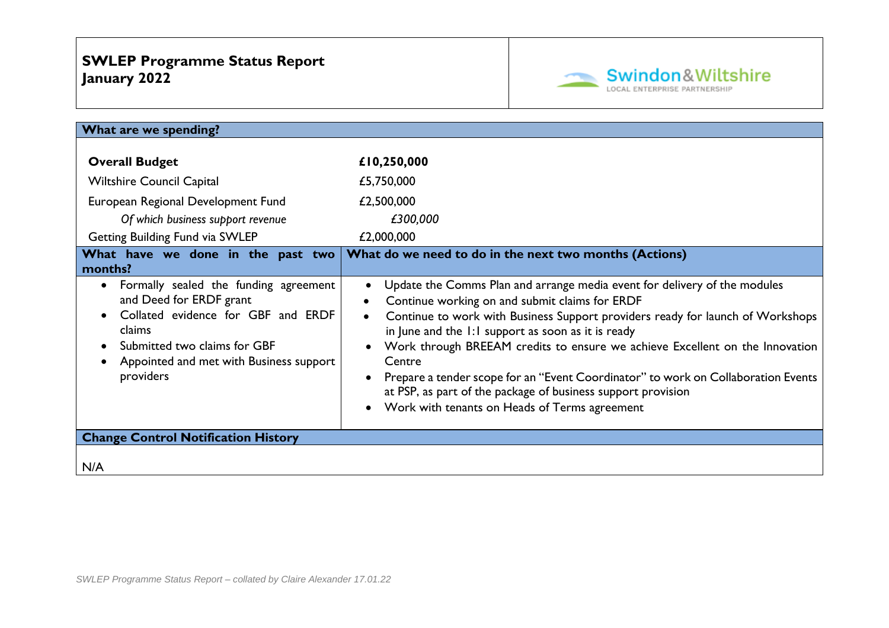

| What are we spending?                                                                                                                                                                                    |                                                                                                                                                                                                                                                                                                                                                                                                                                                                                                                                                                                               |
|----------------------------------------------------------------------------------------------------------------------------------------------------------------------------------------------------------|-----------------------------------------------------------------------------------------------------------------------------------------------------------------------------------------------------------------------------------------------------------------------------------------------------------------------------------------------------------------------------------------------------------------------------------------------------------------------------------------------------------------------------------------------------------------------------------------------|
| <b>Overall Budget</b><br><b>Wiltshire Council Capital</b><br>European Regional Development Fund<br>Of which business support revenue<br>Getting Building Fund via SWLEP                                  | £10,250,000<br>£5,750,000<br>£2,500,000<br>£300,000<br>£2,000,000                                                                                                                                                                                                                                                                                                                                                                                                                                                                                                                             |
| What have we done in the past two<br>months?                                                                                                                                                             | What do we need to do in the next two months (Actions)                                                                                                                                                                                                                                                                                                                                                                                                                                                                                                                                        |
| Formally sealed the funding agreement<br>and Deed for ERDF grant<br>Collated evidence for GBF and ERDF<br>claims<br>Submitted two claims for GBF<br>Appointed and met with Business support<br>providers | Update the Comms Plan and arrange media event for delivery of the modules<br>$\bullet$<br>Continue working on and submit claims for ERDF<br>Continue to work with Business Support providers ready for launch of Workshops<br>in June and the 1:1 support as soon as it is ready<br>Work through BREEAM credits to ensure we achieve Excellent on the Innovation<br>Centre<br>Prepare a tender scope for an "Event Coordinator" to work on Collaboration Events<br>at PSP, as part of the package of business support provision<br>Work with tenants on Heads of Terms agreement<br>$\bullet$ |
| <b>Change Control Notification History</b>                                                                                                                                                               |                                                                                                                                                                                                                                                                                                                                                                                                                                                                                                                                                                                               |
| N/A                                                                                                                                                                                                      |                                                                                                                                                                                                                                                                                                                                                                                                                                                                                                                                                                                               |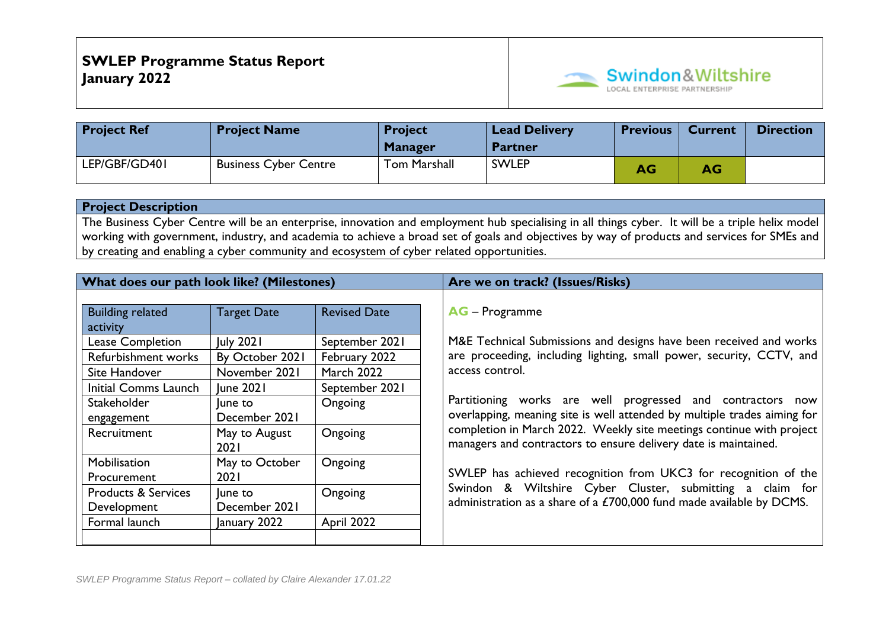

| <b>Project Ref</b> | <b>Project Name</b>          | <b>Project</b><br><b>Manager</b> | <b>Lead Delivery</b><br><b>Partner</b> | <b>Previous</b> | <b>Current</b> | <b>Direction</b> |
|--------------------|------------------------------|----------------------------------|----------------------------------------|-----------------|----------------|------------------|
| LEP/GBF/GD401      | <b>Business Cyber Centre</b> | <b>Tom Marshall</b>              | <b>SWLEP</b>                           | AG              | AG             |                  |

The Business Cyber Centre will be an enterprise, innovation and employment hub specialising in all things cyber. It will be a triple helix model working with government, industry, and academia to achieve a broad set of goals and objectives by way of products and services for SMEs and by creating and enabling a cyber community and ecosystem of cyber related opportunities.

| What does our path look like? (Milestones) |                    |                     | Are we on track? (Issues/Risks)                                          |
|--------------------------------------------|--------------------|---------------------|--------------------------------------------------------------------------|
|                                            |                    |                     |                                                                          |
| <b>Building related</b>                    | <b>Target Date</b> | <b>Revised Date</b> | <b>AG</b> – Programme                                                    |
| activity                                   |                    |                     |                                                                          |
| <b>Lease Completion</b>                    | <b>July 2021</b>   | September 2021      | M&E Technical Submissions and designs have been received and works       |
| Refurbishment works                        | By October 2021    | February 2022       | are proceeding, including lighting, small power, security, CCTV, and     |
| Site Handover                              | November 2021      | <b>March 2022</b>   | access control.                                                          |
| Initial Comms Launch                       | <b>June 2021</b>   | September 2021      |                                                                          |
| <b>Stakeholder</b>                         | lune to            | Ongoing             | Partitioning works are well progressed and contractors now               |
| engagement                                 | December 2021      |                     | overlapping, meaning site is well attended by multiple trades aiming for |
| Recruitment                                | May to August      | Ongoing             | completion in March 2022. Weekly site meetings continue with project     |
|                                            | 2021               |                     | managers and contractors to ensure delivery date is maintained.          |
| Mobilisation                               | May to October     | Ongoing             |                                                                          |
| Procurement                                | 2021               |                     | SWLEP has achieved recognition from UKC3 for recognition of the          |
| <b>Products &amp; Services</b>             | une to             | Ongoing             | Swindon & Wiltshire Cyber Cluster, submitting a claim for                |
| Development                                | December 2021      |                     | administration as a share of a £700,000 fund made available by DCMS.     |
| Formal launch                              | January 2022       | April 2022          |                                                                          |
|                                            |                    |                     |                                                                          |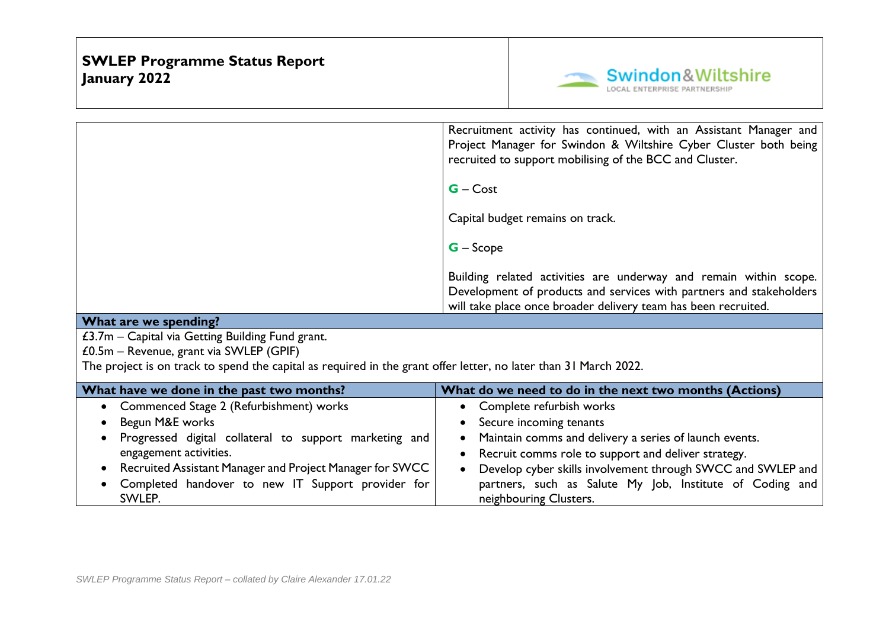

|                                                                                                                  | Recruitment activity has continued, with an Assistant Manager and<br>Project Manager for Swindon & Wiltshire Cyber Cluster both being<br>recruited to support mobilising of the BCC and Cluster. |
|------------------------------------------------------------------------------------------------------------------|--------------------------------------------------------------------------------------------------------------------------------------------------------------------------------------------------|
|                                                                                                                  | $G - Cost$                                                                                                                                                                                       |
|                                                                                                                  | Capital budget remains on track.                                                                                                                                                                 |
|                                                                                                                  | $G -$ Scope                                                                                                                                                                                      |
|                                                                                                                  | Building related activities are underway and remain within scope.                                                                                                                                |
|                                                                                                                  | Development of products and services with partners and stakeholders<br>will take place once broader delivery team has been recruited.                                                            |
| What are we spending?                                                                                            |                                                                                                                                                                                                  |
| £3.7m – Capital via Getting Building Fund grant.                                                                 |                                                                                                                                                                                                  |
| $£0.5m - Revenue$ , grant via SWLEP (GPIF)                                                                       |                                                                                                                                                                                                  |
| The project is on track to spend the capital as required in the grant offer letter, no later than 31 March 2022. |                                                                                                                                                                                                  |
|                                                                                                                  |                                                                                                                                                                                                  |
| What have we done in the past two months?                                                                        | What do we need to do in the next two months (Actions)                                                                                                                                           |
| Commenced Stage 2 (Refurbishment) works                                                                          | Complete refurbish works                                                                                                                                                                         |
| Begun M&E works                                                                                                  | Secure incoming tenants                                                                                                                                                                          |
| Progressed digital collateral to support marketing and                                                           | Maintain comms and delivery a series of launch events.<br>$\bullet$                                                                                                                              |
| engagement activities.                                                                                           | Recruit comms role to support and deliver strategy.<br>$\bullet$                                                                                                                                 |
| Recruited Assistant Manager and Project Manager for SWCC<br>$\bullet$                                            | Develop cyber skills involvement through SWCC and SWLEP and<br>$\bullet$                                                                                                                         |
| Completed handover to new IT Support provider for                                                                | partners, such as Salute My Job, Institute of Coding and                                                                                                                                         |

neighbouring Clusters.

SWLEP.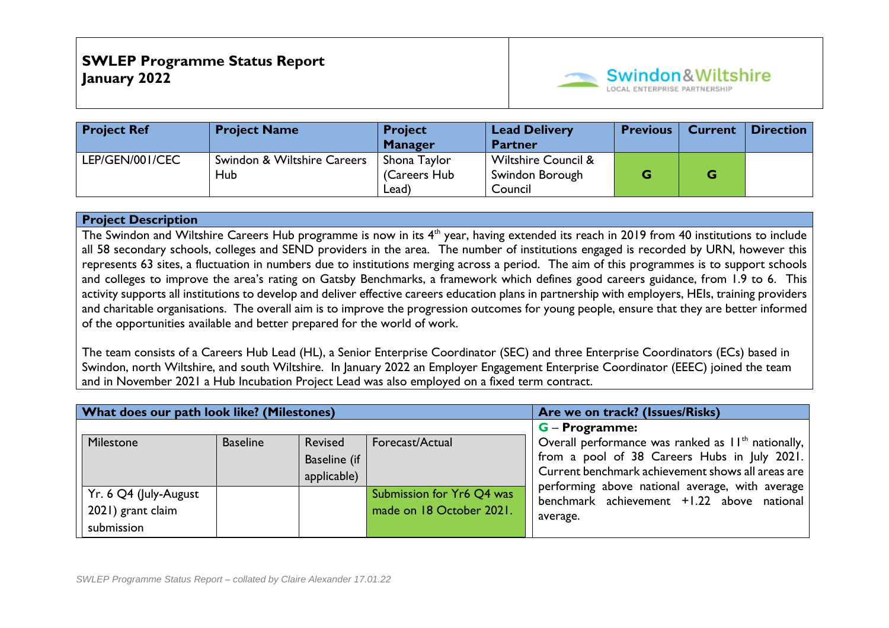

| <b>Project Ref</b> | <b>Project Name</b>                | <b>Project</b><br><b>Manager</b>      | <b>Lead Delivery</b><br><b>Partner</b>                       | <b>Previous</b> | <b>Current</b> | <b>Direction</b> |
|--------------------|------------------------------------|---------------------------------------|--------------------------------------------------------------|-----------------|----------------|------------------|
| LEP/GEN/001/CEC    | Swindon & Wiltshire Careers<br>Hub | Shona Taylor<br>(Careers Hub<br>Lead) | <b>Wiltshire Council &amp;</b><br>Swindon Borough<br>Council | G               |                |                  |

The Swindon and Wiltshire Careers Hub programme is now in its 4<sup>th</sup> year, having extended its reach in 2019 from 40 institutions to include all 58 secondary schools, colleges and SEND providers in the area. The number of institutions engaged is recorded by URN, however this represents 63 sites, a fluctuation in numbers due to institutions merging across a period. The aim of this programmes is to support schools and colleges to improve the area's rating on Gatsby Benchmarks, a framework which defines good careers guidance, from 1.9 to 6. This activity supports all institutions to develop and deliver effective careers education plans in partnership with employers, HEIs, training providers and charitable organisations. The overall aim is to improve the progression outcomes for young people, ensure that they are better informed of the opportunities available and better prepared for the world of work.

The team consists of a Careers Hub Lead (HL), a Senior Enterprise Coordinator (SEC) and three Enterprise Coordinators (ECs) based in Swindon, north Wiltshire, and south Wiltshire. In January 2022 an Employer Engagement Enterprise Coordinator (EEEC) joined the team and in November 2021 a Hub Incubation Project Lead was also employed on a fixed term contract.

| What does our path look like? (Milestones)               |                 |                                        |                                                       | Are we on track? (Issues/Risks)                                                                                                                             |
|----------------------------------------------------------|-----------------|----------------------------------------|-------------------------------------------------------|-------------------------------------------------------------------------------------------------------------------------------------------------------------|
|                                                          |                 |                                        |                                                       | <b>G</b> – Programme:                                                                                                                                       |
| Milestone                                                | <b>Baseline</b> | Revised<br>Baseline (if<br>applicable) | Forecast/Actual                                       | Overall performance was ranked as $11th$ nationally,  <br>from a pool of 38 Careers Hubs in July 2021.<br>Current benchmark achievement shows all areas are |
| Yr. 6 Q4 (July-August<br>2021) grant claim<br>submission |                 |                                        | Submission for Yr6 Q4 was<br>made on 18 October 2021. | performing above national average, with average<br>benchmark achievement +1.22 above national<br>average.                                                   |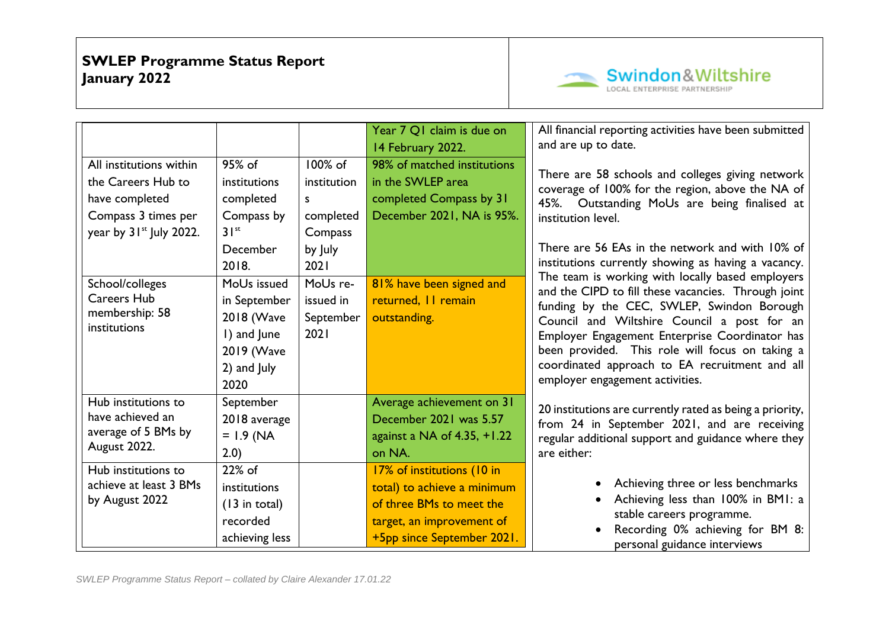

|                                                                                                                               |                                                                                                    |                                                                                     | Year 7 Q1 claim is due on<br>14 February 2022.                                                                                                   | All financial reporting activities have been submitted<br>and are up to date.                                                                                                                                                                                                                                                              |
|-------------------------------------------------------------------------------------------------------------------------------|----------------------------------------------------------------------------------------------------|-------------------------------------------------------------------------------------|--------------------------------------------------------------------------------------------------------------------------------------------------|--------------------------------------------------------------------------------------------------------------------------------------------------------------------------------------------------------------------------------------------------------------------------------------------------------------------------------------------|
| All institutions within<br>the Careers Hub to<br>have completed<br>Compass 3 times per<br>year by 31 <sup>st</sup> July 2022. | 95% of<br>institutions<br>completed<br>Compass by<br>$31^{st}$<br>December<br>2018.<br>MoUs issued | 100% of<br>institution<br>S.<br>completed<br>Compass<br>by July<br>2021<br>MoUs re- | 98% of matched institutions<br>in the SWLEP area<br>completed Compass by 31<br>December 2021, NA is 95%.                                         | There are 58 schools and colleges giving network<br>coverage of 100% for the region, above the NA of<br>45%. Outstanding MoUs are being finalised at<br>institution level.<br>There are 56 EAs in the network and with 10% of<br>institutions currently showing as having a vacancy.<br>The team is working with locally based employers   |
| School/colleges<br><b>Careers Hub</b><br>membership: 58<br>institutions                                                       | in September<br>2018 (Wave<br>I) and June<br>2019 (Wave<br>2) and July<br>2020                     | issued in<br>September<br>2021                                                      | 81% have been signed and<br>returned, II remain<br>outstanding.                                                                                  | and the CIPD to fill these vacancies. Through joint<br>funding by the CEC, SWLEP, Swindon Borough<br>Council and Wiltshire Council a post for an<br>Employer Engagement Enterprise Coordinator has<br>been provided. This role will focus on taking a<br>coordinated approach to EA recruitment and all<br>employer engagement activities. |
| Hub institutions to<br>have achieved an<br>average of 5 BMs by<br>August 2022.                                                | September<br>2018 average<br>$= 1.9$ (NA<br>2.0)                                                   |                                                                                     | Average achievement on 31<br>December 2021 was 5.57<br>against a NA of $4.35, +1.22$<br>on NA.                                                   | 20 institutions are currently rated as being a priority,<br>from 24 in September 2021, and are receiving<br>regular additional support and guidance where they<br>are either:                                                                                                                                                              |
| Hub institutions to<br>achieve at least 3 BMs<br>by August 2022                                                               | 22% of<br>institutions<br>$(13$ in total)<br>recorded<br>achieving less                            |                                                                                     | 17% of institutions (10 in<br>total) to achieve a minimum<br>of three BMs to meet the<br>target, an improvement of<br>+5pp since September 2021. | Achieving three or less benchmarks<br>Achieving less than 100% in BMI: a<br>stable careers programme.<br>Recording 0% achieving for BM 8:<br>personal guidance interviews                                                                                                                                                                  |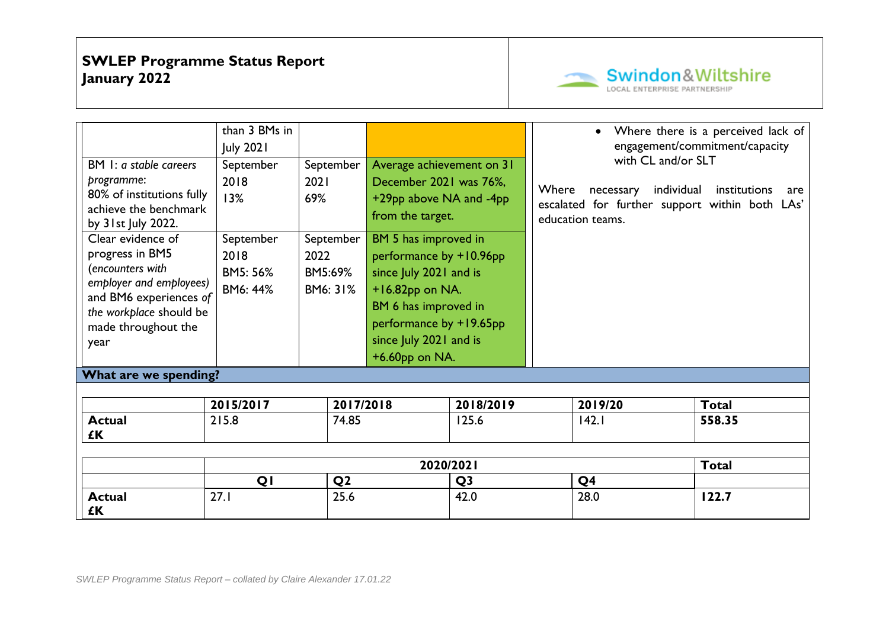

| <b>Actual</b><br>£Κ                               | 27.1             | 25.6           |                           | 42.0           |       | 28.0                                           | 122.7                              |     |
|---------------------------------------------------|------------------|----------------|---------------------------|----------------|-------|------------------------------------------------|------------------------------------|-----|
|                                                   | QI               | Q <sub>2</sub> |                           | Q <sub>3</sub> |       | Q <sub>4</sub>                                 |                                    |     |
|                                                   |                  |                |                           | 2020/2021      |       |                                                | <b>Total</b>                       |     |
|                                                   |                  |                |                           |                |       |                                                |                                    |     |
| <b>Actual</b><br>£Κ                               | 215.8            | 74.85          |                           | 125.6          |       | 142.1                                          | 558.35                             |     |
|                                                   | 2015/2017        | 2017/2018      |                           | 2018/2019      |       | 2019/20                                        | <b>Total</b>                       |     |
|                                                   |                  |                |                           |                |       |                                                |                                    |     |
| What are we spending?                             |                  |                |                           |                |       |                                                |                                    |     |
|                                                   |                  |                | $+6.60$ pp on NA.         |                |       |                                                |                                    |     |
| year                                              |                  |                | since July 2021 and is    |                |       |                                                |                                    |     |
| made throughout the                               |                  |                | performance by +19.65pp   |                |       |                                                |                                    |     |
| the workplace should be                           |                  |                | BM 6 has improved in      |                |       |                                                |                                    |     |
| employer and employees)<br>and BM6 experiences of | BM6: 44%         | BM6: 31%       | $+16.82$ pp on NA.        |                |       |                                                |                                    |     |
| (encounters with                                  | BM5: 56%         | BM5:69%        | since July 2021 and is    |                |       |                                                |                                    |     |
| progress in BM5                                   | 2018             | 2022           | performance by +10.96pp   |                |       |                                                |                                    |     |
| Clear evidence of                                 | September        | September      | BM 5 has improved in      |                |       |                                                |                                    |     |
| by 31st July 2022.                                |                  |                | from the target.          |                |       | education teams.                               |                                    |     |
| achieve the benchmark                             | 13%              | 69%            | +29pp above NA and -4pp   |                |       | escalated for further support within both LAs' |                                    |     |
| programme:<br>80% of institutions fully           | 2018             | 2021           | December 2021 was 76%,    |                | Where | necessary                                      | individual<br>institutions         | are |
| BM 1: a stable careers                            | September        | September      | Average achievement on 31 |                |       |                                                |                                    |     |
|                                                   | <b>July 2021</b> |                |                           |                |       | with CL and/or SLT                             | engagement/commitment/capacity     |     |
|                                                   | than 3 BMs in    |                |                           |                |       |                                                | Where there is a perceived lack of |     |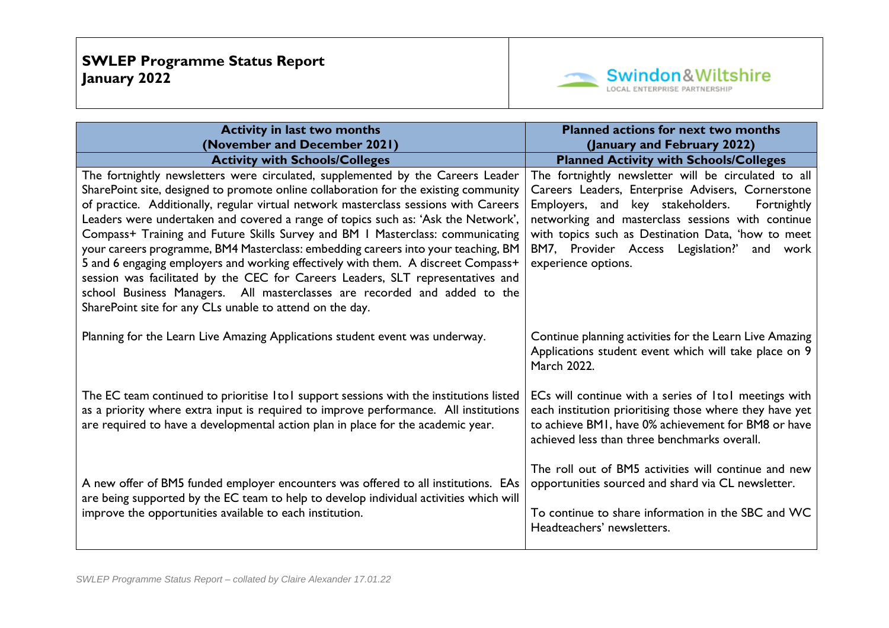

| <b>Activity in last two months</b><br>(November and December 2021)                                                                                                                                                                                                                                                                                                                                                                                                                                                                                                                                                                                                                                                                                                                                                                           | <b>Planned actions for next two months</b><br>(January and February 2022)                                                                                                                                                                                                                                                                     |
|----------------------------------------------------------------------------------------------------------------------------------------------------------------------------------------------------------------------------------------------------------------------------------------------------------------------------------------------------------------------------------------------------------------------------------------------------------------------------------------------------------------------------------------------------------------------------------------------------------------------------------------------------------------------------------------------------------------------------------------------------------------------------------------------------------------------------------------------|-----------------------------------------------------------------------------------------------------------------------------------------------------------------------------------------------------------------------------------------------------------------------------------------------------------------------------------------------|
| <b>Activity with Schools/Colleges</b>                                                                                                                                                                                                                                                                                                                                                                                                                                                                                                                                                                                                                                                                                                                                                                                                        | <b>Planned Activity with Schools/Colleges</b>                                                                                                                                                                                                                                                                                                 |
| The fortnightly newsletters were circulated, supplemented by the Careers Leader<br>SharePoint site, designed to promote online collaboration for the existing community<br>of practice. Additionally, regular virtual network masterclass sessions with Careers<br>Leaders were undertaken and covered a range of topics such as: 'Ask the Network',<br>Compass+ Training and Future Skills Survey and BM I Masterclass: communicating<br>your careers programme, BM4 Masterclass: embedding careers into your teaching, BM<br>5 and 6 engaging employers and working effectively with them. A discreet Compass+<br>session was facilitated by the CEC for Careers Leaders, SLT representatives and<br>school Business Managers. All masterclasses are recorded and added to the<br>SharePoint site for any CLs unable to attend on the day. | The fortnightly newsletter will be circulated to all<br>Careers Leaders, Enterprise Advisers, Cornerstone<br>Employers, and key stakeholders.<br>Fortnightly<br>networking and masterclass sessions with continue<br>with topics such as Destination Data, 'how to meet<br>BM7, Provider Access Legislation?' and work<br>experience options. |
| Planning for the Learn Live Amazing Applications student event was underway.                                                                                                                                                                                                                                                                                                                                                                                                                                                                                                                                                                                                                                                                                                                                                                 | Continue planning activities for the Learn Live Amazing<br>Applications student event which will take place on 9<br>March 2022.                                                                                                                                                                                                               |
| The EC team continued to prioritise ItoI support sessions with the institutions listed<br>as a priority where extra input is required to improve performance. All institutions<br>are required to have a developmental action plan in place for the academic year.                                                                                                                                                                                                                                                                                                                                                                                                                                                                                                                                                                           | ECs will continue with a series of ItoI meetings with<br>each institution prioritising those where they have yet<br>to achieve BMI, have 0% achievement for BM8 or have<br>achieved less than three benchmarks overall.                                                                                                                       |
| A new offer of BM5 funded employer encounters was offered to all institutions. EAs<br>are being supported by the EC team to help to develop individual activities which will<br>improve the opportunities available to each institution.                                                                                                                                                                                                                                                                                                                                                                                                                                                                                                                                                                                                     | The roll out of BM5 activities will continue and new<br>opportunities sourced and shard via CL newsletter.<br>To continue to share information in the SBC and WC<br>Headteachers' newsletters.                                                                                                                                                |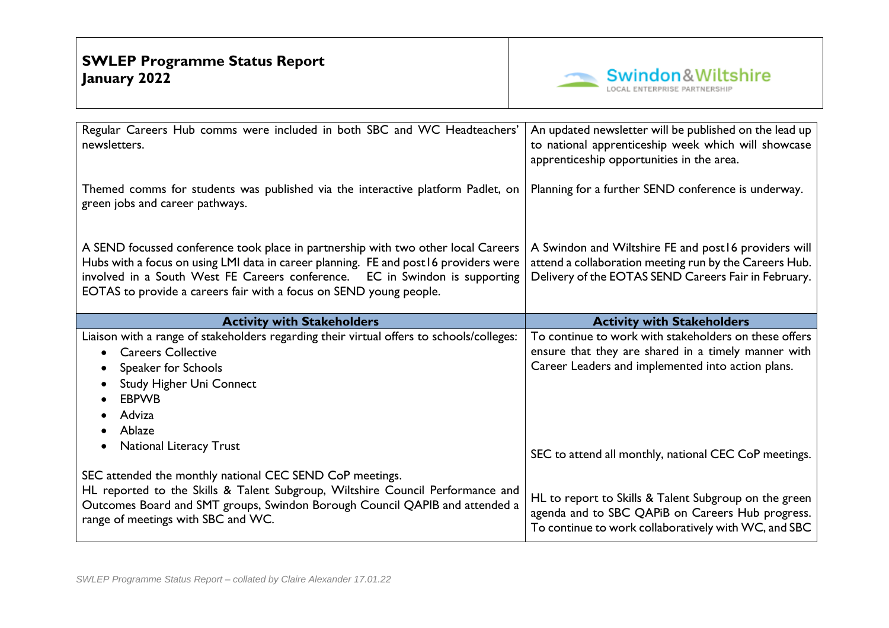

| Regular Careers Hub comms were included in both SBC and WC Headteachers'<br>newsletters.                                                                                                                                                                                                                                        | An updated newsletter will be published on the lead up<br>to national apprenticeship week which will showcase<br>apprenticeship opportunities in the area.              |
|---------------------------------------------------------------------------------------------------------------------------------------------------------------------------------------------------------------------------------------------------------------------------------------------------------------------------------|-------------------------------------------------------------------------------------------------------------------------------------------------------------------------|
| Themed comms for students was published via the interactive platform Padlet, on<br>green jobs and career pathways.                                                                                                                                                                                                              | Planning for a further SEND conference is underway.                                                                                                                     |
| A SEND focussed conference took place in partnership with two other local Careers<br>Hubs with a focus on using LMI data in career planning. FE and post 16 providers were<br>involved in a South West FE Careers conference. EC in Swindon is supporting<br>EOTAS to provide a careers fair with a focus on SEND young people. | A Swindon and Wiltshire FE and post 16 providers will<br>attend a collaboration meeting run by the Careers Hub.<br>Delivery of the EOTAS SEND Careers Fair in February. |
| <b>Activity with Stakeholders</b>                                                                                                                                                                                                                                                                                               | <b>Activity with Stakeholders</b>                                                                                                                                       |
|                                                                                                                                                                                                                                                                                                                                 |                                                                                                                                                                         |
| Liaison with a range of stakeholders regarding their virtual offers to schools/colleges:                                                                                                                                                                                                                                        | To continue to work with stakeholders on these offers                                                                                                                   |
| <b>Careers Collective</b>                                                                                                                                                                                                                                                                                                       | ensure that they are shared in a timely manner with                                                                                                                     |
| Speaker for Schools                                                                                                                                                                                                                                                                                                             | Career Leaders and implemented into action plans.                                                                                                                       |
| <b>Study Higher Uni Connect</b>                                                                                                                                                                                                                                                                                                 |                                                                                                                                                                         |
| <b>EBPWB</b>                                                                                                                                                                                                                                                                                                                    |                                                                                                                                                                         |
| Adviza                                                                                                                                                                                                                                                                                                                          |                                                                                                                                                                         |
| Ablaze                                                                                                                                                                                                                                                                                                                          |                                                                                                                                                                         |
| <b>National Literacy Trust</b>                                                                                                                                                                                                                                                                                                  | SEC to attend all monthly, national CEC CoP meetings.                                                                                                                   |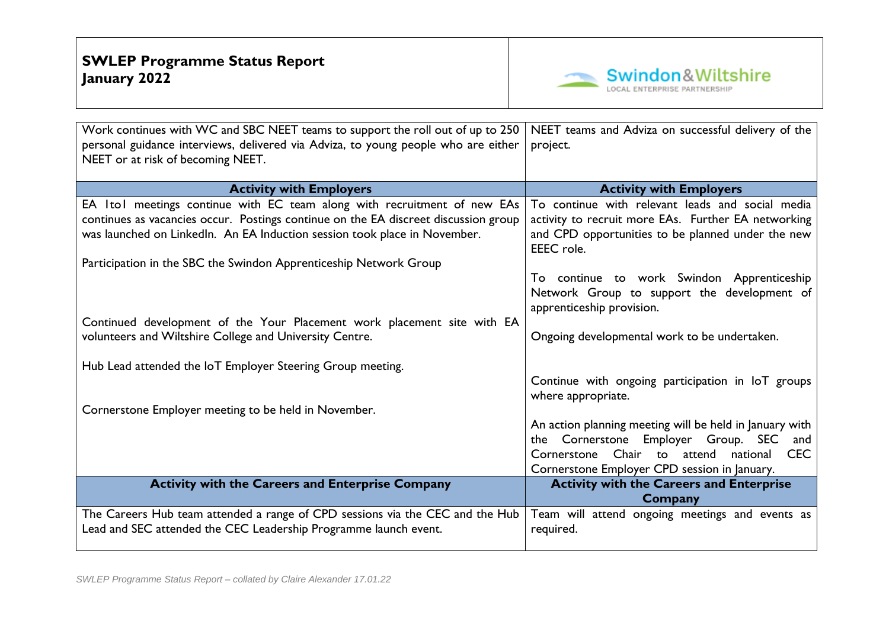

| Work continues with WC and SBC NEET teams to support the roll out of up to 250      | NEET teams and Adviza on successful delivery of the             |  |  |  |
|-------------------------------------------------------------------------------------|-----------------------------------------------------------------|--|--|--|
| personal guidance interviews, delivered via Adviza, to young people who are either  | project.                                                        |  |  |  |
| NEET or at risk of becoming NEET.                                                   |                                                                 |  |  |  |
|                                                                                     |                                                                 |  |  |  |
| <b>Activity with Employers</b>                                                      | <b>Activity with Employers</b>                                  |  |  |  |
| EA ItoI meetings continue with EC team along with recruitment of new EAs            | To continue with relevant leads and social media                |  |  |  |
| continues as vacancies occur. Postings continue on the EA discreet discussion group | activity to recruit more EAs. Further EA networking             |  |  |  |
| was launched on Linkedln. An EA Induction session took place in November.           | and CPD opportunities to be planned under the new<br>EEEC role. |  |  |  |
| Participation in the SBC the Swindon Apprenticeship Network Group                   |                                                                 |  |  |  |
|                                                                                     | To continue to work Swindon Apprenticeship                      |  |  |  |
|                                                                                     | Network Group to support the development of                     |  |  |  |
|                                                                                     | apprenticeship provision.                                       |  |  |  |
| Continued development of the Your Placement work placement site with EA             |                                                                 |  |  |  |
| volunteers and Wiltshire College and University Centre.                             | Ongoing developmental work to be undertaken.                    |  |  |  |
|                                                                                     |                                                                 |  |  |  |
| Hub Lead attended the IoT Employer Steering Group meeting.                          |                                                                 |  |  |  |
|                                                                                     | Continue with ongoing participation in IoT groups               |  |  |  |
|                                                                                     | where appropriate.                                              |  |  |  |
| Cornerstone Employer meeting to be held in November.                                | An action planning meeting will be held in January with         |  |  |  |
|                                                                                     | Employer Group. SEC<br>the Cornerstone<br>and                   |  |  |  |
|                                                                                     | Cornerstone Chair to attend national<br><b>CEC</b>              |  |  |  |
|                                                                                     | Cornerstone Employer CPD session in January.                    |  |  |  |
| <b>Activity with the Careers and Enterprise Company</b>                             | <b>Activity with the Careers and Enterprise</b>                 |  |  |  |
|                                                                                     | Company                                                         |  |  |  |
| The Careers Hub team attended a range of CPD sessions via the CEC and the Hub       | Team will attend ongoing meetings and events as                 |  |  |  |
| Lead and SEC attended the CEC Leadership Programme launch event.                    | required.                                                       |  |  |  |
|                                                                                     |                                                                 |  |  |  |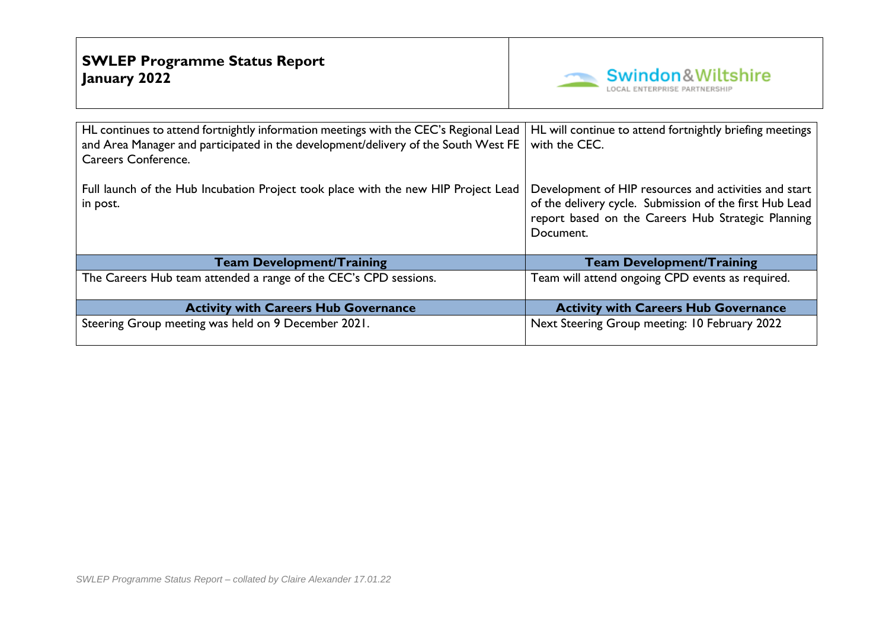

| HL continues to attend fortnightly information meetings with the CEC's Regional Lead<br>and Area Manager and participated in the development/delivery of the South West FE<br>Careers Conference. | HL will continue to attend fortnightly briefing meetings<br>with the CEC.                                                                                                           |
|---------------------------------------------------------------------------------------------------------------------------------------------------------------------------------------------------|-------------------------------------------------------------------------------------------------------------------------------------------------------------------------------------|
| Full launch of the Hub Incubation Project took place with the new HIP Project Lead<br>in post.                                                                                                    | Development of HIP resources and activities and start<br>of the delivery cycle. Submission of the first Hub Lead<br>report based on the Careers Hub Strategic Planning<br>Document. |
| <b>Team Development/Training</b>                                                                                                                                                                  | <b>Team Development/Training</b>                                                                                                                                                    |
| The Careers Hub team attended a range of the CEC's CPD sessions.                                                                                                                                  | Team will attend ongoing CPD events as required.                                                                                                                                    |
| <b>Activity with Careers Hub Governance</b>                                                                                                                                                       | <b>Activity with Careers Hub Governance</b>                                                                                                                                         |
| Steering Group meeting was held on 9 December 2021.                                                                                                                                               | Next Steering Group meeting: 10 February 2022                                                                                                                                       |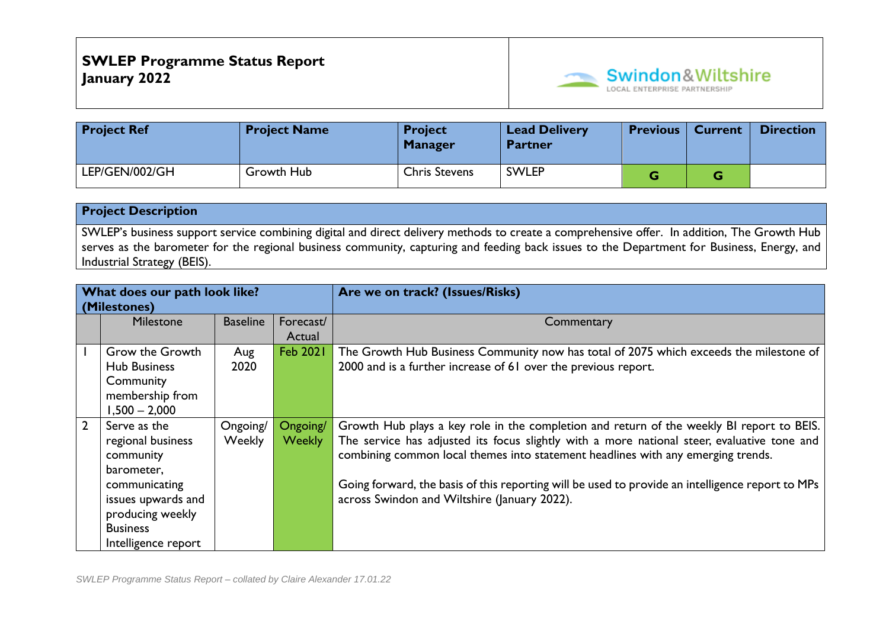

| <b>Project Ref</b> | <b>Project Name</b> | <b>Project</b><br><b>Manager</b> | <b>Lead Delivery</b><br><b>Partner</b> | <b>Previous</b> | <b>Current</b> | <b>Direction</b> |
|--------------------|---------------------|----------------------------------|----------------------------------------|-----------------|----------------|------------------|
| LEP/GEN/002/GH     | Growth Hub          | <b>Chris Stevens</b>             | <b>SWLEP</b>                           |                 | u              |                  |

SWLEP's business support service combining digital and direct delivery methods to create a comprehensive offer. In addition, The Growth Hub serves as the barometer for the regional business community, capturing and feeding back issues to the Department for Business, Energy, and Industrial Strategy (BEIS).

| What does our path look like?<br>(Milestones) |                                           |               |                 | Are we on track? (Issues/Risks)                                                                  |
|-----------------------------------------------|-------------------------------------------|---------------|-----------------|--------------------------------------------------------------------------------------------------|
|                                               | <b>Baseline</b><br>Milestone<br>Forecast/ |               |                 | Commentary                                                                                       |
|                                               |                                           |               | Actual          |                                                                                                  |
|                                               | Grow the Growth                           | Aug           | <b>Feb 2021</b> | The Growth Hub Business Community now has total of 2075 which exceeds the milestone of           |
|                                               | <b>Hub Business</b>                       | 2020          |                 | 2000 and is a further increase of 61 over the previous report.                                   |
|                                               | Community                                 |               |                 |                                                                                                  |
|                                               | membership from                           |               |                 |                                                                                                  |
|                                               | $1,500 - 2,000$                           |               |                 |                                                                                                  |
| $\overline{2}$                                | Serve as the                              | Ongoing/      | Ongoing/        | Growth Hub plays a key role in the completion and return of the weekly BI report to BEIS.        |
|                                               | regional business                         | <b>Weekly</b> | <b>Weekly</b>   | The service has adjusted its focus slightly with a more national steer, evaluative tone and      |
|                                               | community                                 |               |                 | combining common local themes into statement headlines with any emerging trends.                 |
|                                               | barometer,                                |               |                 |                                                                                                  |
|                                               | communicating                             |               |                 | Going forward, the basis of this reporting will be used to provide an intelligence report to MPs |
|                                               | issues upwards and                        |               |                 | across Swindon and Wiltshire (January 2022).                                                     |
|                                               | producing weekly                          |               |                 |                                                                                                  |
|                                               | <b>Business</b>                           |               |                 |                                                                                                  |
|                                               | Intelligence report                       |               |                 |                                                                                                  |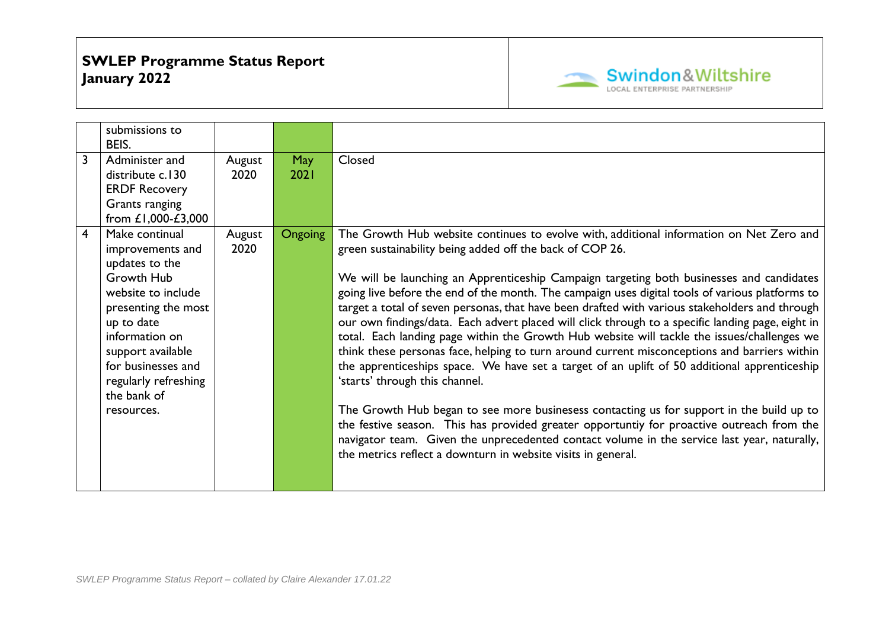

|                         | submissions to<br>BEIS.                                                                                                                                                                                                                         |                |                |                                                                                                                                                                                                                                                                                                                                                                                                                                                                                                                                                                                                                                                                                                                                                                                                                                                                                                                                                                                                                                                                                                                                                                                                                                                    |
|-------------------------|-------------------------------------------------------------------------------------------------------------------------------------------------------------------------------------------------------------------------------------------------|----------------|----------------|----------------------------------------------------------------------------------------------------------------------------------------------------------------------------------------------------------------------------------------------------------------------------------------------------------------------------------------------------------------------------------------------------------------------------------------------------------------------------------------------------------------------------------------------------------------------------------------------------------------------------------------------------------------------------------------------------------------------------------------------------------------------------------------------------------------------------------------------------------------------------------------------------------------------------------------------------------------------------------------------------------------------------------------------------------------------------------------------------------------------------------------------------------------------------------------------------------------------------------------------------|
| 3                       | Administer and<br>distribute c.130<br><b>ERDF Recovery</b><br>Grants ranging<br>from £1,000-£3,000                                                                                                                                              | August<br>2020 | May<br>2021    | Closed                                                                                                                                                                                                                                                                                                                                                                                                                                                                                                                                                                                                                                                                                                                                                                                                                                                                                                                                                                                                                                                                                                                                                                                                                                             |
| $\overline{\mathbf{4}}$ | Make continual<br>improvements and<br>updates to the<br>Growth Hub<br>website to include<br>presenting the most<br>up to date<br>information on<br>support available<br>for businesses and<br>regularly refreshing<br>the bank of<br>resources. | August<br>2020 | <b>Ongoing</b> | The Growth Hub website continues to evolve with, additional information on Net Zero and<br>green sustainability being added off the back of COP 26.<br>We will be launching an Apprenticeship Campaign targeting both businesses and candidates<br>going live before the end of the month. The campaign uses digital tools of various platforms to<br>target a total of seven personas, that have been drafted with various stakeholders and through<br>our own findings/data. Each advert placed will click through to a specific landing page, eight in<br>total. Each landing page within the Growth Hub website will tackle the issues/challenges we<br>think these personas face, helping to turn around current misconceptions and barriers within<br>the apprenticeships space. We have set a target of an uplift of 50 additional apprenticeship<br>'starts' through this channel.<br>The Growth Hub began to see more businesess contacting us for support in the build up to<br>the festive season. This has provided greater opportuntiy for proactive outreach from the<br>navigator team. Given the unprecedented contact volume in the service last year, naturally,<br>the metrics reflect a downturn in website visits in general. |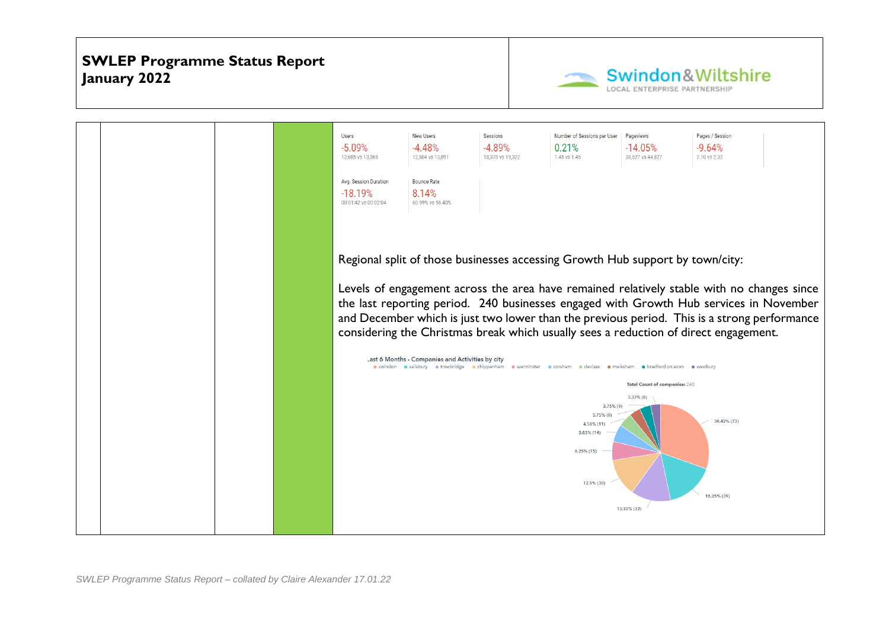

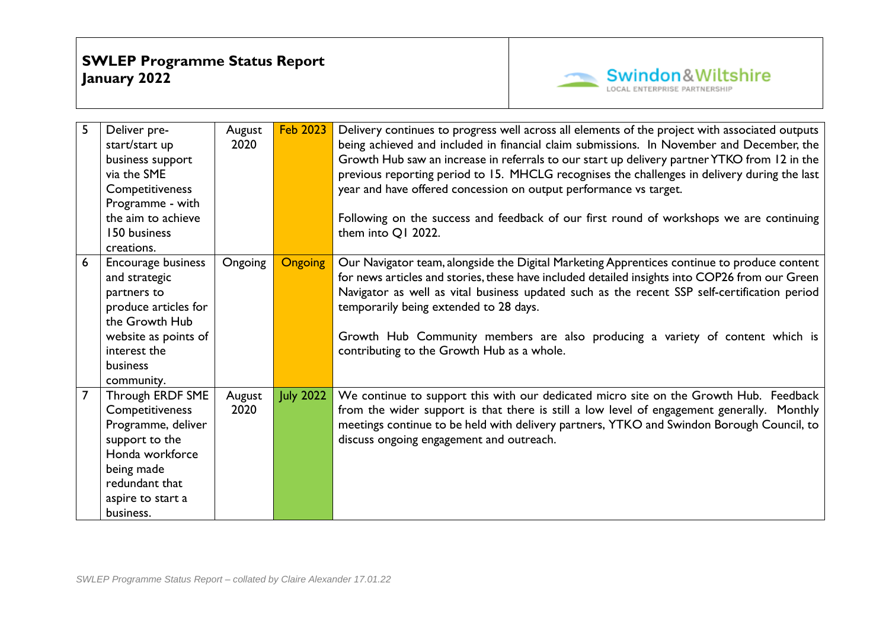

| 5              | Deliver pre-         | August  | <b>Feb 2023</b>  | Delivery continues to progress well across all elements of the project with associated outputs |
|----------------|----------------------|---------|------------------|------------------------------------------------------------------------------------------------|
|                | start/start up       | 2020    |                  | being achieved and included in financial claim submissions. In November and December, the      |
|                | business support     |         |                  | Growth Hub saw an increase in referrals to our start up delivery partner YTKO from 12 in the   |
|                | via the SME          |         |                  | previous reporting period to 15. MHCLG recognises the challenges in delivery during the last   |
|                | Competitiveness      |         |                  | year and have offered concession on output performance vs target.                              |
|                | Programme - with     |         |                  |                                                                                                |
|                | the aim to achieve   |         |                  | Following on the success and feedback of our first round of workshops we are continuing        |
|                | 150 business         |         |                  | them into Q1 2022.                                                                             |
|                | creations.           |         |                  |                                                                                                |
| 6              | Encourage business   | Ongoing | <b>Ongoing</b>   | Our Navigator team, alongside the Digital Marketing Apprentices continue to produce content    |
|                | and strategic        |         |                  | for news articles and stories, these have included detailed insights into COP26 from our Green |
|                | partners to          |         |                  | Navigator as well as vital business updated such as the recent SSP self-certification period   |
|                | produce articles for |         |                  | temporarily being extended to 28 days.                                                         |
|                | the Growth Hub       |         |                  |                                                                                                |
|                | website as points of |         |                  | Growth Hub Community members are also producing a variety of content which is                  |
|                | interest the         |         |                  | contributing to the Growth Hub as a whole.                                                     |
|                | business             |         |                  |                                                                                                |
|                | community.           |         |                  |                                                                                                |
| $\overline{7}$ | Through ERDF SME     | August  | <b>July 2022</b> | We continue to support this with our dedicated micro site on the Growth Hub. Feedback          |
|                | Competitiveness      | 2020    |                  | from the wider support is that there is still a low level of engagement generally. Monthly     |
|                | Programme, deliver   |         |                  | meetings continue to be held with delivery partners, YTKO and Swindon Borough Council, to      |
|                | support to the       |         |                  | discuss ongoing engagement and outreach.                                                       |
|                | Honda workforce      |         |                  |                                                                                                |
|                | being made           |         |                  |                                                                                                |
|                | redundant that       |         |                  |                                                                                                |
|                | aspire to start a    |         |                  |                                                                                                |
|                | business.            |         |                  |                                                                                                |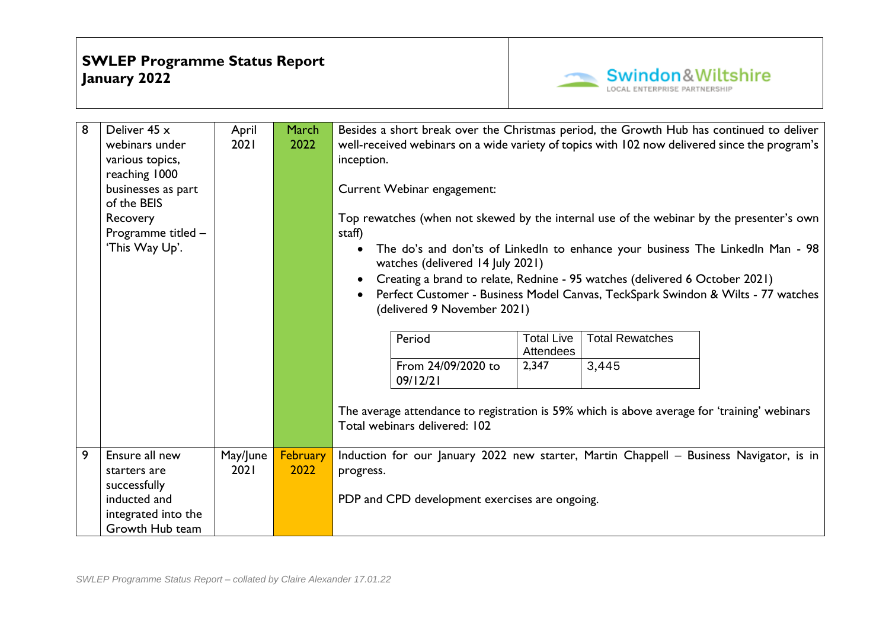

| 8              | Deliver 45 x<br>webinars under<br>various topics,<br>reaching 1000<br>businesses as part<br>of the BEIS<br>Recovery<br>Programme titled -<br>'This Way Up'. | April<br>2021    | March<br>2022    | Besides a short break over the Christmas period, the Growth Hub has continued to deliver<br>well-received webinars on a wide variety of topics with 102 now delivered since the program's<br>inception.<br>Current Webinar engagement:<br>Top rewatches (when not skewed by the internal use of the webinar by the presenter's own<br>staff)<br>The do's and don'ts of LinkedIn to enhance your business The LinkedIn Man - 98<br>watches (delivered 14 July 2021)<br>Creating a brand to relate, Rednine - 95 watches (delivered 6 October 2021)<br>Perfect Customer - Business Model Canvas, TeckSpark Swindon & Wilts - 77 watches<br>(delivered 9 November 2021) |  |  |  |  |
|----------------|-------------------------------------------------------------------------------------------------------------------------------------------------------------|------------------|------------------|----------------------------------------------------------------------------------------------------------------------------------------------------------------------------------------------------------------------------------------------------------------------------------------------------------------------------------------------------------------------------------------------------------------------------------------------------------------------------------------------------------------------------------------------------------------------------------------------------------------------------------------------------------------------|--|--|--|--|
|                |                                                                                                                                                             |                  |                  | <b>Total Rewatches</b><br>Period<br><b>Total Live</b><br><b>Attendees</b><br>From 24/09/2020 to<br>2,347<br>3,445<br>09/12/21                                                                                                                                                                                                                                                                                                                                                                                                                                                                                                                                        |  |  |  |  |
|                |                                                                                                                                                             |                  |                  | The average attendance to registration is 59% which is above average for 'training' webinars<br>Total webinars delivered: 102                                                                                                                                                                                                                                                                                                                                                                                                                                                                                                                                        |  |  |  |  |
| $\overline{9}$ | Ensure all new<br>starters are<br>successfully<br>inducted and<br>integrated into the<br>Growth Hub team                                                    | May/June<br>2021 | February<br>2022 | Induction for our January 2022 new starter, Martin Chappell - Business Navigator, is in<br>progress.<br>PDP and CPD development exercises are ongoing.                                                                                                                                                                                                                                                                                                                                                                                                                                                                                                               |  |  |  |  |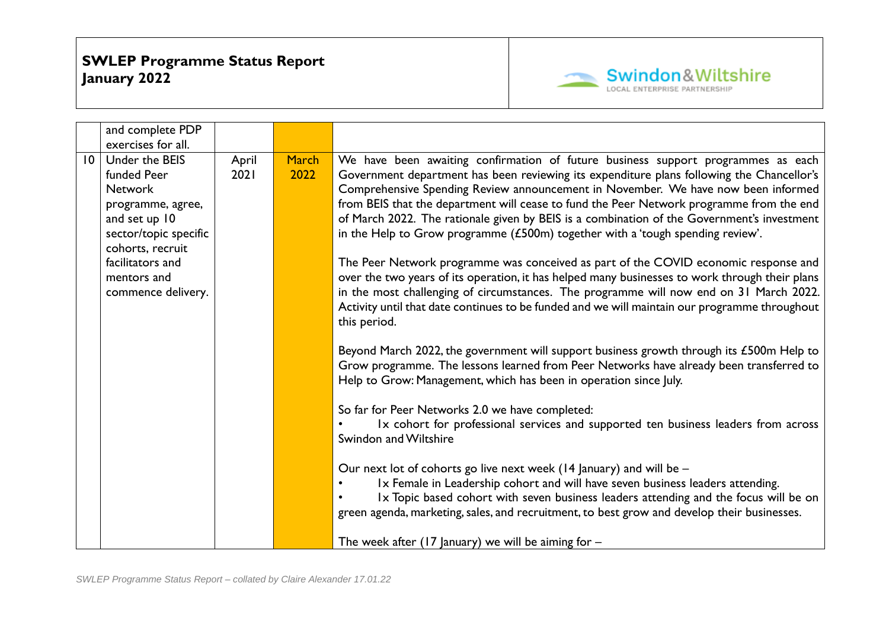

|                 | and complete PDP                                                                                                                                                                            |               |                      |                                                                                                                                                                                                                                                                                                                                                                                                                                                                                                                                                                                                                                                                                                                                                                                                                                                                                                                                    |
|-----------------|---------------------------------------------------------------------------------------------------------------------------------------------------------------------------------------------|---------------|----------------------|------------------------------------------------------------------------------------------------------------------------------------------------------------------------------------------------------------------------------------------------------------------------------------------------------------------------------------------------------------------------------------------------------------------------------------------------------------------------------------------------------------------------------------------------------------------------------------------------------------------------------------------------------------------------------------------------------------------------------------------------------------------------------------------------------------------------------------------------------------------------------------------------------------------------------------|
|                 | exercises for all.                                                                                                                                                                          |               |                      |                                                                                                                                                                                                                                                                                                                                                                                                                                                                                                                                                                                                                                                                                                                                                                                                                                                                                                                                    |
| $\overline{10}$ | Under the BEIS<br>funded Peer<br><b>Network</b><br>programme, agree,<br>and set up 10<br>sector/topic specific<br>cohorts, recruit<br>facilitators and<br>mentors and<br>commence delivery. | April<br>2021 | <b>March</b><br>2022 | We have been awaiting confirmation of future business support programmes as each<br>Government department has been reviewing its expenditure plans following the Chancellor's<br>Comprehensive Spending Review announcement in November. We have now been informed<br>from BEIS that the department will cease to fund the Peer Network programme from the end<br>of March 2022. The rationale given by BEIS is a combination of the Government's investment<br>in the Help to Grow programme (£500m) together with a 'tough spending review'.<br>The Peer Network programme was conceived as part of the COVID economic response and<br>over the two years of its operation, it has helped many businesses to work through their plans<br>in the most challenging of circumstances. The programme will now end on 31 March 2022.<br>Activity until that date continues to be funded and we will maintain our programme throughout |
|                 |                                                                                                                                                                                             |               |                      | this period.<br>Beyond March 2022, the government will support business growth through its £500m Help to<br>Grow programme. The lessons learned from Peer Networks have already been transferred to<br>Help to Grow: Management, which has been in operation since July.<br>So far for Peer Networks 2.0 we have completed:<br>Ix cohort for professional services and supported ten business leaders from across<br>Swindon and Wiltshire<br>Our next lot of cohorts go live next week (14 January) and will be -<br>Ix Female in Leadership cohort and will have seven business leaders attending.<br>Ix Topic based cohort with seven business leaders attending and the focus will be on<br>green agenda, marketing, sales, and recruitment, to best grow and develop their businesses.                                                                                                                                        |
|                 |                                                                                                                                                                                             |               |                      | The week after (17 January) we will be aiming for $-$                                                                                                                                                                                                                                                                                                                                                                                                                                                                                                                                                                                                                                                                                                                                                                                                                                                                              |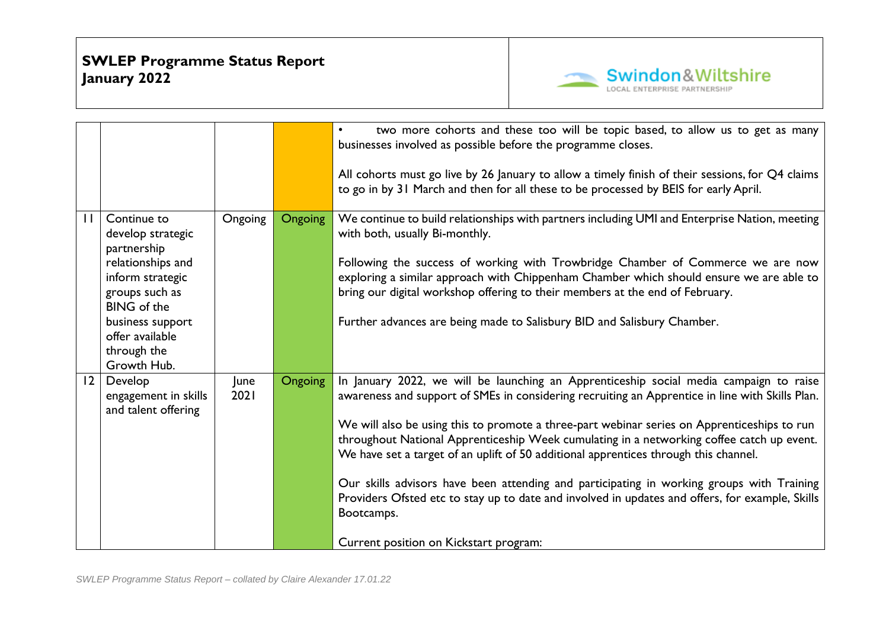

|              |                                                                                                                                                                                                       |              |                | two more cohorts and these too will be topic based, to allow us to get as many<br>$\bullet$<br>businesses involved as possible before the programme closes.<br>All cohorts must go live by 26 January to allow a timely finish of their sessions, for Q4 claims<br>to go in by 31 March and then for all these to be processed by BEIS for early April.                                                                                                                                                                                                                                                                                                                                                                               |
|--------------|-------------------------------------------------------------------------------------------------------------------------------------------------------------------------------------------------------|--------------|----------------|---------------------------------------------------------------------------------------------------------------------------------------------------------------------------------------------------------------------------------------------------------------------------------------------------------------------------------------------------------------------------------------------------------------------------------------------------------------------------------------------------------------------------------------------------------------------------------------------------------------------------------------------------------------------------------------------------------------------------------------|
| $\mathbf{H}$ | Continue to<br>develop strategic<br>partnership<br>relationships and<br>inform strategic<br>groups such as<br><b>BING</b> of the<br>business support<br>offer available<br>through the<br>Growth Hub. | Ongoing      | <b>Ongoing</b> | We continue to build relationships with partners including UMI and Enterprise Nation, meeting<br>with both, usually Bi-monthly.<br>Following the success of working with Trowbridge Chamber of Commerce we are now<br>exploring a similar approach with Chippenham Chamber which should ensure we are able to<br>bring our digital workshop offering to their members at the end of February.<br>Further advances are being made to Salisbury BID and Salisbury Chamber.                                                                                                                                                                                                                                                              |
| $ 2\rangle$  | Develop<br>engagement in skills<br>and talent offering                                                                                                                                                | June<br>2021 | <b>Ongoing</b> | In January 2022, we will be launching an Apprenticeship social media campaign to raise<br>awareness and support of SMEs in considering recruiting an Apprentice in line with Skills Plan.<br>We will also be using this to promote a three-part webinar series on Apprenticeships to run<br>throughout National Apprenticeship Week cumulating in a networking coffee catch up event.<br>We have set a target of an uplift of 50 additional apprentices through this channel.<br>Our skills advisors have been attending and participating in working groups with Training<br>Providers Ofsted etc to stay up to date and involved in updates and offers, for example, Skills<br>Bootcamps.<br>Current position on Kickstart program: |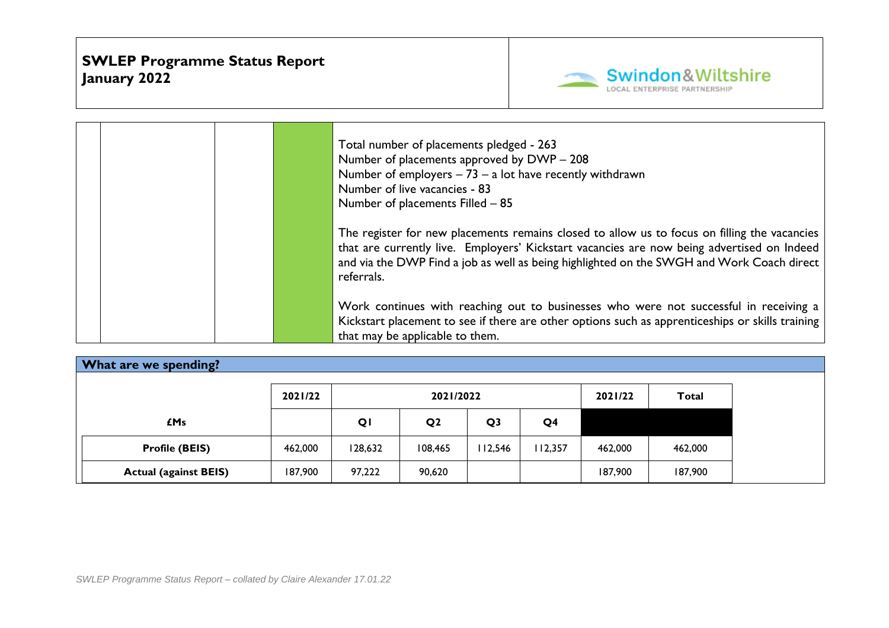

| Total number of placements pledged - 263<br>Number of placements approved by DWP - 208<br>Number of employers $-73 - a$ lot have recently withdrawn<br>Number of live vacancies - 83<br>Number of placements Filled - 85<br>The register for new placements remains closed to allow us to focus on filling the vacancies<br>that are currently live. Employers' Kickstart vacancies are now being advertised on Indeed<br>and via the DWP Find a job as well as being highlighted on the SWGH and Work Coach direct<br>referrals. |
|-----------------------------------------------------------------------------------------------------------------------------------------------------------------------------------------------------------------------------------------------------------------------------------------------------------------------------------------------------------------------------------------------------------------------------------------------------------------------------------------------------------------------------------|
| Work continues with reaching out to businesses who were not successful in receiving a<br>Kickstart placement to see if there are other options such as apprenticeships or skills training<br>that may be applicable to them.                                                                                                                                                                                                                                                                                                      |

| <b>What are we spending?</b> |         |         |                |                |                |         |         |
|------------------------------|---------|---------|----------------|----------------|----------------|---------|---------|
|                              | 2021/22 |         | 2021/2022      | 2021/22        | <b>Total</b>   |         |         |
| £Ms                          |         | QI      | Q <sub>2</sub> | Q <sub>3</sub> | Q <sub>4</sub> |         |         |
| <b>Profile (BEIS)</b>        | 462,000 | 128,632 | 108,465        | 112,546        | 112,357        | 462.000 | 462,000 |
| <b>Actual (against BEIS)</b> | 187,900 | 97,222  | 90,620         |                |                | 187,900 | 187,900 |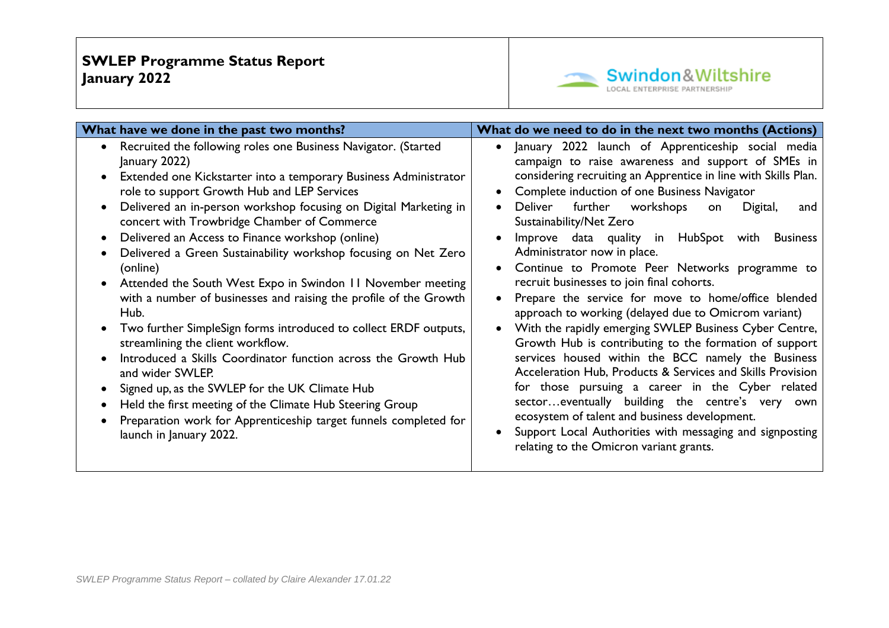

| What have we done in the past two months?                                                                                                                                                                                                                                                                                                                                                                                                                                                                                                                                                                                                                                                                                                                                                                                                                                                                                                                                                                       | What do we need to do in the next two months (Actions)                                                                                                                                                                                                                                                                                                                                                                                                                                                                                                                                                                                                                                                                                                                                                                                                                                                                                                                                                                                                                                                                                        |
|-----------------------------------------------------------------------------------------------------------------------------------------------------------------------------------------------------------------------------------------------------------------------------------------------------------------------------------------------------------------------------------------------------------------------------------------------------------------------------------------------------------------------------------------------------------------------------------------------------------------------------------------------------------------------------------------------------------------------------------------------------------------------------------------------------------------------------------------------------------------------------------------------------------------------------------------------------------------------------------------------------------------|-----------------------------------------------------------------------------------------------------------------------------------------------------------------------------------------------------------------------------------------------------------------------------------------------------------------------------------------------------------------------------------------------------------------------------------------------------------------------------------------------------------------------------------------------------------------------------------------------------------------------------------------------------------------------------------------------------------------------------------------------------------------------------------------------------------------------------------------------------------------------------------------------------------------------------------------------------------------------------------------------------------------------------------------------------------------------------------------------------------------------------------------------|
| Recruited the following roles one Business Navigator. (Started<br>January 2022)<br>Extended one Kickstarter into a temporary Business Administrator<br>role to support Growth Hub and LEP Services<br>Delivered an in-person workshop focusing on Digital Marketing in<br>concert with Trowbridge Chamber of Commerce<br>Delivered an Access to Finance workshop (online)<br>Delivered a Green Sustainability workshop focusing on Net Zero<br>(online)<br>Attended the South West Expo in Swindon 11 November meeting<br>with a number of businesses and raising the profile of the Growth<br>Hub.<br>Two further SimpleSign forms introduced to collect ERDF outputs,<br>streamlining the client workflow.<br>Introduced a Skills Coordinator function across the Growth Hub<br>and wider SWLEP.<br>Signed up, as the SWLEP for the UK Climate Hub<br>Held the first meeting of the Climate Hub Steering Group<br>Preparation work for Apprenticeship target funnels completed for<br>launch in January 2022. | January 2022 launch of Apprenticeship social media<br>$\bullet$<br>campaign to raise awareness and support of SMEs in<br>considering recruiting an Apprentice in line with Skills Plan.<br>Complete induction of one Business Navigator<br>workshops<br>Deliver<br>further<br>Digital,<br>on<br>and<br>Sustainability/Net Zero<br>Improve data quality in HubSpot with<br><b>Business</b><br>Administrator now in place.<br>Continue to Promote Peer Networks programme to<br>recruit businesses to join final cohorts.<br>Prepare the service for move to home/office blended<br>approach to working (delayed due to Omicrom variant)<br>With the rapidly emerging SWLEP Business Cyber Centre,<br>Growth Hub is contributing to the formation of support<br>services housed within the BCC namely the Business<br>Acceleration Hub, Products & Services and Skills Provision<br>for those pursuing a career in the Cyber related<br>sectoreventually building the centre's very own<br>ecosystem of talent and business development.<br>Support Local Authorities with messaging and signposting<br>relating to the Omicron variant grants. |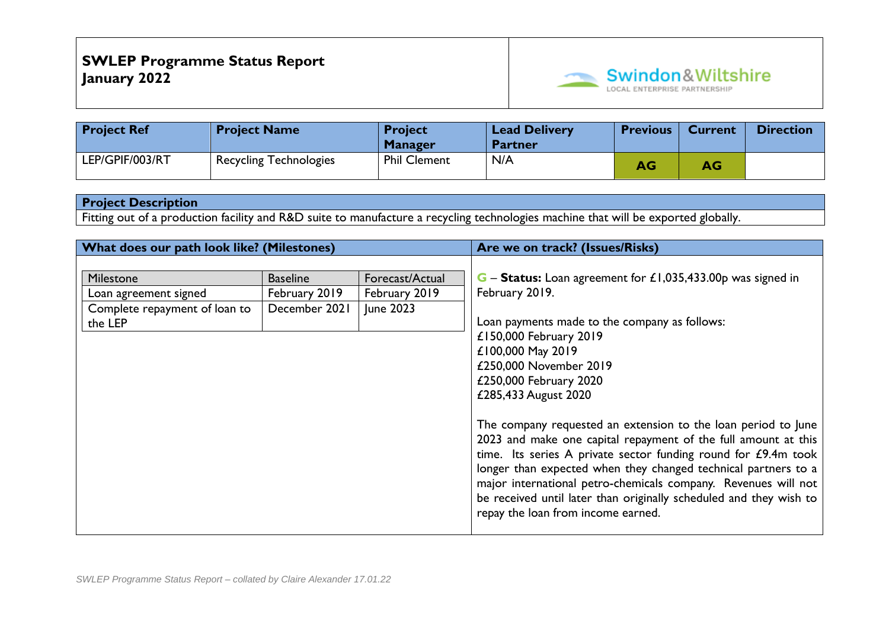

| <b>Project Ref</b> | <b>Project Name</b>           | <b>Project</b><br><b>Manager</b> | <b>Lead Delivery</b><br><b>Partner</b> | <b>Previous</b> | <b>Current</b> | <b>Direction</b> |
|--------------------|-------------------------------|----------------------------------|----------------------------------------|-----------------|----------------|------------------|
| LEP/GPIF/003/RT    | <b>Recycling Technologies</b> | <b>Phil Clement</b>              | N/A                                    | AG              | AG             |                  |

Fitting out of a production facility and R&D suite to manufacture a recycling technologies machine that will be exported globally.

| What does our path look like? (Milestones)                                     |                                                   |                                               | Are we on track? (Issues/Risks)                                                                                                                                                                                                                                                                                                                                                                                                                   |
|--------------------------------------------------------------------------------|---------------------------------------------------|-----------------------------------------------|---------------------------------------------------------------------------------------------------------------------------------------------------------------------------------------------------------------------------------------------------------------------------------------------------------------------------------------------------------------------------------------------------------------------------------------------------|
| Milestone<br>Loan agreement signed<br>Complete repayment of loan to<br>the LEP | <b>Baseline</b><br>February 2019<br>December 2021 | Forecast/Actual<br>February 2019<br>June 2023 | <b>G</b> – <b>Status:</b> Loan agreement for £1,035,433.00p was signed in<br>February 2019.<br>Loan payments made to the company as follows:<br>£150,000 February 2019<br>£100,000 May 2019<br>£250,000 November 2019                                                                                                                                                                                                                             |
|                                                                                |                                                   |                                               | £250,000 February 2020<br>£285,433 August 2020                                                                                                                                                                                                                                                                                                                                                                                                    |
|                                                                                |                                                   |                                               | The company requested an extension to the loan period to June<br>2023 and make one capital repayment of the full amount at this<br>time. Its series A private sector funding round for £9.4m took<br>longer than expected when they changed technical partners to a<br>major international petro-chemicals company. Revenues will not<br>be received until later than originally scheduled and they wish to<br>repay the loan from income earned. |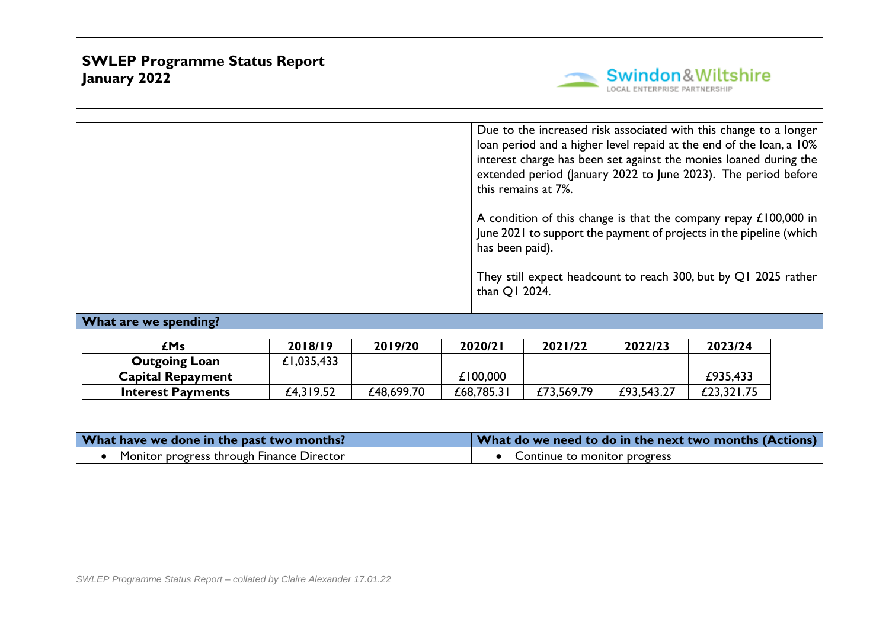

|                       |         |         | has been paid).<br>than Q1 2024. | this remains at 7%. |         | Due to the increased risk associated with this change to a longer<br>loan period and a higher level repaid at the end of the loan, a 10%<br>interest charge has been set against the monies loaned during the<br>extended period (January 2022 to June 2023). The period before<br>A condition of this change is that the company repay £100,000 in<br>June 2021 to support the payment of projects in the pipeline (which<br>They still expect headcount to reach 300, but by Q1 2025 rather |  |
|-----------------------|---------|---------|----------------------------------|---------------------|---------|-----------------------------------------------------------------------------------------------------------------------------------------------------------------------------------------------------------------------------------------------------------------------------------------------------------------------------------------------------------------------------------------------------------------------------------------------------------------------------------------------|--|
| What are we spending? |         |         |                                  |                     |         |                                                                                                                                                                                                                                                                                                                                                                                                                                                                                               |  |
| <b>£Ms</b>            | 2018/19 | 2019/20 | 2020/21                          | 2021/22             | 2022/23 | 2023/24                                                                                                                                                                                                                                                                                                                                                                                                                                                                                       |  |

| £Ms                      | 2018/19    | 2019/20    | 2020/2     | 2021/22    | 2022/23    | 2023/24    |
|--------------------------|------------|------------|------------|------------|------------|------------|
| <b>Outgoing Loan</b>     | £1,035,433 |            |            |            |            |            |
| <b>Capital Repayment</b> |            |            | £100,000   |            |            | £935,433   |
| <b>Interest Payments</b> | £4,319.52  | £48,699.70 | £68,785.31 | £73,569.79 | £93,543.27 | £23,321.75 |

| What have we done in the past two months? | What do we need to do in the next two months (Actions) |
|-------------------------------------------|--------------------------------------------------------|
| Monitor progress through Finance Director | Continue to monitor progress                           |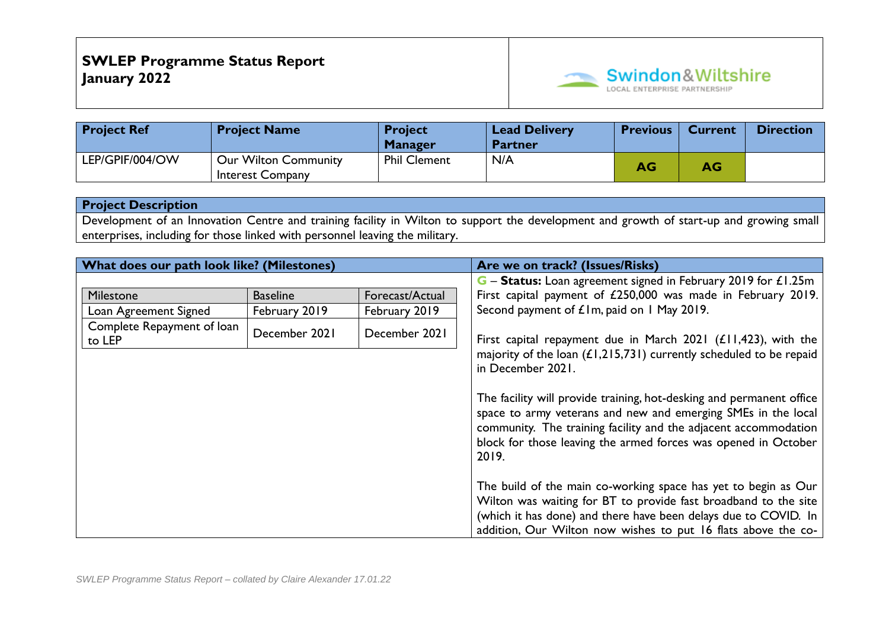

| <b>Project Ref</b> | <b>Project Name</b>                                    | <b>Project</b><br><b>Manager</b> | <b>Lead Delivery</b><br><b>Partner</b> | <b>Previous</b> | <b>Current</b> | <b>Direction</b> |
|--------------------|--------------------------------------------------------|----------------------------------|----------------------------------------|-----------------|----------------|------------------|
| LEP/GPIF/004/OW    | <b>Our Wilton Community</b><br><b>Interest Company</b> | <b>Phil Clement</b>              | N/A                                    | AG              | AG             |                  |

Development of an Innovation Centre and training facility in Wilton to support the development and growth of start-up and growing small enterprises, including for those linked with personnel leaving the military.

| What does our path look like? (Milestones) |                 |                 | Are we on track? (Issues/Risks)                                                                                                                                                                                                                                                     |
|--------------------------------------------|-----------------|-----------------|-------------------------------------------------------------------------------------------------------------------------------------------------------------------------------------------------------------------------------------------------------------------------------------|
|                                            |                 |                 | G - Status: Loan agreement signed in February 2019 for £1.25m                                                                                                                                                                                                                       |
| Milestone                                  | <b>Baseline</b> | Forecast/Actual | First capital payment of £250,000 was made in February 2019.                                                                                                                                                                                                                        |
| Loan Agreement Signed                      | February 2019   | February 2019   | Second payment of £1m, paid on 1 May 2019.                                                                                                                                                                                                                                          |
| Complete Repayment of loan<br>to LEP       | December 2021   | December 2021   | First capital repayment due in March 2021 $(E11, 423)$ , with the<br>majority of the loan $(L1, 215, 731)$ currently scheduled to be repaid                                                                                                                                         |
|                                            |                 |                 | in December 2021.                                                                                                                                                                                                                                                                   |
|                                            |                 |                 | The facility will provide training, hot-desking and permanent office<br>space to army veterans and new and emerging SMEs in the local<br>community. The training facility and the adjacent accommodation<br>block for those leaving the armed forces was opened in October<br>2019. |
|                                            |                 |                 | The build of the main co-working space has yet to begin as Our<br>Wilton was waiting for BT to provide fast broadband to the site<br>(which it has done) and there have been delays due to COVID. In<br>addition, Our Wilton now wishes to put 16 flats above the co-               |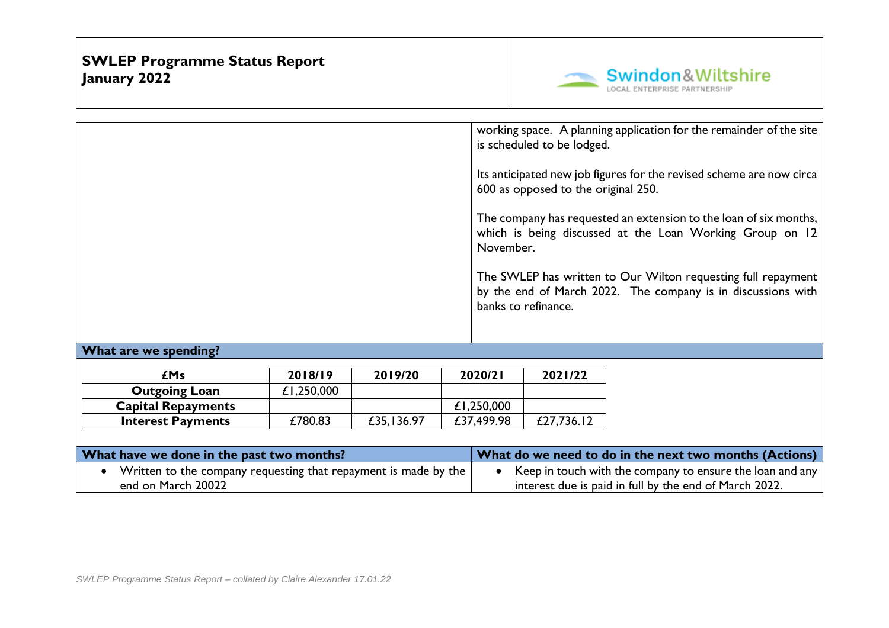

interest due is paid in full by the end of March 2022.

|                                                                                                    |            |            | November.  | is scheduled to be lodged.<br>600 as opposed to the original 250.<br>banks to refinance. | working space. A planning application for the remainder of the site<br>Its anticipated new job figures for the revised scheme are now circa<br>The company has requested an extension to the loan of six months,<br>which is being discussed at the Loan Working Group on 12<br>The SWLEP has written to Our Wilton requesting full repayment<br>by the end of March 2022. The company is in discussions with |
|----------------------------------------------------------------------------------------------------|------------|------------|------------|------------------------------------------------------------------------------------------|---------------------------------------------------------------------------------------------------------------------------------------------------------------------------------------------------------------------------------------------------------------------------------------------------------------------------------------------------------------------------------------------------------------|
| What are we spending?                                                                              |            |            |            |                                                                                          |                                                                                                                                                                                                                                                                                                                                                                                                               |
|                                                                                                    |            |            |            |                                                                                          |                                                                                                                                                                                                                                                                                                                                                                                                               |
| <b>£Ms</b>                                                                                         | 2018/19    | 2019/20    | 2020/21    | 2021/22                                                                                  |                                                                                                                                                                                                                                                                                                                                                                                                               |
| <b>Outgoing Loan</b>                                                                               | £1,250,000 |            |            |                                                                                          |                                                                                                                                                                                                                                                                                                                                                                                                               |
| <b>Capital Repayments</b>                                                                          |            |            | £1,250,000 |                                                                                          |                                                                                                                                                                                                                                                                                                                                                                                                               |
| <b>Interest Payments</b>                                                                           | £780.83    | £35,136.97 | £37,499.98 | £27,736.12                                                                               |                                                                                                                                                                                                                                                                                                                                                                                                               |
|                                                                                                    |            |            |            |                                                                                          |                                                                                                                                                                                                                                                                                                                                                                                                               |
| What have we done in the past two months?                                                          |            |            |            |                                                                                          | What do we need to do in the next two months (Actions)                                                                                                                                                                                                                                                                                                                                                        |
| Written to the company requesting that repayment is made by the<br>$\bullet$<br>end on March 20022 |            |            |            |                                                                                          | Keep in touch with the company to ensure the loan and any<br>interest due is paid in full by the end of March 2022.                                                                                                                                                                                                                                                                                           |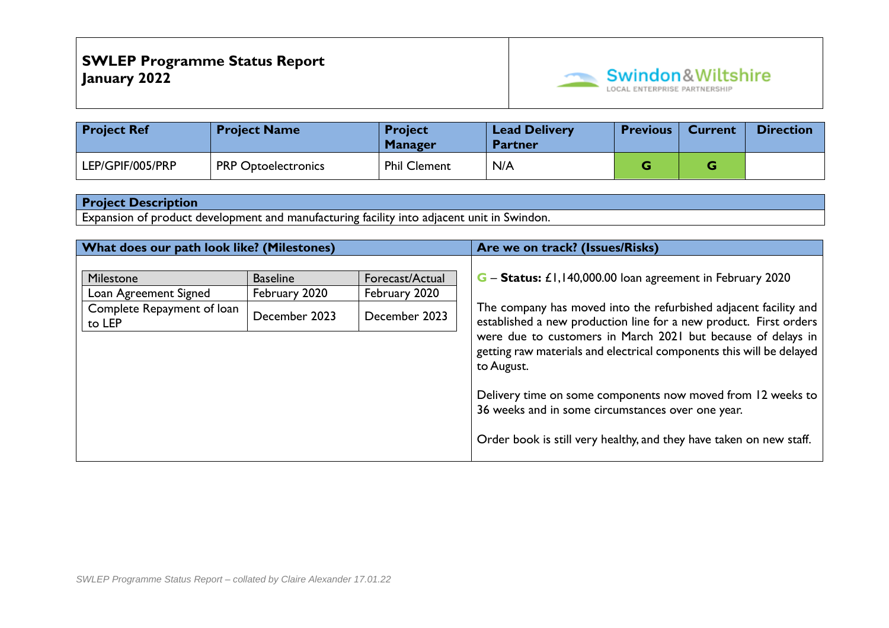

| <b>Project Ref</b> | <b>Project Name</b>        | <b>Project</b><br><b>Manager</b> | <b>Lead Delivery</b><br><b>Partner</b> | <b>Previous</b> | <b>Current</b> | <b>Direction</b> |
|--------------------|----------------------------|----------------------------------|----------------------------------------|-----------------|----------------|------------------|
| LEP/GPIF/005/PRP   | <b>PRP Optoelectronics</b> | <b>Phil Clement</b>              | N/A                                    |                 |                |                  |

Expansion of product development and manufacturing facility into adjacent unit in Swindon.

| What does our path look like? (Milestones)                                 |                                                   |                                                   | Are we on track? (Issues/Risks)                                                                                                                                                                                                                                                                                                                          |
|----------------------------------------------------------------------------|---------------------------------------------------|---------------------------------------------------|----------------------------------------------------------------------------------------------------------------------------------------------------------------------------------------------------------------------------------------------------------------------------------------------------------------------------------------------------------|
| Milestone<br>Loan Agreement Signed<br>Complete Repayment of loan<br>to LEP | <b>Baseline</b><br>February 2020<br>December 2023 | Forecast/Actual<br>February 2020<br>December 2023 | G – Status: £1,140,000.00 loan agreement in February 2020<br>The company has moved into the refurbished adjacent facility and<br>established a new production line for a new product. First orders<br>were due to customers in March 2021 but because of delays in<br>getting raw materials and electrical components this will be delayed<br>to August. |
|                                                                            |                                                   |                                                   | Delivery time on some components now moved from 12 weeks to<br>36 weeks and in some circumstances over one year.<br>Order book is still very healthy, and they have taken on new staff.                                                                                                                                                                  |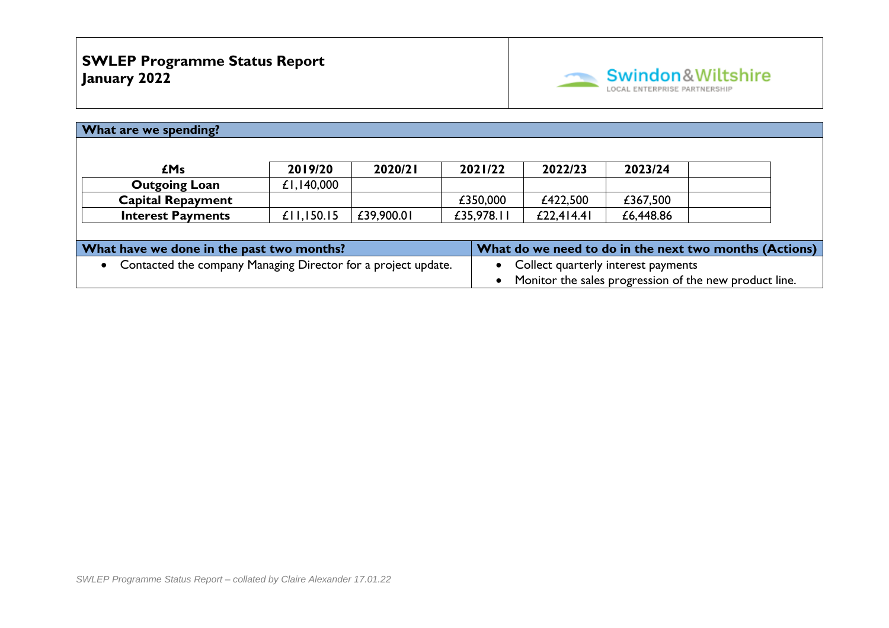

| What are we spending?                                         |            |            |  |                                     |                                                        |           |  |  |
|---------------------------------------------------------------|------------|------------|--|-------------------------------------|--------------------------------------------------------|-----------|--|--|
|                                                               |            |            |  |                                     |                                                        |           |  |  |
| <b>£Ms</b>                                                    | 2019/20    | 2020/21    |  | 2021/22                             | 2022/23                                                | 2023/24   |  |  |
| <b>Outgoing Loan</b>                                          | £1,140,000 |            |  |                                     |                                                        |           |  |  |
| <b>Capital Repayment</b>                                      |            |            |  | £350,000                            | £422,500                                               | £367,500  |  |  |
| <b>Interest Payments</b>                                      | £11,150.15 | £39,900.01 |  | £35,978.11                          | £22,4 4.4                                              | £6,448.86 |  |  |
|                                                               |            |            |  |                                     |                                                        |           |  |  |
| What have we done in the past two months?                     |            |            |  |                                     | What do we need to do in the next two months (Actions) |           |  |  |
| Contacted the company Managing Director for a project update. |            |            |  | Collect quarterly interest payments |                                                        |           |  |  |
|                                                               |            |            |  |                                     | Monitor the sales progression of the new product line. |           |  |  |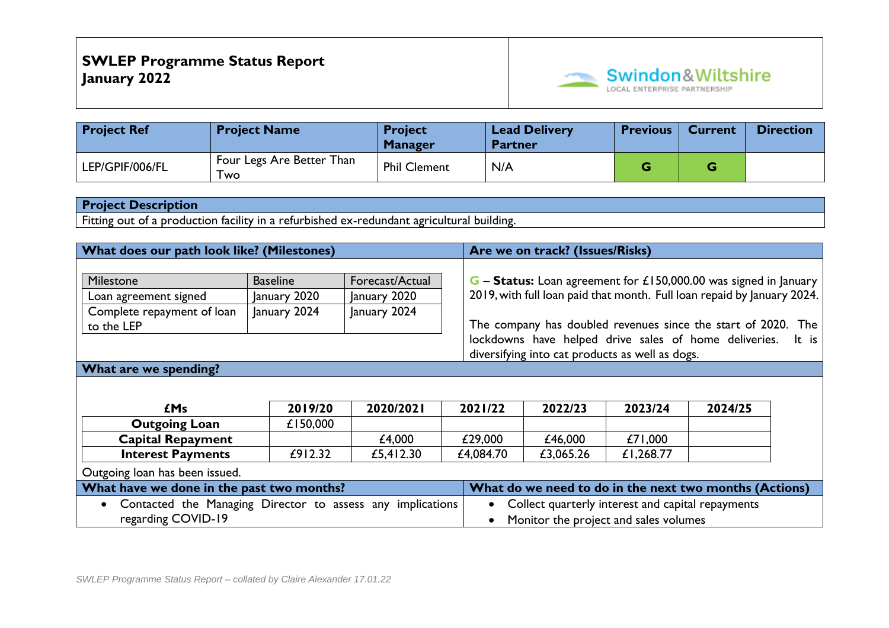

| <b>Project Ref</b> | <b>Project Name</b>                 | <b>Project</b><br><b>Manager</b> | <b>Lead Delivery</b><br><b>Partner</b> | <b>Previous</b> | <b>Current</b> | <b>Direction</b> |
|--------------------|-------------------------------------|----------------------------------|----------------------------------------|-----------------|----------------|------------------|
| LEP/GPIF/006/FL    | ' Four Legs Are Better Than<br>l wo | <b>Phil Clement</b>              | N/A                                    |                 |                |                  |

Fitting out of a production facility in a refurbished ex-redundant agricultural building.

| What does our path look like? (Milestones)                 |                 |                                                       |                                                                                | Are we on track? (Issues/Risks)                                         |           |         |  |  |
|------------------------------------------------------------|-----------------|-------------------------------------------------------|--------------------------------------------------------------------------------|-------------------------------------------------------------------------|-----------|---------|--|--|
|                                                            |                 |                                                       |                                                                                |                                                                         |           |         |  |  |
| Milestone                                                  | <b>Baseline</b> | Forecast/Actual                                       | <b>G</b> – <b>Status:</b> Loan agreement for £150,000.00 was signed in January |                                                                         |           |         |  |  |
| Loan agreement signed                                      | January 2020    | January 2020                                          |                                                                                | 2019, with full loan paid that month. Full loan repaid by January 2024. |           |         |  |  |
| Complete repayment of loan                                 | January 2024    | January 2024                                          |                                                                                |                                                                         |           |         |  |  |
| to the LEP                                                 |                 |                                                       |                                                                                | The company has doubled revenues since the start of 2020. The           |           |         |  |  |
|                                                            |                 | lockdowns have helped drive sales of home deliveries. |                                                                                |                                                                         | It is     |         |  |  |
|                                                            |                 |                                                       | diversifying into cat products as well as dogs.                                |                                                                         |           |         |  |  |
| What are we spending?                                      |                 |                                                       |                                                                                |                                                                         |           |         |  |  |
|                                                            |                 |                                                       |                                                                                |                                                                         |           |         |  |  |
|                                                            |                 |                                                       |                                                                                |                                                                         |           |         |  |  |
| <b>£Ms</b>                                                 | 2019/20         | 2020/2021                                             | 2021/22                                                                        | 2022/23                                                                 | 2023/24   | 2024/25 |  |  |
| <b>Outgoing Loan</b>                                       | £150,000        |                                                       |                                                                                |                                                                         |           |         |  |  |
| <b>Capital Repayment</b>                                   |                 | £4,000                                                | £29,000                                                                        | £46,000                                                                 | £71,000   |         |  |  |
| <b>Interest Payments</b>                                   | £912.32         | £5,412.30                                             | £4,084.70                                                                      | £3,065.26                                                               | £1,268.77 |         |  |  |
| Outgoing loan has been issued.                             |                 |                                                       |                                                                                |                                                                         |           |         |  |  |
| What have we done in the past two months?                  |                 |                                                       | What do we need to do in the next two months (Actions)                         |                                                                         |           |         |  |  |
| Contacted the Managing Director to assess any implications |                 |                                                       | Collect quarterly interest and capital repayments<br>$\bullet$                 |                                                                         |           |         |  |  |
| regarding COVID-19                                         |                 |                                                       | Monitor the project and sales volumes<br>$\bullet$                             |                                                                         |           |         |  |  |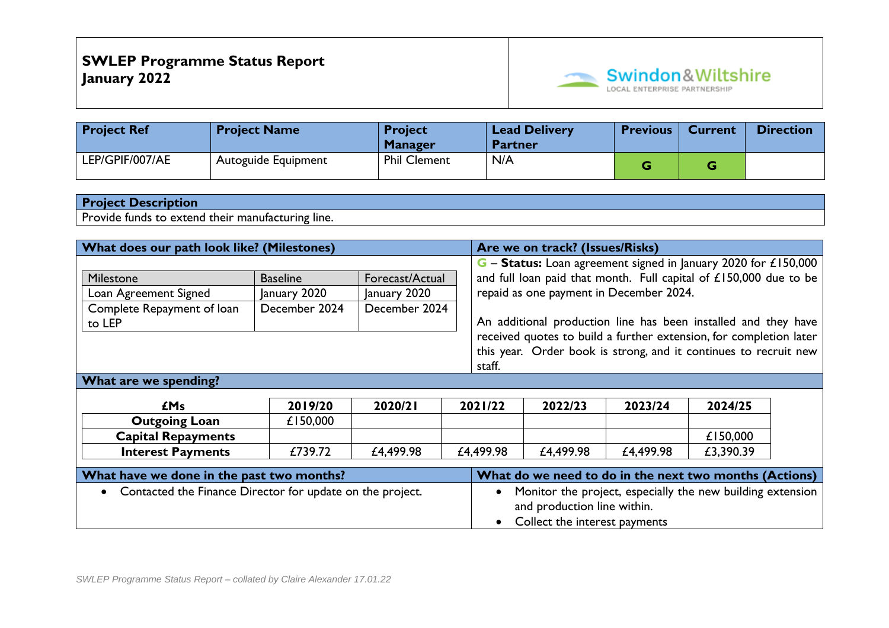

| <b>Project Ref</b> | <b>Project Name</b> | <b>Project</b><br><b>Manager</b> | <b>Lead Delivery</b><br><b>Partner</b> | <b>Previous</b> | <b>Current</b> | <b>Direction</b> |
|--------------------|---------------------|----------------------------------|----------------------------------------|-----------------|----------------|------------------|
| LEP/GPIF/007/AE    | Autoguide Equipment | <b>Phil Clement</b>              | N/A                                    |                 |                |                  |

Provide funds to extend their manufacturing line.

|                                                             | What does our path look like? (Milestones) |               |                             |                                                                                                                      | Are we on track? (Issues/Risks)                                    |           |           |                               |  |  |  |
|-------------------------------------------------------------|--------------------------------------------|---------------|-----------------------------|----------------------------------------------------------------------------------------------------------------------|--------------------------------------------------------------------|-----------|-----------|-------------------------------|--|--|--|
|                                                             |                                            |               |                             |                                                                                                                      | G - Status: Loan agreement signed in January 2020 for £150,000     |           |           |                               |  |  |  |
| <b>Milestone</b>                                            | <b>Baseline</b>                            |               | Forecast/Actual             |                                                                                                                      | and full loan paid that month. Full capital of £150,000 due to be  |           |           |                               |  |  |  |
| Loan Agreement Signed                                       | January 2020                               | January 2020  |                             |                                                                                                                      | repaid as one payment in December 2024.                            |           |           |                               |  |  |  |
| Complete Repayment of loan                                  | December 2024                              | December 2024 |                             |                                                                                                                      |                                                                    |           |           |                               |  |  |  |
| to LEP                                                      |                                            |               |                             |                                                                                                                      | An additional production line has been installed and they have     |           |           |                               |  |  |  |
|                                                             |                                            |               |                             |                                                                                                                      | received quotes to build a further extension, for completion later |           |           |                               |  |  |  |
|                                                             |                                            |               |                             |                                                                                                                      | this year. Order book is strong, and it continues to recruit new   |           |           |                               |  |  |  |
|                                                             |                                            |               |                             | staff.                                                                                                               |                                                                    |           |           |                               |  |  |  |
| What are we spending?                                       |                                            |               |                             |                                                                                                                      |                                                                    |           |           |                               |  |  |  |
|                                                             |                                            |               |                             |                                                                                                                      |                                                                    |           |           |                               |  |  |  |
| <b>£Ms</b>                                                  | 2019/20                                    | 2020/21       |                             | 2021/22                                                                                                              | 2022/23                                                            | 2023/24   | 2024/25   |                               |  |  |  |
| <b>Outgoing Loan</b>                                        | £150,000                                   |               |                             |                                                                                                                      |                                                                    |           |           |                               |  |  |  |
| <b>Capital Repayments</b>                                   |                                            |               |                             |                                                                                                                      |                                                                    |           | £150,000  |                               |  |  |  |
| <b>Interest Payments</b>                                    | £739.72                                    | £4,499.98     |                             | £4,499.98                                                                                                            | £4,499.98                                                          | £4,499.98 | £3,390.39 |                               |  |  |  |
| What have we done in the past two months?                   |                                            |               |                             |                                                                                                                      |                                                                    |           |           |                               |  |  |  |
|                                                             |                                            |               |                             | What do we need to do in the next two months (Actions)<br>Monitor the project, especially the new building extension |                                                                    |           |           |                               |  |  |  |
| • Contacted the Finance Director for update on the project. |                                            |               | and production line within. |                                                                                                                      |                                                                    |           |           |                               |  |  |  |
|                                                             |                                            |               |                             |                                                                                                                      |                                                                    |           |           |                               |  |  |  |
|                                                             |                                            |               |                             |                                                                                                                      |                                                                    |           |           | Collect the interest payments |  |  |  |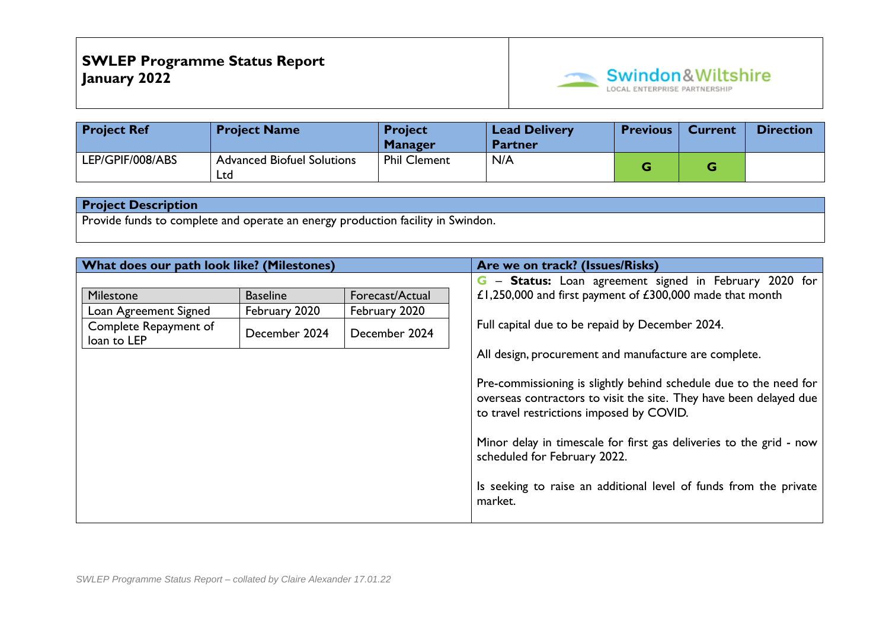

| <b>Project Ref</b> | <b>Project Name</b>                      | <b>Project</b><br><b>Manager</b> | <b>Lead Delivery</b><br><b>Partner</b> | <b>Previous</b> | <b>Current</b> | <b>Direction</b> |
|--------------------|------------------------------------------|----------------------------------|----------------------------------------|-----------------|----------------|------------------|
| LEP/GPIF/008/ABS   | <b>Advanced Biofuel Solutions</b><br>Ltd | <b>Phil Clement</b>              | N/A                                    |                 |                |                  |

Provide funds to complete and operate an energy production facility in Swindon.

| What does our path look like? (Milestones)                                 |                                                                                                        |  | Are we on track? (Issues/Risks)                                                                                                                                                                                                                                                                       |
|----------------------------------------------------------------------------|--------------------------------------------------------------------------------------------------------|--|-------------------------------------------------------------------------------------------------------------------------------------------------------------------------------------------------------------------------------------------------------------------------------------------------------|
| Milestone<br>Loan Agreement Signed<br>Complete Repayment of<br>loan to LEP | Forecast/Actual<br><b>Baseline</b><br>February 2020<br>February 2020<br>December 2024<br>December 2024 |  | G - Status: Loan agreement signed in February 2020 for<br>£1,250,000 and first payment of £300,000 made that month<br>Full capital due to be repaid by December 2024.<br>All design, procurement and manufacture are complete.<br>Pre-commissioning is slightly behind schedule due to the need for   |
|                                                                            |                                                                                                        |  | overseas contractors to visit the site. They have been delayed due<br>to travel restrictions imposed by COVID.<br>Minor delay in timescale for first gas deliveries to the grid - now<br>scheduled for February 2022.<br>Is seeking to raise an additional level of funds from the private<br>market. |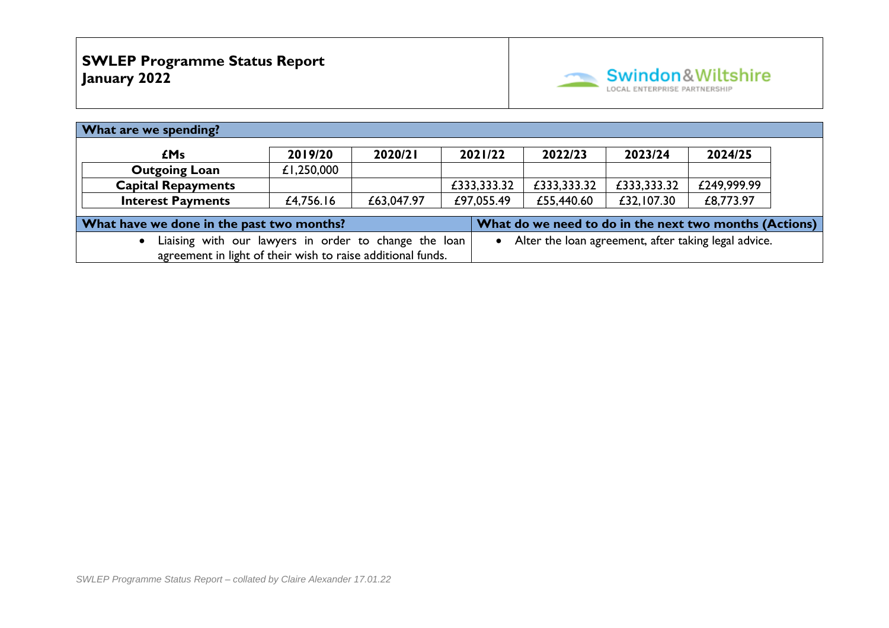

| What are we spending?                                                                                                        |            |            |             |             |             |             |  |  |
|------------------------------------------------------------------------------------------------------------------------------|------------|------------|-------------|-------------|-------------|-------------|--|--|
| £Ms                                                                                                                          | 2019/20    | 2020/21    | 2021/22     | 2022/23     | 2023/24     | 2024/25     |  |  |
| <b>Outgoing Loan</b>                                                                                                         | £1,250,000 |            |             |             |             |             |  |  |
| <b>Capital Repayments</b>                                                                                                    |            |            | £333,333.32 | £333,333.32 | £333,333.32 | £249,999.99 |  |  |
| <b>Interest Payments</b>                                                                                                     | £4,756.16  | £63,047.97 | £97,055.49  | £55,440.60  | £32,107.30  | £8,773.97   |  |  |
| What have we done in the past two months?<br>What do we need to do in the next two months (Actions)                          |            |            |             |             |             |             |  |  |
| • Alter the loan agreement, after taking legal advice.<br>Liaising with our lawyers in order to change the loan<br>$\bullet$ |            |            |             |             |             |             |  |  |
| agreement in light of their wish to raise additional funds.                                                                  |            |            |             |             |             |             |  |  |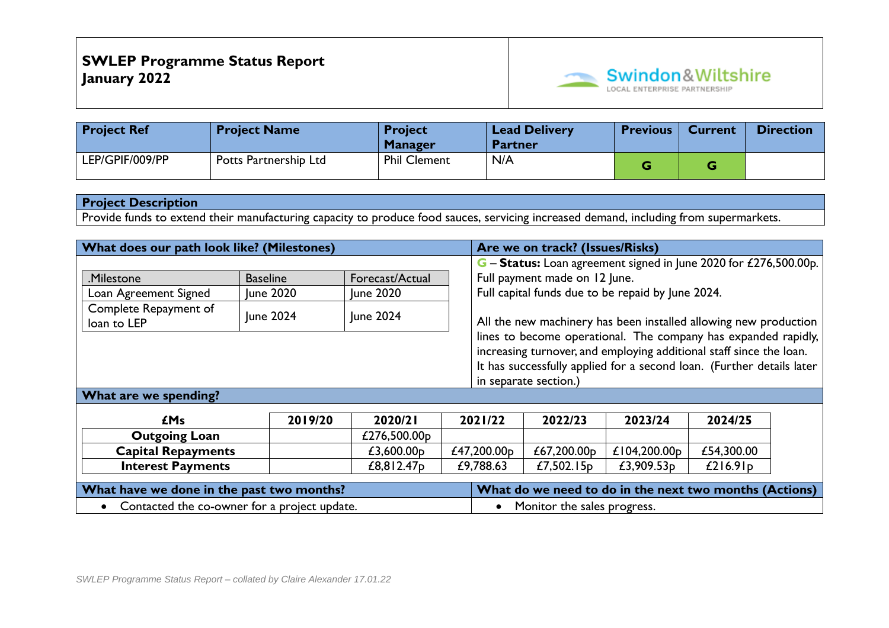

| <b>Project Ref</b> | <b>Project Name</b>   | <b>Project</b><br><b>Manager</b> | <b>Lead Delivery</b><br><b>Partner</b> | <b>Previous</b> | <b>Current</b> | <b>Direction</b> |
|--------------------|-----------------------|----------------------------------|----------------------------------------|-----------------|----------------|------------------|
| LEP/GPIF/009/PP    | Potts Partnership Ltd | <b>Phil Clement</b>              | N/A                                    |                 |                |                  |

Provide funds to extend their manufacturing capacity to produce food sauces, servicing increased demand, including from supermarkets.

| What does our path look like? (Milestones)   |                  |                        |                             | Are we on track? (Issues/Risks)                                                                                                    |                       |                                                                                                                                              |            |  |
|----------------------------------------------|------------------|------------------------|-----------------------------|------------------------------------------------------------------------------------------------------------------------------------|-----------------------|----------------------------------------------------------------------------------------------------------------------------------------------|------------|--|
|                                              |                  |                        |                             |                                                                                                                                    |                       | $G -$ Status: Loan agreement signed in June 2020 for £276,500.00p.                                                                           |            |  |
| Milestone                                    | <b>Baseline</b>  | Forecast/Actual        |                             | Full payment made on 12 June.                                                                                                      |                       |                                                                                                                                              |            |  |
| Loan Agreement Signed                        | <b>June 2020</b> | June 2020              |                             | Full capital funds due to be repaid by June 2024.                                                                                  |                       |                                                                                                                                              |            |  |
| Complete Repayment of<br>loan to LEP         | June 2024        | June 2024              |                             | All the new machinery has been installed allowing new production<br>lines to become operational. The company has expanded rapidly, |                       |                                                                                                                                              |            |  |
|                                              |                  |                        |                             |                                                                                                                                    | in separate section.) | increasing turnover, and employing additional staff since the loan.<br>It has successfully applied for a second loan. (Further details later |            |  |
| What are we spending?                        |                  |                        |                             |                                                                                                                                    |                       |                                                                                                                                              |            |  |
|                                              | 2019/20          | 2020/21                |                             | 2021/22                                                                                                                            | 2022/23               | 2023/24                                                                                                                                      | 2024/25    |  |
| <b>£Ms</b>                                   |                  |                        |                             |                                                                                                                                    |                       |                                                                                                                                              |            |  |
| <b>Outgoing Loan</b>                         |                  | £276,500.00p           |                             |                                                                                                                                    |                       |                                                                                                                                              |            |  |
| <b>Capital Repayments</b>                    |                  | £3,600.00 $p$          |                             | £47,200.00p                                                                                                                        | £67,200.00p           | £104,200.00 $p$                                                                                                                              | £54,300.00 |  |
| <b>Interest Payments</b>                     |                  | £8,812.47 <sub>p</sub> |                             | £9,788.63                                                                                                                          | £7,502.15 $p$         | £3,909.53 $p$                                                                                                                                | £216.91p   |  |
| What have we done in the past two months?    |                  |                        |                             | What do we need to do in the next two months (Actions)                                                                             |                       |                                                                                                                                              |            |  |
| Contacted the co-owner for a project update. |                  |                        | Monitor the sales progress. |                                                                                                                                    |                       |                                                                                                                                              |            |  |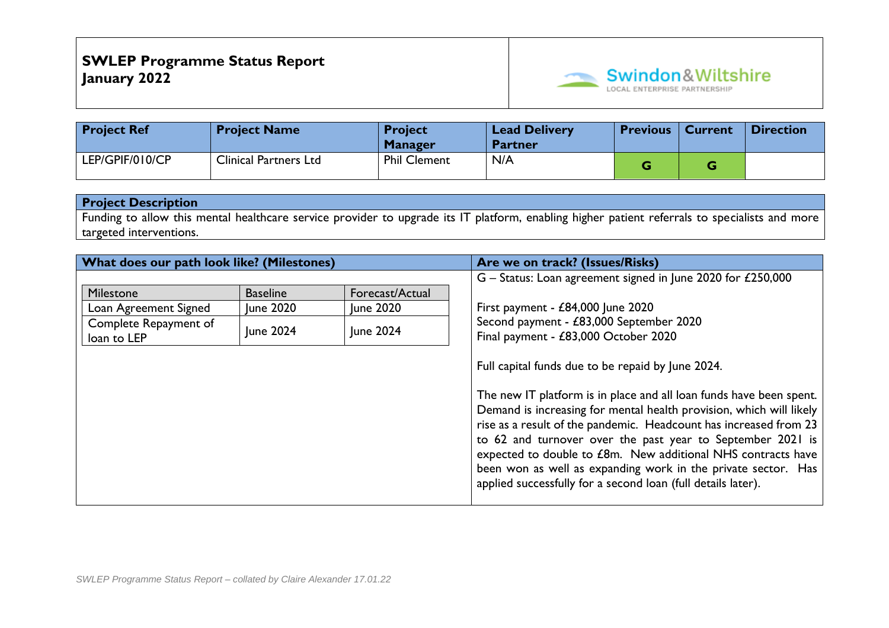

| <b>Project Ref</b> | <b>Project Name</b>          | <b>Project</b><br><b>Manager</b> | <b>Lead Delivery</b><br><b>Partner</b> | <b>Previous</b> | <b>Current</b> | <i><b>Direction</b></i> |
|--------------------|------------------------------|----------------------------------|----------------------------------------|-----------------|----------------|-------------------------|
| LEP/GPIF/010/CP    | <b>Clinical Partners Ltd</b> | <b>Phil Clement</b>              | N/A                                    |                 |                |                         |

Funding to allow this mental healthcare service provider to upgrade its IT platform, enabling higher patient referrals to specialists and more targeted interventions.

| What does our path look like? (Milestones) |                  |                 | Are we on track? (Issues/Risks)                                                                                                                                                                                                                                                                                                                                                                                                                                                |
|--------------------------------------------|------------------|-----------------|--------------------------------------------------------------------------------------------------------------------------------------------------------------------------------------------------------------------------------------------------------------------------------------------------------------------------------------------------------------------------------------------------------------------------------------------------------------------------------|
|                                            |                  |                 | G - Status: Loan agreement signed in June 2020 for £250,000                                                                                                                                                                                                                                                                                                                                                                                                                    |
| Milestone                                  | <b>Baseline</b>  | Forecast/Actual |                                                                                                                                                                                                                                                                                                                                                                                                                                                                                |
| Loan Agreement Signed                      | <b>June 2020</b> | June 2020       | First payment - $£84,000$ June 2020                                                                                                                                                                                                                                                                                                                                                                                                                                            |
| Complete Repayment of<br>loan to LEP       | June 2024        | June 2024       | Second payment - £83,000 September 2020<br>Final payment - £83,000 October 2020                                                                                                                                                                                                                                                                                                                                                                                                |
|                                            |                  |                 | Full capital funds due to be repaid by June 2024.                                                                                                                                                                                                                                                                                                                                                                                                                              |
|                                            |                  |                 | The new IT platform is in place and all loan funds have been spent.<br>Demand is increasing for mental health provision, which will likely<br>rise as a result of the pandemic. Headcount has increased from 23<br>to 62 and turnover over the past year to September 2021 is<br>expected to double to £8m. New additional NHS contracts have<br>been won as well as expanding work in the private sector. Has<br>applied successfully for a second loan (full details later). |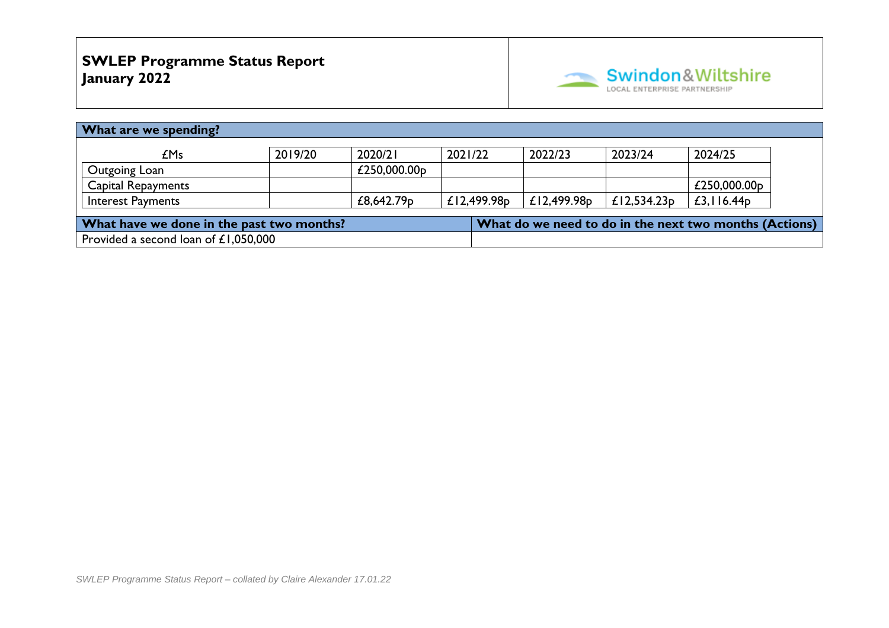

| What are we spending?                     |         |              |                |                                                        |                |                 |  |
|-------------------------------------------|---------|--------------|----------------|--------------------------------------------------------|----------------|-----------------|--|
| £Ms                                       | 2019/20 | 2020/21      | 2021/22        | 2022/23                                                | 2023/24        | 2024/25         |  |
| Outgoing Loan                             |         | £250,000.00p |                |                                                        |                |                 |  |
| <b>Capital Repayments</b>                 |         |              |                |                                                        |                | £250,000.00 $p$ |  |
| <b>Interest Payments</b>                  |         | £8,642.79p   | £12,499.98 $p$ | £12,499.98 $p$                                         | £12,534.23 $p$ | £3, $116.44p$   |  |
| What have we done in the past two months? |         |              |                | What do we need to do in the next two months (Actions) |                |                 |  |
| Provided a second loan of £1,050,000      |         |              |                |                                                        |                |                 |  |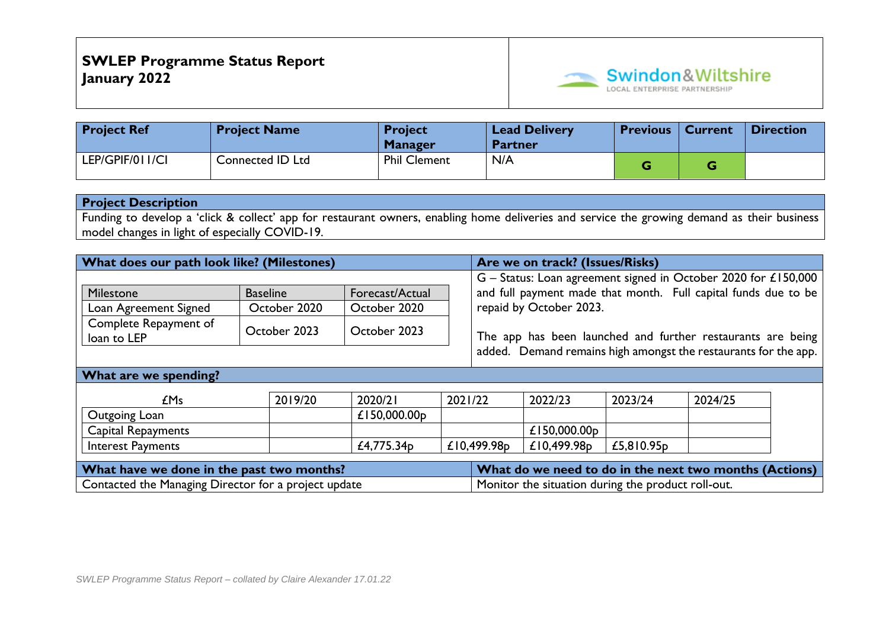

| <b>Project Ref</b> | <b>Project Name</b> | <b>Project</b><br><b>Manager</b> | <b>Lead Delivery</b><br><b>Partner</b> | <b>Previous</b> | <b>Current</b> | <b>Direction</b> |
|--------------------|---------------------|----------------------------------|----------------------------------------|-----------------|----------------|------------------|
| LEP/GPIF/011/CI    | Connected ID Ltd    | <b>Phil Clement</b>              | N/A                                    |                 |                |                  |

Funding to develop a 'click & collect' app for restaurant owners, enabling home deliveries and service the growing demand as their business model changes in light of especially COVID-19.

| What does our path look like? (Milestones) |                 |                       |                                                                 | Are we on track? (Issues/Risks)                                |         |                                                                |  |  |  |
|--------------------------------------------|-----------------|-----------------------|-----------------------------------------------------------------|----------------------------------------------------------------|---------|----------------------------------------------------------------|--|--|--|
|                                            |                 |                       |                                                                 | G - Status: Loan agreement signed in October 2020 for £150,000 |         |                                                                |  |  |  |
| Milestone                                  | <b>Baseline</b> | Forecast/Actual       |                                                                 |                                                                |         | and full payment made that month. Full capital funds due to be |  |  |  |
| Loan Agreement Signed                      | October 2020    | October 2020          |                                                                 | repaid by October 2023.                                        |         |                                                                |  |  |  |
| Complete Repayment of<br>loan to LEP       | October 2023    | October 2023          |                                                                 | The app has been launched and further restaurants are being    |         |                                                                |  |  |  |
|                                            |                 |                       | added. Demand remains high amongst the restaurants for the app. |                                                                |         |                                                                |  |  |  |
| What are we spending?                      |                 |                       |                                                                 |                                                                |         |                                                                |  |  |  |
|                                            |                 |                       |                                                                 |                                                                |         |                                                                |  |  |  |
| <b>£Ms</b>                                 | 2019/20         | 2020/21               | 2021/22                                                         | 2022/23                                                        | 2023/24 | 2024/25                                                        |  |  |  |
| $\sim$ $\sim$ $\sim$ $\sim$                |                 | $\lambda$ i FA AAA AA |                                                                 |                                                                |         |                                                                |  |  |  |

| Outgoing<br>_oan          | £150,000.00p                |             |              |                        |  |
|---------------------------|-----------------------------|-------------|--------------|------------------------|--|
| <b>Capital Repayments</b> |                             |             | £150,000.00p |                        |  |
| Interest Payments         | 775.34 <sub>D</sub><br>£4., | £10,499.98p | £10,499.98p  | £5,810.95 <sub>p</sub> |  |
|                           |                             |             |              |                        |  |

| What have we done in the past two months?            | What do we need to do in the next two months (Actions) |  |  |  |  |
|------------------------------------------------------|--------------------------------------------------------|--|--|--|--|
| Contacted the Managing Director for a project update | Monitor the situation during the product roll-out.     |  |  |  |  |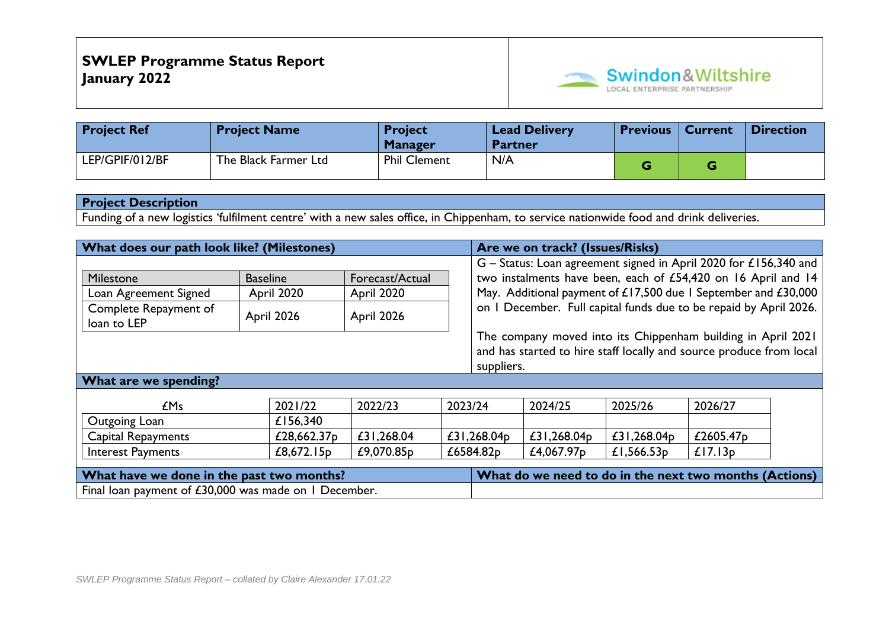

| <b>Project Ref</b> | <b>Project Name</b>  | <b>Project</b><br><b>Manager</b> | <b>Lead Delivery</b><br><b>Partner</b> | <b>Previous</b> | <b>Current</b> | Direction |
|--------------------|----------------------|----------------------------------|----------------------------------------|-----------------|----------------|-----------|
| LEP/GPIF/012/BF    | The Black Farmer Ltd | <b>Phil Clement</b>              | N/A                                    |                 |                |           |

Funding of a new logistics 'fulfilment centre' with a new sales office, in Chippenham, to service nationwide food and drink deliveries.

| What does our path look like? (Milestones)                                                                                                        |                 |                 |         |                                                                                                                                     | Are we on track? (Issues/Risks) |               |                                                                    |  |
|---------------------------------------------------------------------------------------------------------------------------------------------------|-----------------|-----------------|---------|-------------------------------------------------------------------------------------------------------------------------------------|---------------------------------|---------------|--------------------------------------------------------------------|--|
|                                                                                                                                                   |                 |                 |         |                                                                                                                                     |                                 |               | $G$ – Status: Loan agreement signed in April 2020 for £156,340 and |  |
| Milestone                                                                                                                                         | <b>Baseline</b> | Forecast/Actual |         |                                                                                                                                     |                                 |               | two instalments have been, each of £54,420 on 16 April and 14      |  |
| Loan Agreement Signed                                                                                                                             | April 2020      | April 2020      |         | May. Additional payment of £17,500 due 1 September and £30,000<br>on I December. Full capital funds due to be repaid by April 2026. |                                 |               |                                                                    |  |
| Complete Repayment of<br>loan to LEP                                                                                                              | April 2026      | April 2026      |         |                                                                                                                                     |                                 |               |                                                                    |  |
| The company moved into its Chippenham building in April 2021<br>and has started to hire staff locally and source produce from local<br>suppliers. |                 |                 |         |                                                                                                                                     |                                 |               |                                                                    |  |
| What are we spending?                                                                                                                             |                 |                 |         |                                                                                                                                     |                                 |               |                                                                    |  |
| £Ms                                                                                                                                               | 2021/22         | 2022/23         | 2023/24 |                                                                                                                                     | 2024/25                         | 2025/26       | 2026/27                                                            |  |
| Outgoing Loan                                                                                                                                     | £156,340        |                 |         |                                                                                                                                     |                                 |               |                                                                    |  |
| <b>Capital Repayments</b>                                                                                                                         | £28,662.37p     | £31,268.04      |         | £31,268.04p                                                                                                                         | £31,268.04p                     | £31,268.04p   | £2605.47 <sub>p</sub>                                              |  |
| <b>Interest Payments</b>                                                                                                                          | £8,672.15 $p$   | £9,070.85p      |         | £6584.82p                                                                                                                           | £4,067.97 <sub>p</sub>          | £1,566.53 $p$ | £17.13p                                                            |  |
| What have we done in the past two months?                                                                                                         |                 |                 |         | What do we need to do in the next two months (Actions)                                                                              |                                 |               |                                                                    |  |
| Final loan payment of £30,000 was made on 1 December.                                                                                             |                 |                 |         |                                                                                                                                     |                                 |               |                                                                    |  |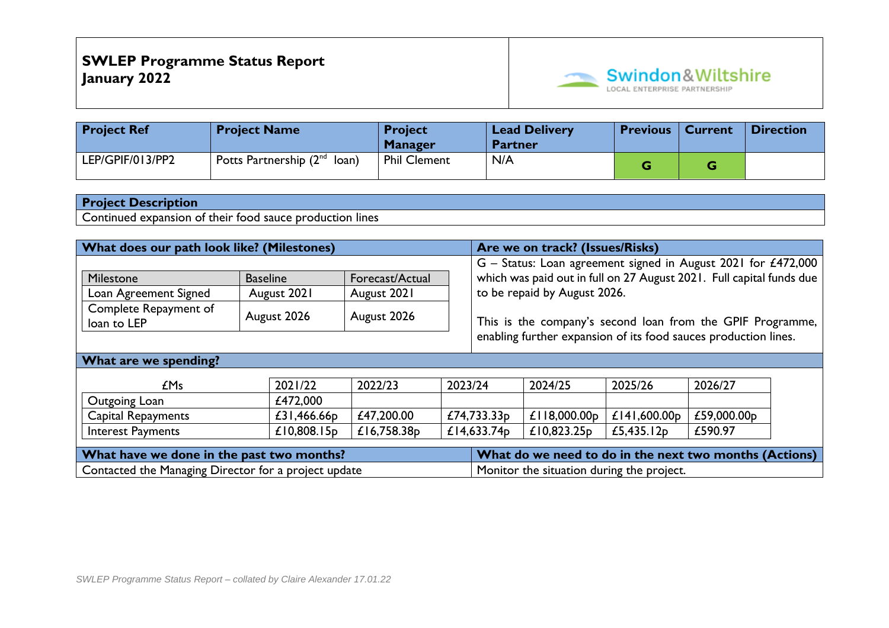

| <b>Project Ref</b> | <b>Project Name</b>               | <b>Project</b><br><b>Manager</b> | <b>Lead Delivery</b><br><b>Partner</b> | <b>Previous   Current</b> | Direction |
|--------------------|-----------------------------------|----------------------------------|----------------------------------------|---------------------------|-----------|
| LEP/GPIF/013/PP2   | Potts Partnership $(2^{nd}$ loan) | <b>Phil Clement</b>              | N/A                                    |                           |           |

Continued expansion of their food sauce production lines

| What does our path look like? (Milestones)                      |                 |                 |         |                                                               | Are we on track? (Issues/Risks)                                      |                 |             |  |
|-----------------------------------------------------------------|-----------------|-----------------|---------|---------------------------------------------------------------|----------------------------------------------------------------------|-----------------|-------------|--|
|                                                                 |                 |                 |         | G - Status: Loan agreement signed in August 2021 for £472,000 |                                                                      |                 |             |  |
| Milestone                                                       | <b>Baseline</b> | Forecast/Actual |         |                                                               | which was paid out in full on 27 August 2021. Full capital funds due |                 |             |  |
| Loan Agreement Signed                                           | August 2021     | August 2021     |         | to be repaid by August 2026.                                  |                                                                      |                 |             |  |
| Complete Repayment of<br>loan to LEP                            | August 2026     | August 2026     |         | This is the company's second loan from the GPIF Programme,    |                                                                      |                 |             |  |
| enabling further expansion of its food sauces production lines. |                 |                 |         |                                                               |                                                                      |                 |             |  |
| What are we spending?                                           |                 |                 |         |                                                               |                                                                      |                 |             |  |
| £Ms                                                             | 2021/22         | 2022/23         | 2023/24 |                                                               | 2024/25                                                              | 2025/26         | 2026/27     |  |
| Outgoing Loan                                                   | £472,000        |                 |         |                                                               |                                                                      |                 |             |  |
| Capital Repayments                                              | £31,466.66p     | £47,200.00      |         | £74,733.33 $p$                                                | £118,000.00p                                                         | £141,600.00 $p$ | £59,000.00p |  |
| <b>Interest Payments</b>                                        | £10,808.15 $p$  | £16,758.38p     |         | £14,633.74 $p$                                                | £10,823.25 $p$                                                       | £5,435.12 $p$   | £590.97     |  |
| What have we done in the past two months?                       |                 |                 |         | What do we need to do in the next two months (Actions)        |                                                                      |                 |             |  |
| Contacted the Managing Director for a project update            |                 |                 |         | Monitor the situation during the project.                     |                                                                      |                 |             |  |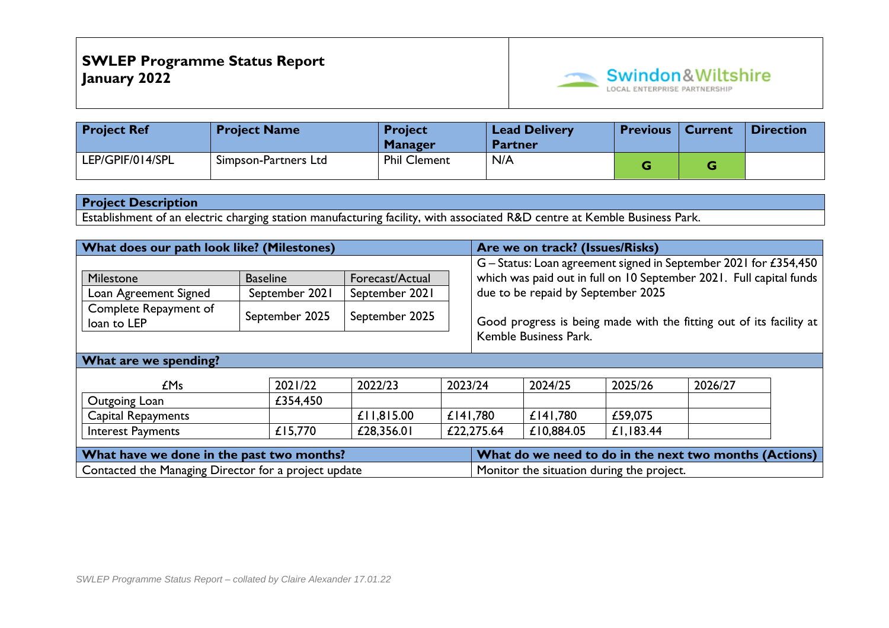

| <b>Project Ref</b> | <b>Project Name</b>  | <b>Project</b><br><b>Manager</b> | <b>Lead Delivery</b><br><b>Partner</b> | <b>Previous</b> | <b>Current</b> | <b>Direction</b> |
|--------------------|----------------------|----------------------------------|----------------------------------------|-----------------|----------------|------------------|
| LEP/GPIF/014/SPL   | Simpson-Partners Ltd | <b>Phil Clement</b>              | N/A                                    |                 |                |                  |

Establishment of an electric charging station manufacturing facility, with associated R&D centre at Kemble Business Park.

| What does our path look like? (Milestones)           |                 |                 |         |                                                                     | Are we on track? (Issues/Risks)    |           |                                                                     |  |
|------------------------------------------------------|-----------------|-----------------|---------|---------------------------------------------------------------------|------------------------------------|-----------|---------------------------------------------------------------------|--|
|                                                      |                 |                 |         |                                                                     |                                    |           | G - Status: Loan agreement signed in September 2021 for £354,450    |  |
| Milestone                                            | <b>Baseline</b> | Forecast/Actual |         |                                                                     |                                    |           | which was paid out in full on 10 September 2021. Full capital funds |  |
| Loan Agreement Signed                                | September 2021  | September 2021  |         |                                                                     | due to be repaid by September 2025 |           |                                                                     |  |
| Complete Repayment of<br>loan to LEP                 | September 2025  | September 2025  |         | Good progress is being made with the fitting out of its facility at |                                    |           |                                                                     |  |
| Kemble Business Park.                                |                 |                 |         |                                                                     |                                    |           |                                                                     |  |
| What are we spending?                                |                 |                 |         |                                                                     |                                    |           |                                                                     |  |
| £Ms                                                  | 2021/22         | 2022/23         | 2023/24 |                                                                     | 2024/25                            | 2025/26   | 2026/27                                                             |  |
| Outgoing Loan                                        | £354,450        |                 |         |                                                                     |                                    |           |                                                                     |  |
| Capital Repayments                                   |                 | £11,815.00      |         | £141,780                                                            | £141,780                           | £59,075   |                                                                     |  |
| <b>Interest Payments</b>                             | £15,770         | £28,356.01      |         | £22,275.64                                                          | £10,884.05                         | £1,183.44 |                                                                     |  |
| What have we done in the past two months?            |                 |                 |         | What do we need to do in the next two months (Actions)              |                                    |           |                                                                     |  |
| Contacted the Managing Director for a project update |                 |                 |         | Monitor the situation during the project.                           |                                    |           |                                                                     |  |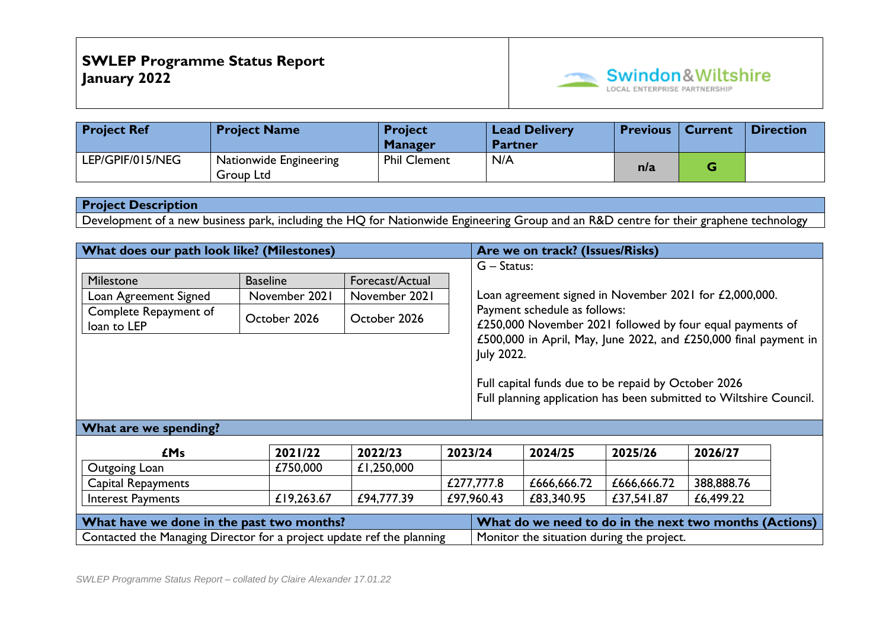

| <b>Project Ref</b> | <b>Project Name</b>                 | <b>Project</b><br><b>Manager</b> | <b>Lead Delivery</b><br><b>Partner</b> | <b>Previous</b> | <b>Current</b> | <b>Direction</b> |
|--------------------|-------------------------------------|----------------------------------|----------------------------------------|-----------------|----------------|------------------|
| LEP/GPIF/015/NEG   | Nationwide Engineering<br>Group Ltd | <b>Phil Clement</b>              | N/A                                    | n/a             |                |                  |

Development of a new business park, including the HQ for Nationwide Engineering Group and an R&D centre for their graphene technology

| What does our path look like? (Milestones)                            |                 |                 |            |                                                                                                                           | Are we on track? (Issues/Risks) |             |                                                           |  |
|-----------------------------------------------------------------------|-----------------|-----------------|------------|---------------------------------------------------------------------------------------------------------------------------|---------------------------------|-------------|-----------------------------------------------------------|--|
|                                                                       |                 |                 |            | $G -$ Status:                                                                                                             |                                 |             |                                                           |  |
| Milestone                                                             | <b>Baseline</b> | Forecast/Actual |            |                                                                                                                           |                                 |             |                                                           |  |
| Loan Agreement Signed                                                 | November 2021   | November 2021   |            | Loan agreement signed in November 2021 for £2,000,000.<br>Payment schedule as follows:                                    |                                 |             |                                                           |  |
| Complete Repayment of                                                 | October 2026    | October 2026    |            |                                                                                                                           |                                 |             |                                                           |  |
| loan to LEP                                                           |                 |                 |            |                                                                                                                           |                                 |             | £250,000 November 2021 followed by four equal payments of |  |
|                                                                       |                 |                 |            | £500,000 in April, May, June 2022, and £250,000 final payment in                                                          |                                 |             |                                                           |  |
|                                                                       |                 |                 |            | July 2022.                                                                                                                |                                 |             |                                                           |  |
|                                                                       |                 |                 |            |                                                                                                                           |                                 |             |                                                           |  |
|                                                                       |                 |                 |            | Full capital funds due to be repaid by October 2026<br>Full planning application has been submitted to Wiltshire Council. |                                 |             |                                                           |  |
|                                                                       |                 |                 |            |                                                                                                                           |                                 |             |                                                           |  |
|                                                                       |                 |                 |            |                                                                                                                           |                                 |             |                                                           |  |
| What are we spending?                                                 |                 |                 |            |                                                                                                                           |                                 |             |                                                           |  |
| <b>£Ms</b>                                                            | 2021/22         | 2022/23         | 2023/24    |                                                                                                                           | 2024/25                         | 2025/26     | 2026/27                                                   |  |
| Outgoing Loan                                                         | £750,000        | £1,250,000      |            |                                                                                                                           |                                 |             |                                                           |  |
| Capital Repayments                                                    |                 |                 |            | £277,777.8                                                                                                                | £666,666.72                     | £666,666.72 | 388,888.76                                                |  |
| Interest Payments                                                     | £19,263.67      | £94,777.39      | £97,960.43 |                                                                                                                           | £83,340.95                      | £37,541.87  | £6,499.22                                                 |  |
|                                                                       |                 |                 |            |                                                                                                                           |                                 |             |                                                           |  |
| What have we done in the past two months?                             |                 |                 |            | What do we need to do in the next two months (Actions)                                                                    |                                 |             |                                                           |  |
| Contacted the Managing Director for a project update ref the planning |                 |                 |            | Monitor the situation during the project.                                                                                 |                                 |             |                                                           |  |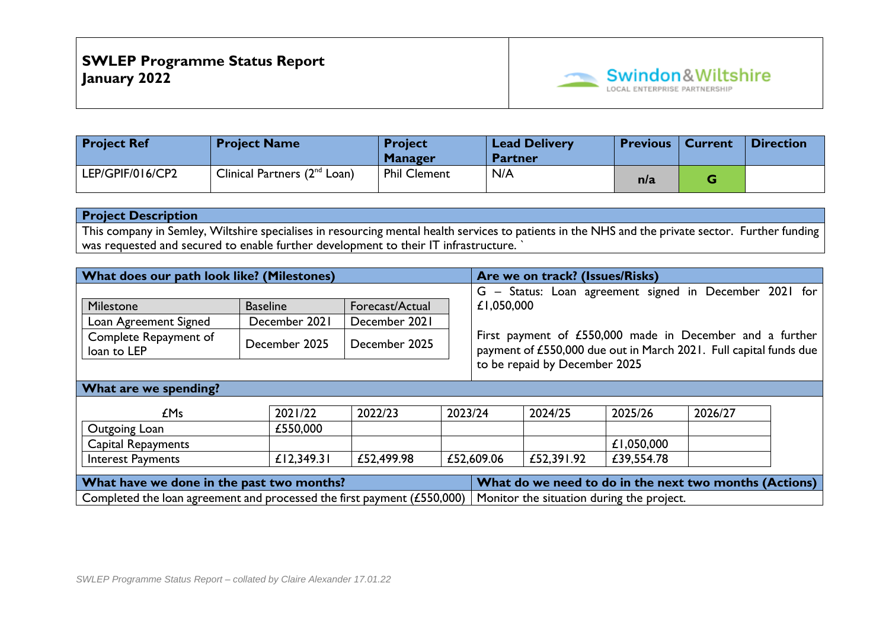

| <b>Project Ref</b> | <b>Project Name</b>               | <b>Project</b><br><b>Manager</b> | <b>Lead Delivery</b><br><b>Partner</b> | <b>Previous   Current</b> | <b>Direction</b> |
|--------------------|-----------------------------------|----------------------------------|----------------------------------------|---------------------------|------------------|
| LEP/GPIF/016/CP2   | Clinical Partners $(2^{nd}$ Loan) | <b>Phil Clement</b>              | N/A                                    | n/a                       |                  |

This company in Semley, Wiltshire specialises in resourcing mental health services to patients in the NHS and the private sector. Further funding was requested and secured to enable further development to their IT infrastructure. `

| What does our path look like? (Milestones)                                                                           |                 |                 |                               |            | Are we on track? (Issues/Risks)                                                                                               |            |                                                        |  |  |  |  |
|----------------------------------------------------------------------------------------------------------------------|-----------------|-----------------|-------------------------------|------------|-------------------------------------------------------------------------------------------------------------------------------|------------|--------------------------------------------------------|--|--|--|--|
|                                                                                                                      |                 |                 |                               |            |                                                                                                                               |            | G - Status: Loan agreement signed in December 2021 for |  |  |  |  |
| Milestone                                                                                                            | <b>Baseline</b> | Forecast/Actual |                               | £1,050,000 |                                                                                                                               |            |                                                        |  |  |  |  |
| Loan Agreement Signed                                                                                                | December 2021   | December 2021   |                               |            |                                                                                                                               |            |                                                        |  |  |  |  |
| Complete Repayment of<br>loan to LEP                                                                                 | December 2025   | December 2025   |                               |            | First payment of £550,000 made in December and a further<br>payment of £550,000 due out in March 2021. Full capital funds due |            |                                                        |  |  |  |  |
|                                                                                                                      |                 |                 | to be repaid by December 2025 |            |                                                                                                                               |            |                                                        |  |  |  |  |
| What are we spending?                                                                                                |                 |                 |                               |            |                                                                                                                               |            |                                                        |  |  |  |  |
|                                                                                                                      |                 |                 |                               |            |                                                                                                                               |            |                                                        |  |  |  |  |
| EMs                                                                                                                  | 2021/22         | 2022/23         | 2023/24                       |            | 2024/25                                                                                                                       | 2025/26    | 2026/27                                                |  |  |  |  |
| Outgoing Loan                                                                                                        | £550,000        |                 |                               |            |                                                                                                                               |            |                                                        |  |  |  |  |
| Capital Repayments                                                                                                   |                 |                 |                               |            |                                                                                                                               | £1,050,000 |                                                        |  |  |  |  |
| <b>Interest Payments</b>                                                                                             | £12,349.31      | £52,499.98      |                               | £52,609.06 | £52,391.92                                                                                                                    | £39,554.78 |                                                        |  |  |  |  |
| What have we done in the past two months?                                                                            |                 |                 |                               |            |                                                                                                                               |            | What do we need to do in the next two months (Actions) |  |  |  |  |
| Completed the loan agreement and processed the first payment (£550,000)<br>Monitor the situation during the project. |                 |                 |                               |            |                                                                                                                               |            |                                                        |  |  |  |  |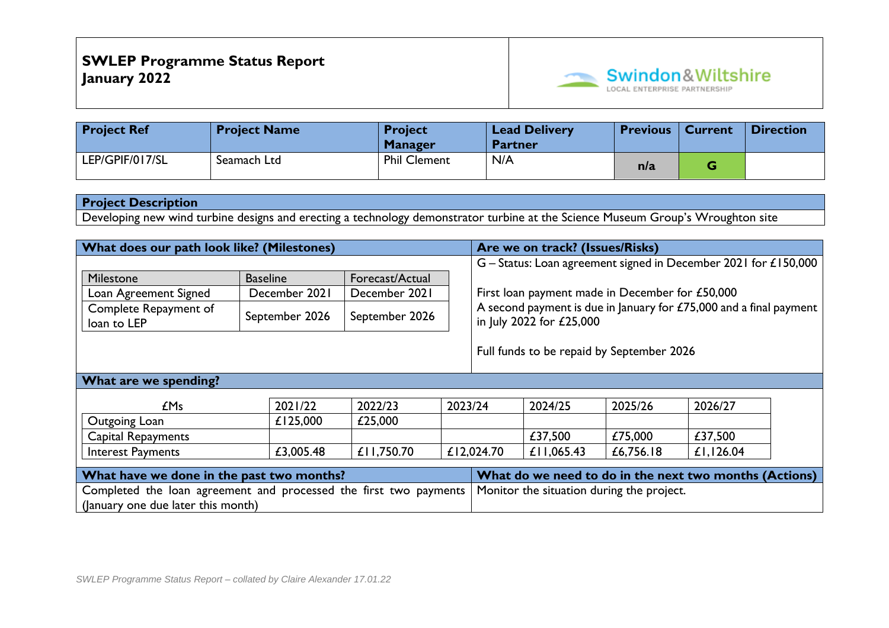

| <b>Project Ref</b> | <b>Project Name</b> | <b>Project</b><br><b>Manager</b> | <b>Lead Delivery</b><br><b>Partner</b> | <b>Previous</b> | <b>Current</b> | Direction |
|--------------------|---------------------|----------------------------------|----------------------------------------|-----------------|----------------|-----------|
| LEP/GPIF/017/SL    | Seamach Ltd         | <b>Phil Clement</b>              | N/A                                    | n/a             |                |           |

Developing new wind turbine designs and erecting a technology demonstrator turbine at the Science Museum Group's Wroughton site

| What does our path look like? (Milestones)                        |                 |                 |         |                                                                                                | Are we on track? (Issues/Risks)                 |           |                                                                 |  |  |
|-------------------------------------------------------------------|-----------------|-----------------|---------|------------------------------------------------------------------------------------------------|-------------------------------------------------|-----------|-----------------------------------------------------------------|--|--|
|                                                                   |                 |                 |         |                                                                                                |                                                 |           | G – Status: Loan agreement signed in December 2021 for £150,000 |  |  |
| Milestone                                                         | <b>Baseline</b> | Forecast/Actual |         |                                                                                                |                                                 |           |                                                                 |  |  |
| Loan Agreement Signed                                             | December 2021   | December 2021   |         |                                                                                                | First loan payment made in December for £50,000 |           |                                                                 |  |  |
| Complete Repayment of<br>loan to LEP                              | September 2026  | September 2026  |         | A second payment is due in January for £75,000 and a final payment<br>in July 2022 for £25,000 |                                                 |           |                                                                 |  |  |
|                                                                   |                 |                 |         |                                                                                                | Full funds to be repaid by September 2026       |           |                                                                 |  |  |
| What are we spending?                                             |                 |                 |         |                                                                                                |                                                 |           |                                                                 |  |  |
| <b>£Ms</b>                                                        | 2021/22         | 2022/23         | 2023/24 |                                                                                                | 2024/25                                         | 2025/26   | 2026/27                                                         |  |  |
| Outgoing Loan                                                     | £125,000        | £25,000         |         |                                                                                                |                                                 |           |                                                                 |  |  |
| <b>Capital Repayments</b>                                         |                 |                 |         |                                                                                                | £37,500                                         | £75,000   | £37,500                                                         |  |  |
| <b>Interest Payments</b>                                          | £3,005.48       | £11,750.70      |         | £12,024.70                                                                                     | £11,065.43                                      | £6,756.18 | £1,126.04                                                       |  |  |
| What have we done in the past two months?                         |                 |                 |         | What do we need to do in the next two months (Actions)                                         |                                                 |           |                                                                 |  |  |
| Completed the loan agreement and processed the first two payments |                 |                 |         | Monitor the situation during the project.                                                      |                                                 |           |                                                                 |  |  |
| (January one due later this month)                                |                 |                 |         |                                                                                                |                                                 |           |                                                                 |  |  |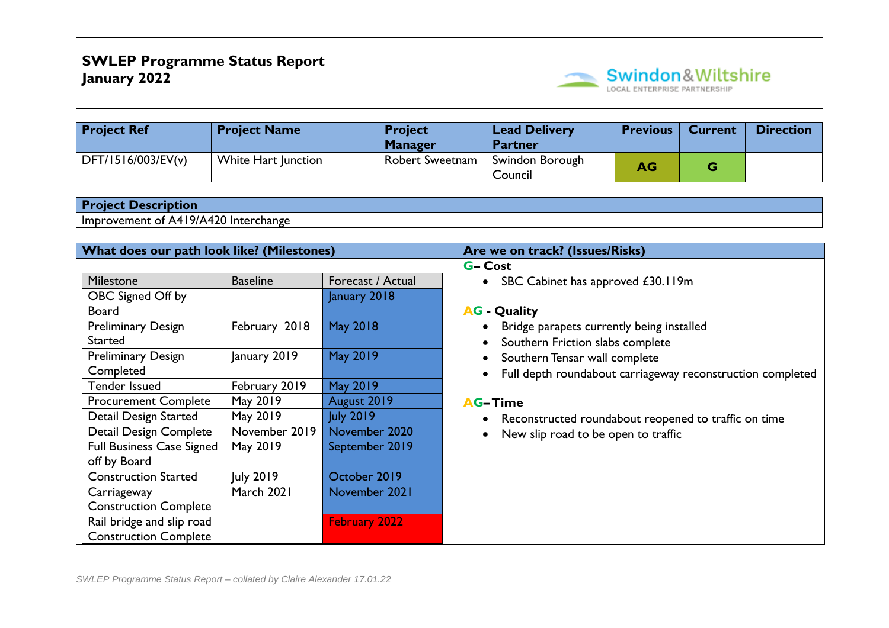

| <b>Project Ref</b> | <b>Project Name</b> | <b>Project</b><br><b>Manager</b> | <b>Lead Delivery</b><br><b>Partner</b> | <b>Previous</b> | <b>Current</b> | <b>Direction</b> |
|--------------------|---------------------|----------------------------------|----------------------------------------|-----------------|----------------|------------------|
| DFT/1516/003/EV(v) | White Hart Junction | <b>Robert Sweetnam</b>           | Swindon Borough<br>Council             | <b>AG</b>       | G              |                  |

Improvement of A419/A420 Interchange

| What does our path look like? (Milestones) |                 |                   | Are we on track? (Issues/Risks)                            |  |  |  |  |
|--------------------------------------------|-----------------|-------------------|------------------------------------------------------------|--|--|--|--|
|                                            |                 |                   | <b>G-Cost</b>                                              |  |  |  |  |
| Milestone                                  | <b>Baseline</b> | Forecast / Actual | SBC Cabinet has approved £30.119m<br>$\bullet$             |  |  |  |  |
| OBC Signed Off by                          |                 | January 2018      |                                                            |  |  |  |  |
| <b>Board</b>                               |                 |                   | <b>AG</b> - Quality                                        |  |  |  |  |
| <b>Preliminary Design</b>                  | February 2018   | May 2018          | Bridge parapets currently being installed                  |  |  |  |  |
| Started                                    |                 |                   | Southern Friction slabs complete                           |  |  |  |  |
| <b>Preliminary Design</b>                  | January 2019    | May 2019          | Southern Tensar wall complete                              |  |  |  |  |
| Completed                                  |                 |                   | Full depth roundabout carriageway reconstruction completed |  |  |  |  |
| Tender Issued                              | February 2019   | May 2019          |                                                            |  |  |  |  |
| <b>Procurement Complete</b>                | May 2019        | August 2019       | <b>AG-Time</b>                                             |  |  |  |  |
| Detail Design Started                      | May 2019        | <b>July 2019</b>  | Reconstructed roundabout reopened to traffic on time       |  |  |  |  |
| Detail Design Complete                     | November 2019   | November 2020     | New slip road to be open to traffic                        |  |  |  |  |
| <b>Full Business Case Signed</b>           | May 2019        | September 2019    |                                                            |  |  |  |  |
| off by Board                               |                 |                   |                                                            |  |  |  |  |
| <b>Construction Started</b>                | July 2019       | October 2019      |                                                            |  |  |  |  |
| Carriageway                                | March 2021      | November 2021     |                                                            |  |  |  |  |
| <b>Construction Complete</b>               |                 |                   |                                                            |  |  |  |  |
| Rail bridge and slip road                  |                 | February 2022     |                                                            |  |  |  |  |
| <b>Construction Complete</b>               |                 |                   |                                                            |  |  |  |  |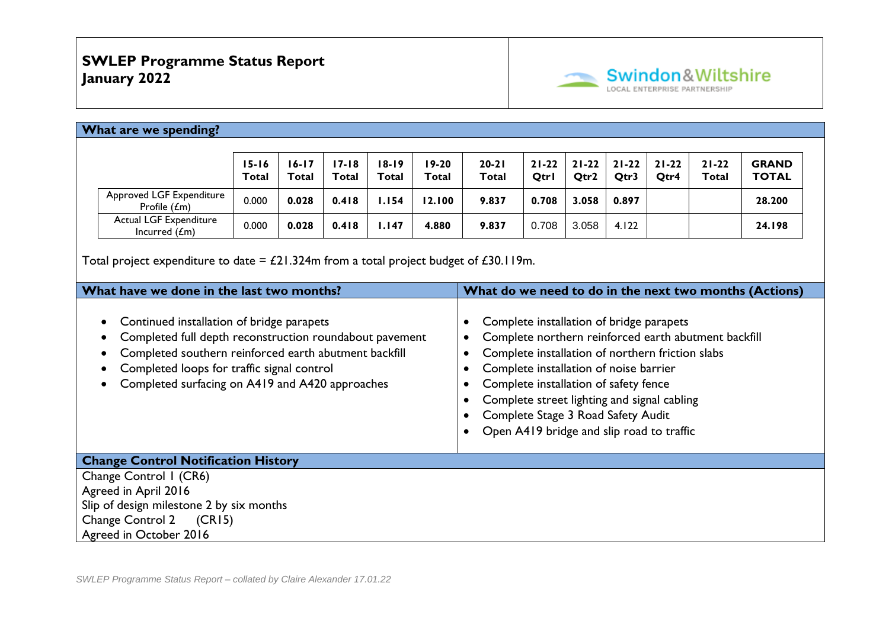

### **What are we spending?**

|                                             | $15 - 16$<br><b>Total</b> | 16-17<br>Total | 17-18<br>Total | $18 - 19$<br>Total | $19-20$<br>Total | $20 - 21$<br>Total | $21 - 22$<br><b>Qtrl</b> | 21-22<br>Otr2 | $21 - 22$<br>Qtr3 | $21 - 22$<br>Qtr4 | $21 - 22$<br>Total | <b>GRAND</b><br><b>TOTAL</b> |
|---------------------------------------------|---------------------------|----------------|----------------|--------------------|------------------|--------------------|--------------------------|---------------|-------------------|-------------------|--------------------|------------------------------|
| Approved LGF Expenditure<br>Profile $(f_m)$ | 0.000                     | 0.028          | 0.418          | . 154              | 12.100           | 9.837              | 0.708                    | 3.058         | 0.897             |                   |                    | 28.200                       |
| Actual LGF Expenditure<br>Incurred $(f_m)$  | 0.000                     | 0.028          | 0.418          | .147               | 4.880            | 9.837              | 0.708                    | 3.058         | 4.122             |                   |                    | 24.198                       |

Total project expenditure to date =  $£21.324m$  from a total project budget of  $£30.119m$ .

| What have we done in the last two months?                                                                                                                                                                                                                      | What do we need to do in the next two months (Actions)                                                                                                                                                                                                                                                                                                                    |
|----------------------------------------------------------------------------------------------------------------------------------------------------------------------------------------------------------------------------------------------------------------|---------------------------------------------------------------------------------------------------------------------------------------------------------------------------------------------------------------------------------------------------------------------------------------------------------------------------------------------------------------------------|
| Continued installation of bridge parapets<br>Completed full depth reconstruction roundabout pavement<br>Completed southern reinforced earth abutment backfill<br>Completed loops for traffic signal control<br>Completed surfacing on A419 and A420 approaches | Complete installation of bridge parapets<br>Complete northern reinforced earth abutment backfill<br>Complete installation of northern friction slabs<br>Complete installation of noise barrier<br>Complete installation of safety fence<br>Complete street lighting and signal cabling<br>Complete Stage 3 Road Safety Audit<br>Open A419 bridge and slip road to traffic |
| <b>Change Control Notification History</b>                                                                                                                                                                                                                     |                                                                                                                                                                                                                                                                                                                                                                           |
| Change Control I (CR6)<br>Agreed in April 2016                                                                                                                                                                                                                 |                                                                                                                                                                                                                                                                                                                                                                           |
| Slip of design milestone 2 by six months                                                                                                                                                                                                                       |                                                                                                                                                                                                                                                                                                                                                                           |
| Change Control 2 (CR15)                                                                                                                                                                                                                                        |                                                                                                                                                                                                                                                                                                                                                                           |
| Agreed in October 2016                                                                                                                                                                                                                                         |                                                                                                                                                                                                                                                                                                                                                                           |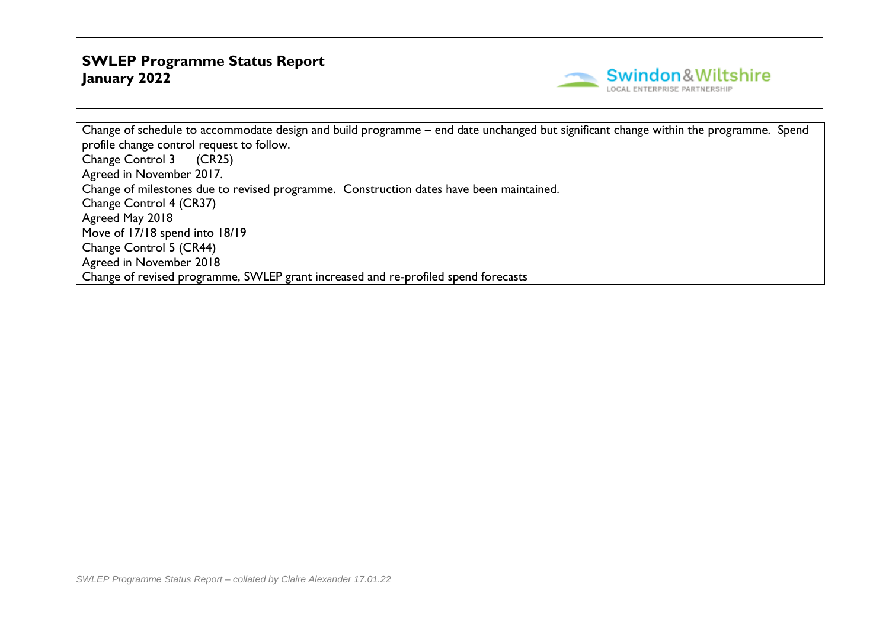

Change of schedule to accommodate design and build programme – end date unchanged but significant change within the programme. Spend profile change control request to follow. Change Control 3 (CR25) Agreed in November 2017. Change of milestones due to revised programme. Construction dates have been maintained. Change Control 4 (CR37) Agreed May 2018 Move of 17/18 spend into 18/19 Change Control 5 (CR44) Agreed in November 2018 Change of revised programme, SWLEP grant increased and re-profiled spend forecasts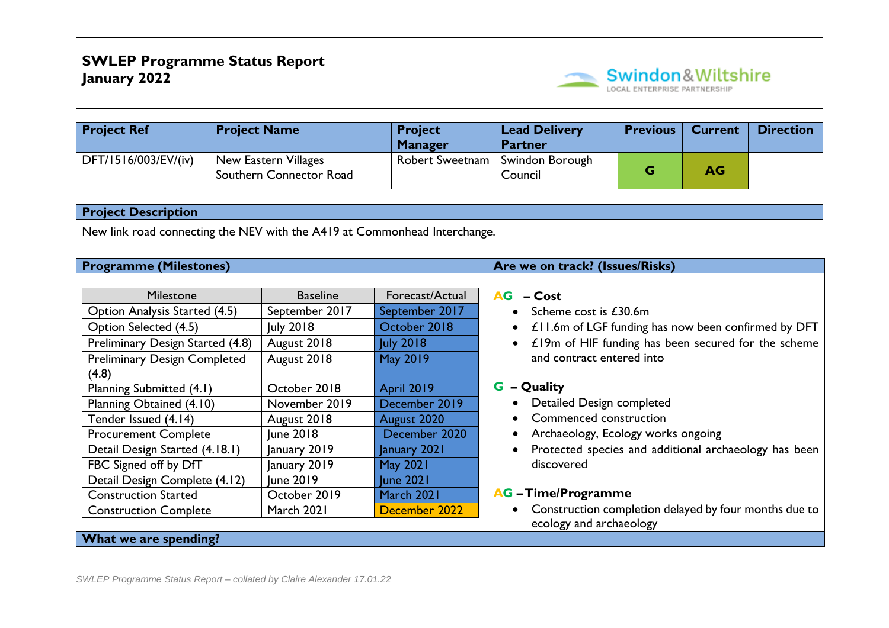

| <b>Project Ref</b>   | <b>Project Name</b>                             | <b>Project</b><br><b>Manager</b>  | <b>Lead Delivery</b><br><b>Partner</b> | <b>Previous</b> | <b>Current</b> | <b>Direction</b> |
|----------------------|-------------------------------------------------|-----------------------------------|----------------------------------------|-----------------|----------------|------------------|
| DFT/1516/003/EV/(iv) | New Eastern Villages<br>Southern Connector Road | Robert Sweetnam   Swindon Borough | Council                                |                 | AG             |                  |

New link road connecting the NEV with the A419 at Commonhead Interchange.

| <b>Programme (Milestones)</b>       |                  |                   | Are we on track? (Issues/Risks)                                    |
|-------------------------------------|------------------|-------------------|--------------------------------------------------------------------|
|                                     |                  |                   |                                                                    |
| <b>Milestone</b>                    | <b>Baseline</b>  | Forecast/Actual   | $AG - Cost$                                                        |
| Option Analysis Started (4.5)       | September 2017   | September 2017    | • Scheme cost is $£30.6m$                                          |
| Option Selected (4.5)               | July 2018        | October 2018      | £11.6m of LGF funding has now been confirmed by DFT<br>$\bullet$   |
| Preliminary Design Started (4.8)    | August 2018      | <b>July 2018</b>  | £19m of HIF funding has been secured for the scheme<br>$\bullet$   |
| <b>Preliminary Design Completed</b> | August 2018      | <b>May 2019</b>   | and contract entered into                                          |
| (4.8)                               |                  |                   |                                                                    |
| Planning Submitted (4.1)            | October 2018     | <b>April 2019</b> | <b>G</b> – Quality                                                 |
| Planning Obtained (4.10)            | November 2019    | December 2019     | Detailed Design completed<br>$\bullet$                             |
| Tender Issued (4.14)                | August 2018      | August 2020       | Commenced construction<br>$\bullet$                                |
| <b>Procurement Complete</b>         | June 2018        | December 2020     | Archaeology, Ecology works ongoing<br>$\bullet$                    |
| Detail Design Started (4.18.1)      | January 2019     | January 2021      | Protected species and additional archaeology has been<br>$\bullet$ |
| FBC Signed off by DfT               | January 2019     | <b>May 2021</b>   | discovered                                                         |
| Detail Design Complete (4.12)       | <b>June 2019</b> | <b>June 2021</b>  |                                                                    |
| <b>Construction Started</b>         | October 2019     | March 2021        | <b>AG</b> - Time/Programme                                         |
| <b>Construction Complete</b>        | March 2021       | December 2022     | Construction completion delayed by four months due to<br>$\bullet$ |
|                                     |                  |                   | ecology and archaeology                                            |
| What we are spending?               |                  |                   |                                                                    |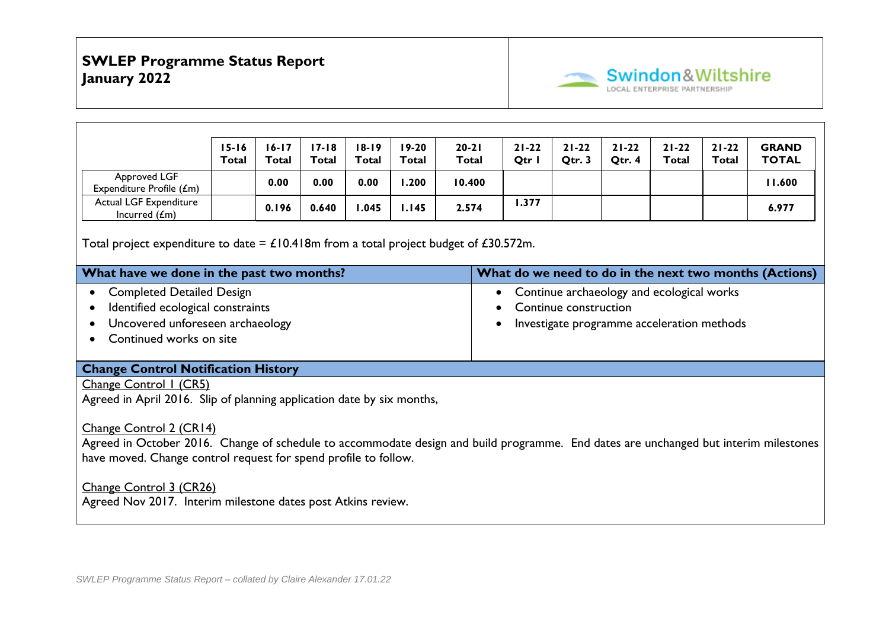

|                                                                                                                                                                                                                                                                                                                                                                                                                                   | $15 - 16$    | $16 - 17$    | $17 - 18$ | $18 - 19$ | $19 - 20$    | $20 - 21$ |                                                                                                                  | $21 - 22$ | $21 - 22$ | $21 - 22$ | $21 - 22$ | $21 - 22$    | <b>GRAND</b>                                           |
|-----------------------------------------------------------------------------------------------------------------------------------------------------------------------------------------------------------------------------------------------------------------------------------------------------------------------------------------------------------------------------------------------------------------------------------|--------------|--------------|-----------|-----------|--------------|-----------|------------------------------------------------------------------------------------------------------------------|-----------|-----------|-----------|-----------|--------------|--------------------------------------------------------|
|                                                                                                                                                                                                                                                                                                                                                                                                                                   | <b>Total</b> | <b>Total</b> | Total     | Total     | <b>Total</b> | Total     |                                                                                                                  | Qtr I     | Qtr. 3    | Qtr. 4    | Total     | <b>Total</b> | <b>TOTAL</b>                                           |
| Approved LGF<br>Expenditure Profile (£m)                                                                                                                                                                                                                                                                                                                                                                                          |              | 0.00         | 0.00      | 0.00      | 1.200        | 10.400    |                                                                                                                  |           |           |           |           |              | 11.600                                                 |
| Actual LGF Expenditure<br>Incurred $(fm)$                                                                                                                                                                                                                                                                                                                                                                                         |              | 0.196        | 0.640     | 1.045     | 1.145        | 2.574     |                                                                                                                  | 1.377     |           |           |           |              | 6.977                                                  |
| Total project expenditure to date = $\pounds$ 10.418m from a total project budget of £30.572m.                                                                                                                                                                                                                                                                                                                                    |              |              |           |           |              |           |                                                                                                                  |           |           |           |           |              |                                                        |
| What have we done in the past two months?                                                                                                                                                                                                                                                                                                                                                                                         |              |              |           |           |              |           |                                                                                                                  |           |           |           |           |              | What do we need to do in the next two months (Actions) |
| <b>Completed Detailed Design</b><br>$\bullet$<br>Identified ecological constraints<br>$\bullet$<br>Uncovered unforeseen archaeology<br>Continued works on site<br>$\bullet$                                                                                                                                                                                                                                                       |              |              |           |           |              |           | Continue archaeology and ecological works<br>Continue construction<br>Investigate programme acceleration methods |           |           |           |           |              |                                                        |
| <b>Change Control Notification History</b>                                                                                                                                                                                                                                                                                                                                                                                        |              |              |           |           |              |           |                                                                                                                  |           |           |           |           |              |                                                        |
| Change Control I (CR5)<br>Agreed in April 2016. Slip of planning application date by six months,<br>Change Control 2 (CR14)<br>Agreed in October 2016. Change of schedule to accommodate design and build programme. End dates are unchanged but interim milestones<br>have moved. Change control request for spend profile to follow.<br>Change Control 3 (CR26)<br>Agreed Nov 2017. Interim milestone dates post Atkins review. |              |              |           |           |              |           |                                                                                                                  |           |           |           |           |              |                                                        |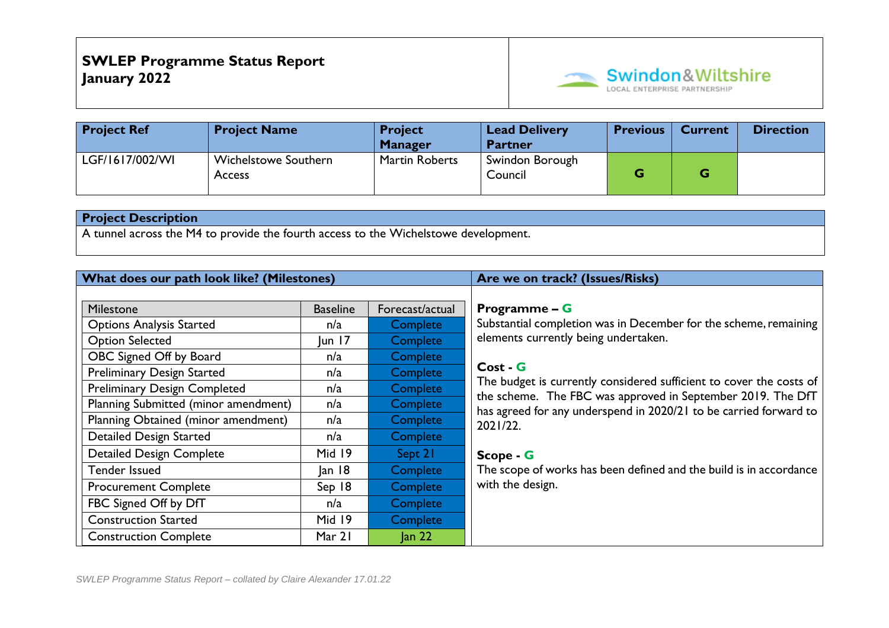

| <b>Project Ref</b> | <b>Project Name</b>                          | <b>Project</b><br><b>Manager</b> | <b>Lead Delivery</b><br><b>Partner</b> | <b>Previous</b> | <b>Current</b> | <b>Direction</b> |
|--------------------|----------------------------------------------|----------------------------------|----------------------------------------|-----------------|----------------|------------------|
| LGF/1617/002/WI    | <b>Wichelstowe Southern</b><br><b>Access</b> | <b>Martin Roberts</b>            | Swindon Borough<br>Council             | G               |                |                  |

A tunnel across the M4 to provide the fourth access to the Wichelstowe development.

| What does our path look like? (Milestones) |                 |                 | Are we on track? (Issues/Risks)                                                                                                  |
|--------------------------------------------|-----------------|-----------------|----------------------------------------------------------------------------------------------------------------------------------|
|                                            |                 |                 |                                                                                                                                  |
| Milestone                                  | <b>Baseline</b> | Forecast/actual | <b>Programme – <math>G</math></b>                                                                                                |
| <b>Options Analysis Started</b>            | n/a             | Complete        | Substantial completion was in December for the scheme, remaining                                                                 |
| <b>Option Selected</b>                     | un 7            | Complete        | elements currently being undertaken.                                                                                             |
| OBC Signed Off by Board                    | n/a             | <b>Complete</b> |                                                                                                                                  |
| <b>Preliminary Design Started</b>          | n/a             | Complete        | Cost - G                                                                                                                         |
| <b>Preliminary Design Completed</b>        | n/a             | <b>Complete</b> | The budget is currently considered sufficient to cover the costs of                                                              |
| Planning Submitted (minor amendment)       | n/a             | Complete        | the scheme. The FBC was approved in September 2019. The DfT<br>has agreed for any underspend in 2020/21 to be carried forward to |
| Planning Obtained (minor amendment)        | n/a             | Complete        | 2021/22.                                                                                                                         |
| <b>Detailed Design Started</b>             | n/a             | Complete        |                                                                                                                                  |
| <b>Detailed Design Complete</b>            | Mid 19          | Sept 21         | Scope - G                                                                                                                        |
| <b>Tender Issued</b>                       | an 8            | Complete        | The scope of works has been defined and the build is in accordance                                                               |
| <b>Procurement Complete</b>                | Sep 18          | Complete        | with the design.                                                                                                                 |
| FBC Signed Off by DfT                      | n/a             | Complete        |                                                                                                                                  |
| <b>Construction Started</b>                | Mid 19          | Complete        |                                                                                                                                  |
| <b>Construction Complete</b>               | Mar 21          | $\tan 22$       |                                                                                                                                  |